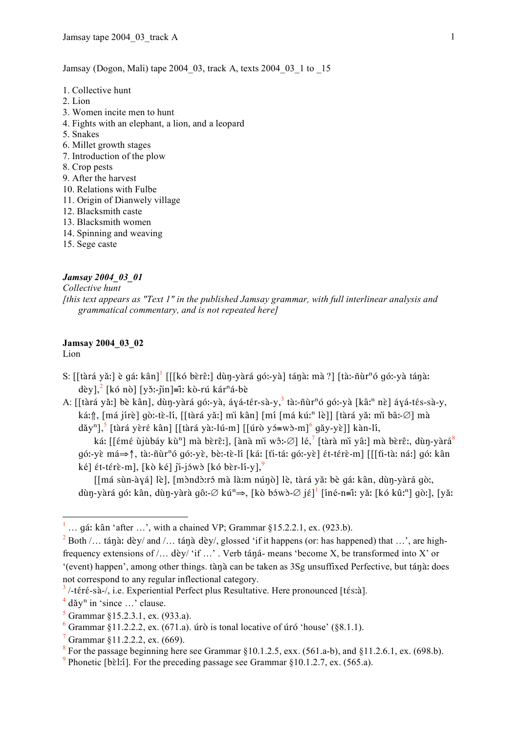Jamsay (Dogon, Mali) tape 2004\_03, track A, texts 2004\_03\_1 to \_15

- 1. Collective hunt
- 2. Lion
- 3. Women incite men to hunt
- 4. Fights with an elephant, a lion, and a leopard
- 5. Snakes
- 6. Millet growth stages
- 7. Introduction of the plow
- 8. Crop pests
- 9. After the harvest
- 10. Relations with Fulbe
- 11. Origin of Dianwely village
- 12. Blacksmith caste
- 13. Blacksmith women
- 14. Spinning and weaving
- 15. Sege caste

## *Jamsay 2004\_03\_01*

*Collective hunt [this text appears as "Text 1" in the published Jamsay grammar, with full interlinear analysis and grammatical commentary, and is not repeated here]*

## **Jamsay 2004\_03\_02**

Lion

- S: [[tàrá yǎː] è gá: kân] $^1$  [[[kó bèrê:] dùŋ-yàrá góː-yà] táŋà: mà ?] [tà:-ñùrʰó góː-yà táŋà: dèy],<sup>2</sup> [kó nò] [yǒː-jìn]≡îː kò-rú kár<sup>n</sup>á-bè
- A: [[tàrá yǎː] bè kân], dùŋ-yàrá góː-yà, áɣá-tér-sà-y, <sup>3</sup> tàː-ñùrʰó góː-yà [kâːʰ nè] áɣá-tés-sà-y, ká: f , [má jírè] gò:-tè-lí, [[tàrá yǎː] mì kân] [mí [má kúː<sup>n</sup> lè]] [tàrá yǎ: mì bâ:-∅] mà

dăy"],<sup>5</sup> [tàrá yèré kân] [[tàrá yà:-lú-m] [[úrò yɔ́≡wɔ̀-m] $^6$  gǎy-yè]] kàn-lí,

ká: [[émé ùjùbáy kùʰ] mà bèrê:], [ànà mǐ wô:-∅] lé, $^7$  [tàrà mǐ yâ:] mà bèrê:, dùŋ-yàrá $^8$  $q\ddot{\theta}$ : ve má $\Rightarrow$ ↑, ta:-ñùr<sup>n</sup>ó  $q\ddot{\theta}$ :-veॆ, be`:-tē-lí [káː [tī-táː  $q\ddot{\theta}$ :-vē]  $\acute{\epsilon}$ !-térē-m] [[[tī-tā: náː]  $q\dot{\theta}$ : kân ké]  $\epsilon t$ -térè-m], [kò ké] ji-jówò [kó bèr-li-y],<sup>9</sup>

[[má sùn-àyá] lè], [mòndò:ró mà là:m núnò] lè, tàrá yǎ: bè gá: kân, dùn-yàrá gò:, dùŋ-yàrá góː kân, dùŋ-yàrà gôː-∅ kúª⇒, [kò bɔ́wɔ̀-∅ jɛ̃] $^1$  [iné-n≡ĩː yǎː [kó kûːʰ] gòː], [yǎː

 $7$  Grammar §11.2.2.2, ex. (669).

 $\frac{1}{1}$ <sup>1</sup> ... gá: kân 'after ...', with a chained VP; Grammar §15.2.2.1, ex. (923.b).

 $2^{2}$  Both /... táng: dèy/ and /... táng dèy/, glossed 'if it happens (or: has happened) that ...', are highfrequency extensions of  $/$ ... dèy/ 'if ...'. Verb tána- means 'become X, be transformed into X' or '(event) happen', among other things, tànà can be taken as 3Sg unsuffixed Perfective, but tánà: does not correspond to any regular inflectional category.

 $3/$ -téré-sà-/, i.e. Experiential Perfect plus Resultative. Here pronounced [tés:à].

 $4$  dǎy<sup>n</sup> in 'since ...' clause.

 $5$  Grammar §15.2.3.1, ex. (933.a).

<sup>&</sup>lt;sup>6</sup> Grammar §11.2.2.2, ex. (671.a). úrò is tonal locative of úró 'house' (§8.1.1).

 $8$  For the passage beginning here see Grammar §10.1.2.5, exx. (561.a-b), and §11.2.6.1, ex. (698.b).

<sup>&</sup>lt;sup>9</sup> Phonetic [bɛ̀lːí]. For the preceding passage see Grammar  $\S 10.1.2.7$ , ex. (565.a).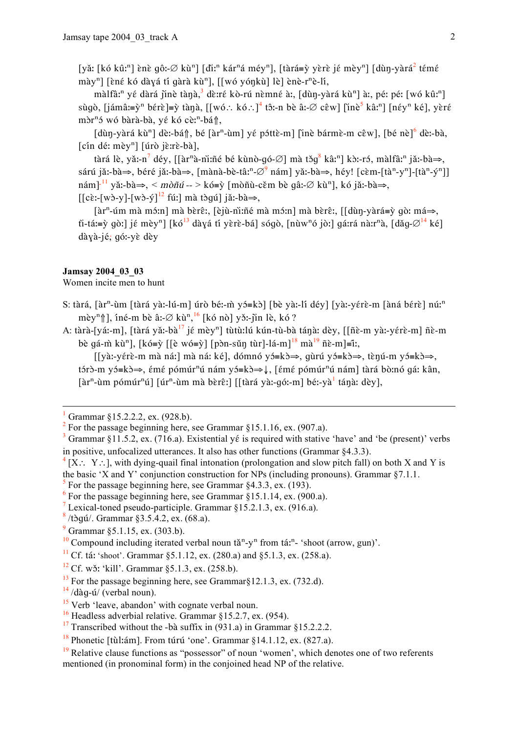[yǎ: [kó kû:<sup>n</sup>] ènè gô:-Ø kù<sup>n</sup>] [dì:<sup>n</sup> kár<sup>n</sup>á méy<sup>n</sup>], [tàrá=ỳ yèrè jé mèy<sup>n</sup>] [dùn-yàrá<sup>2</sup> témé mày<sup>n</sup>] [èné kó dàyá tí gàrà kù<sup>n</sup>], [[wó yónkù] lè] ènè-r<sup>n</sup>è-lí,

màlfâ:<sup>n</sup> yé dàrá jinè tànà,<sup>3</sup> dè:ré kò-rú nèmné à:, [dùn-yàrá kù<sup>n</sup>] à:, pé: pé: [wó kû:<sup>n</sup>] sùgò, [jámâ:=ỳ<sup>n</sup> bérè]=ỳ tàna, [[wó.: kó.:]<sup>4</sup> tô:-n bè â:-Ø cêw] [inè<sup>5</sup> kâ:<sup>n</sup>] [néy<sup>n</sup> ké], yèré mòr<sup>n</sup>ó wó bàrà-bà, yé kó cè:<sup>n</sup>-bá<sub>1</sub>,

[dùn-yàrá kù<sup>n</sup>] dè:-bán, bé [àr<sup>n</sup>-ùm] yé póttè-m] [inè bármè-m cêw], [bé nè]<sup>6</sup> dè:-bà,  $[cin d\acute{e}: m\grave{e}y<sup>n</sup>]$  [úrò jè:rè-bà],

tàrá lè, yǎ:-n<sup>7</sup> déy, [[àr<sup>n</sup>à-nì:ñé bé kùnò-gó-Ø] mà tǒg<sup>8</sup> kâ:<sup>n</sup>] kò:-ró, màlfâ:<sup>n</sup> jǎ:-bà⇒, sárú jǎ:-bà⇒, béré jǎ:-bà⇒, [mànà-bè-tâ:<sup>n</sup>-∅<sup>9</sup> nám] yǎ:-bà⇒, héy! [cèm-[tà<sup>n</sup>-y<sup>n</sup>]-[tà<sup>n</sup>-ý<sup>n</sup>]]  $n \in \mathbb{R}^{11}$  yǎ:-bà $\Rightarrow$ ,  $\leq m \delta n \in \mathbb{Z}$  > kó=ỳ [mòñù-cěm bè qâ:- $\emptyset$  kù<sup>n</sup>], kó jǎ:-bà $\Rightarrow$ ,  $\left[ [\text{cè:}-[\text{wò-v}]-[\text{wò-v}]^{12} \text{ fú:} \right]$  mà tòqú $\left[ [\text{a:1-bà}]\right]$ 

 $\lceil \ar{n} \cdot \ar{n} \cdot \ar{n} \rceil$  mà bèrê:,  $\lceil \ar{n} \cdot \ar{n} \rceil$  mà mớn mà bèrê:,  $\lceil \ar{n} \cdot \ar{n} \rceil = \ar{n}$  qò: má $\Rightarrow$ , ti-tá:=ỳ gò:] jé mèy<sup>n</sup>] [kó<sup>13</sup> dàyá tí yèrè-bá] sógò, [nùw<sup>n</sup>ó jò:] gá:rá nà:r<sup>n</sup>à, [dǎq- $\varnothing$ <sup>14</sup> ké] dàyà-jé; gó:-yè dèy

## Jamsay 2004 03 03

Women incite men to hunt

- S: tàrá, [àr<sup>n</sup>-ùm [tàrá yàː-lú-m] úrò béː-m̀ yɔ́=kɔ̀] [bè yàː-lí déy] [yàː-yɛ́rɛ̀-m [àná bɛ́rɛ̀] núː<sup>n</sup> mèy<sup>n</sup>î], îné-m bè â:- $\varnothing$  kù<sup>n</sup>, <sup>16</sup> [kó nò] yǒ:-jìn lè, kó?
- A: tàrà-[yáː-m], [tàrá yǎː-bà<sup>17</sup> jé mèy<sup>n</sup>] tùtù:lú kún-tù-bà tánà: dèy, [[ñè-m yàː-yérè-m] ñè-m bè qá-m̀ kù<sup>n</sup>], [kó=ỳ [[è wó=ỳ] [pòn-sǔn tùr]-lá-m]<sup>18</sup> mà<sup>19</sup> ñè-m]=í:,

[[yàː-yérè-m mà náː] mà ná: ké], dómnó yó≡kò⇒, gùrú yó≡kò⇒, tèŋú-m yó≡kò⇒, tórð-m yó=kð $\Rightarrow$ , émé pómúr<sup>n</sup>ú nám yó=kð $\Rightarrow$ , [émé pómúr<sup>n</sup>ú nám] tàrá bò:nó qá: kân, 

 $[X: Y:],$  with dying-quail final intonation (prolongation and slow pitch fall) on both X and Y is the basic 'X and Y' conjunction construction for NPs (including pronouns). Grammar  $\S 7.1.1$ .

<sup>7</sup> Lexical-toned pseudo-participle. Grammar  $\S 15.2.1.3$ , ex. (916.a).

 $\frac{14}{14}$ /dàq-ú/ (verbal noun).

Grammar §15.2.2.2, ex. (928.b).

For the passage beginning here, see Grammar  $$15.1.16$ , ex.  $(907.a)$ .

Grammar §11.5.2, ex. (716.a). Existential yé is required with stative 'have' and 'be (present)' verbs in positive, unfocalized utterances. It also has other functions (Grammar  $84.3.3$ ).

 $\frac{5}{5}$  For the passage beginning here, see Grammar \$4.3.3, ex. (193).

 $6$  For the passage beginning here, see Grammar §15.1.14, ex. (900.a).

 $\frac{8}{10}$ /tòqú/. Grammar §3.5.4.2, ex. (68.a).

 $9$  Grammar §5.1.15, ex. (303.b).

<sup>&</sup>lt;sup>10</sup> Compound including iterated verbal noun tă<sup>n</sup>-y<sup>n</sup> from tá:<sup>n</sup>- 'shoot (arrow, gun)'.

<sup>&</sup>lt;sup>11</sup> Cf. tá: 'shoot'. Grammar §5.1.12, ex. (280.a) and §5.1.3, ex. (258.a).

<sup>&</sup>lt;sup>12</sup> Cf. wǒ: 'kill'. Grammar  $\S 5.1.3$ , ex. (258.b).

 $^{13}$  For the passage beginning here, see Grammar \$12.1.3. ex. (732.d).

 $15$  Verb 'leave, abandon' with cognate verbal noun.

<sup>&</sup>lt;sup>16</sup> Headless adverbial relative. Grammar §15.2.7, ex. (954).

<sup>&</sup>lt;sup>17</sup> Transcribed without the -bà suffix in  $(931.a)$  in Grammar §15.2.2.2.

<sup>&</sup>lt;sup>18</sup> Phonetic [tùl:ám]. From túrú 'one'. Grammar §14.1.12, ex. (827.a).

 $19$  Relative clause functions as "possessor" of noun 'women', which denotes one of two referents mentioned (in pronominal form) in the conjoined head NP of the relative.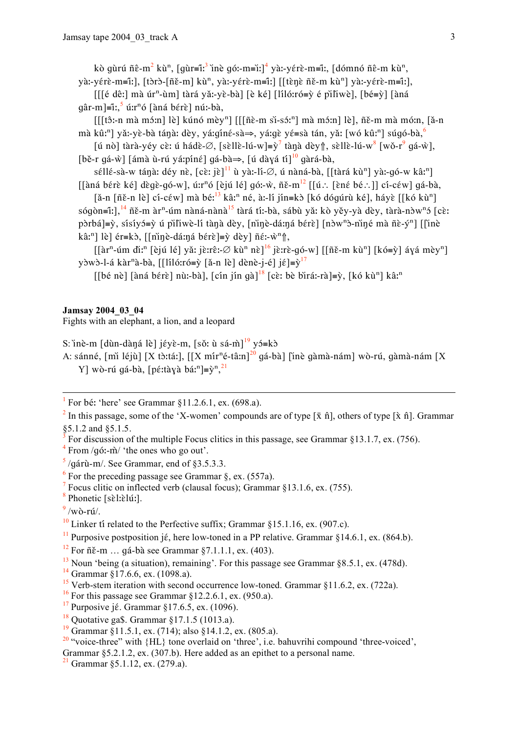kò qùrú ñê-m<sup>2</sup> kù<sup>n</sup>, [qùr=î<sup>1,3</sup> ìnè qó:-m=ì1]<sup>4</sup> yà:-yérè-m=î1, [dómnó ñê-m kù<sup>n</sup>, yà:-yérè-m=îː], [tòrò-[ñě-m] kù<sup>n</sup>, yà:-yérè-m=îː] [[tènè ñě-m kù<sup>n</sup>] yà:-yérè-m=îː],

 $[[[6 de:] mà úr<sup>n</sup>-ùm] tàrá yă:-yè-bà] [è kél [líló:ró= $\dot{y}$  é pìliwè], [bé= $\dot{y}$ ] [àná$  $q\hat{a}r$ -m $]=\hat{i}$ :  $\hat{j}$  ú: $r^n\hat{o}$  [àna bérè] nú:-bà.

 $[[[t\hat{c}:-n \text{ m\`a m\`s:n}] \&]$ kúnó mèy<sup>n</sup>]  $[[[t\hat{c}-m \text{ s\`i-s\`s\`n}] \text{ m\`a m\`s\`n}] \&]$ , ñĕ-m mà mó:n, [ă-n mà kû:<sup>n</sup>] yǎ:-yè-bà tánà: dèy, yá:qíné-sà $\Rightarrow$ , yá:qè yé=sà tán, yǎ: [wó kû:<sup>n</sup>] súqó-bà,

[ú nò] tàrà-yéy cè: ú hádè- $\varnothing$ , [sèllè-lú-w]=y<sup>7</sup> tànà dèy $\Uparrow$ , sèllè-lú-w<sup>8</sup> [wǒ-r<sup>9</sup> qá-ẁ], [bě-r qá-ẁ] [ámà ù-rú yá:píné] qá-bà $\Rightarrow$ , [ú dàyá tí]<sup>10</sup> qàrá-bà,

séllé-sà-w tána: déy nè,  $[c\tilde{\varepsilon}$ : jè]<sup>11</sup> ù yà:-lí-Ø, ú nàná-bà, [[tàrá kù<sup>n</sup>] yà:-gó-w kâ:<sup>n</sup>]  $\lceil \frac{\delta}{\delta} \right|$  and bérè ké] dègè-gó-w], ú:r<sup>n</sup>ó [èjú lé] gó:-ŵ, ñě-m<sup>12</sup>  $\lceil \lceil \frac{\delta}{\delta} \rceil$ : [èné bé : ]] cí-céw] gá-bà,

 $[\tilde{a}$ -n  $[\tilde{n}\tilde{\epsilon}$ -n lè cí-c $\tilde{\epsilon}w]$  mà bé:<sup>13</sup> kâ:<sup>n</sup> né, à:-lí jín=kò [kó dóqúrù ké], háyè [[kó kù<sup>n</sup>] sógòn=iː], <sup>14</sup> ñĕ-m àr<sup>n</sup>-úm nàná-nànà<sup>15</sup> tàrá tíː-bà, sábù yǎ: kò yěy-yà dèy, tàrà-nòw<sup>n</sup>ó [cèː pòrbá $\equiv y$ , sísíyó $\equiv \bar{y}$  ú pìliwè-lí tànà dèy, [nìne-dá:ná bérè] [nòw<sup>n</sup>ò-nìné mà ñè-ý<sup>n</sup>] [[inè kâ:<sup>n</sup>] lè] ér=kò, [[nine-dá:ná bérè]=ỳ dèy] ñé:- $\hat{w}^n$ ĵ,

 $\left[\left[\hat{a}r^n - \hat{u}m \hat{d}i\right]^{n}\right]$  [èjú lé] yǎ: jè:rê:- $\varnothing$  kù<sup>n</sup> nè]<sup>16</sup> jè:rè-gó-w] [[ñě-m kù<sup>n</sup>] [kó=ỳ] áyá mèy<sup>n</sup>] yòwò-l-á kàr<sup>n</sup>à-bà, [[lílóːró=ỳ [ǎ-n lè] dènè-j-é] j $\xi$ ]=ỳ<sup>17</sup>

[[bé nè] [àná bérè] nù:-bà], [cín jín qà]<sup>18</sup> [cè: bè bìrá:-rà]=ỳ, [kó kù<sup>n</sup>] kâ:<sup>n</sup>

## **Jamsay 2004 03 04**

Fights with an elephant, a lion, and a leopard

S: inè-m [dùn-dàna lè] jéyè-m, [sǒ: ù sá-m̀]<sup>19</sup> yó=kò

A: sánné, [mì léjù] [X tò:tá:], [[X mír<sup>n</sup>é-tâ:n]<sup>20</sup> gá-bà] [ìnè gàmà-nám] wò-rú, gàmà-nám [X Y] wò-rú gá-bà, [pé:tàyà bá:<sup>n</sup>]= $\tilde{v}^{n}$ .<sup>21</sup>

<sup>1</sup> For bé: 'here' see Grammar §11.2.6.1, ex. (698.a).

<sup>2</sup> In this passage, some of the 'X-women' compounds are of type  $[\bar{x} \hat{n}]$ , others of type  $[\bar{x} \hat{n}]$ . Grammar \$5.1.2 and \$5.1.5.

For discussion of the multiple Focus clitics in this passage, see Grammar  $§13.1.7$ , ex. (756).

From  $/q$  6:-m̂/ 'the ones who go out'.

 $\frac{5}{9}$ /qárù-m/. See Grammar, end of §3.5.3.3.

<sup>6</sup> For the preceding passage see Grammar  $\S$ , ex. (557a).

 $\frac{7}{1}$  Focus clitic on inflected verb (clausal focus); Grammar §13.1.6, ex. (755).

<sup>8</sup> Phonetic [sɛ̀l:ɛ̀lúː].

 $\frac{9}{9}$ /wò-rú/.

<sup>10</sup> Linker ti related to the Perfective suffix; Grammar §15.1.16, ex. (907.c).

<sup>11</sup> Purposive postposition jé, here low-toned in a PP relative. Grammar §14.6.1, ex. (864.b).

<sup>12</sup> For  $n\text{\AA}$  For  $n\text{\AA}$  and  $n\text{ A}$  see Grammar §7.1.1.1, ex. (403).

 $\frac{13}{13}$  Noun 'being (a situation), remaining'. For this passage see Grammar §8.5.1, ex. (478d).

<sup>14</sup> Grammar §17.6.6, ex. (1098.a).

<sup>15</sup> Verb-stem iteration with second occurrence low-toned. Grammar  $811.6.2$ , ex. (722a).

 $^{16}$  For this passage see Grammar 812.2.6.1, ex. (950.a).

<sup>17</sup> Purposive jé. Grammar §17.6.5, ex. (1096).

 $18$  Quotative ga\$. Grammar §17.1.5 (1013.a).

<sup>19</sup> Grammar §11.5.1, ex. (714); also §14.1.2, ex. (805.a).

 $\frac{20}{3}$  "voice-three" with  $\{HL\}$  tone overlaid on 'three', i.e. bahuvrihi compound 'three-voiced',

Grammar §5.2.1.2, ex. (307.b). Here added as an epithet to a personal name.

 $^{21}$  Grammar §5.1.12, ex. (279.a).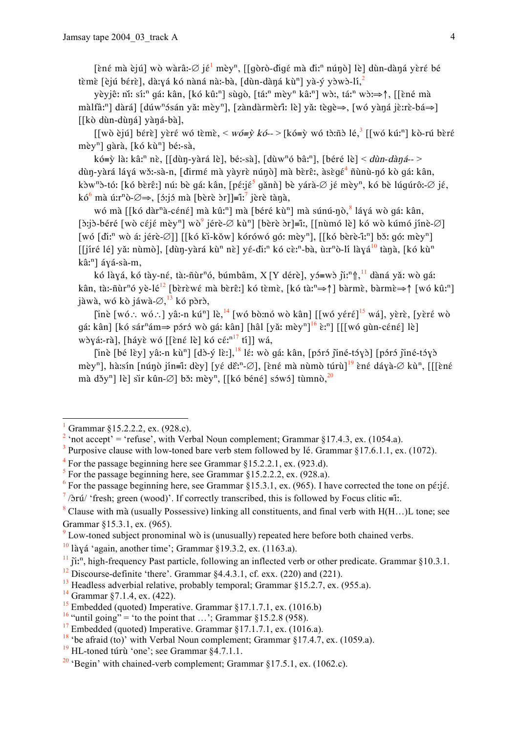[ềné mà èjú] wò wàrâ:- $\emptyset$  jế<sup>1</sup> mèy<sup>n</sup>, [[gòrò-đigé mà đì:<sup>n</sup> núnò] lè] dùn-dàná yèré bé tèmè [èjú bérè], dà:yá kó nàná nà:-bà, [dùn-dàná kù<sup>n</sup>] yà-ý yòwò-lí,<sup>2</sup>

yèyjê: nǐ: sí:<sup>n</sup> gá: kân, [kó kû:<sup>n</sup>] sùgò, [tá:<sup>n</sup> mèy<sup>n</sup> kâ:<sup>n</sup>] wò:, tá:<sup>n</sup> wò:⇒↑, [[ềné mà màlfâ:<sup>n</sup>] dàrál [dúw<sup>n</sup>ósán vă: mèv<sup>n</sup>], [zàndàrmèrî: lè] vă: tègè⇒, [wó vàná jè:rè-bá⇒] [[kò dùn-dùná] yàná-bà],

 $[[w\delta \dot{\varepsilon}]$ ú] bérè] yèré wó tèmè, < wó=ỳ kó-- > [kó=ỳ wó tò:ñò lé,<sup>3</sup> [[wó kú:<sup>n</sup>] kò-rú bèré mèy<sup>n</sup>] gàrà, [kó kù<sup>n</sup>] bé:-sà,

kó=ỳ là: kâ:<sup>n</sup> nè, [[dùn-yàrá lè], bé:-sà], [dùw<sup>n</sup>ó bâ:<sup>n</sup>], [béré lè] < dùn-dàná--> dùn-yàrá láyá wǒ:-sà-n, [dìrmé mà yàyrè núno] mà bèrê:, àsègé<sup>4</sup> ñùnù-nó kò gá: kân, kòw<sup>n</sup>ò-tó: [kó bèrê:] nú: bè gá: kân, [pé:jế<sup>5</sup> gǎnǹ] bè yárà-Ø jé mèy<sup>n</sup>, kó bè lúgúrô:-Ø jé,  $k\acute{o}$ <sup>6</sup> mà ú:r<sup>n</sup>ò- $\emptyset \Rightarrow$ , [*f*:j*f* mà [bèrè *f*r]] $\equiv$ ĩ:<sup>7</sup> jèrè tànà,

wó mà [[kó dàr<sup>n</sup>à-céné] mà kû:<sup>n</sup>] mà [béré kù<sup>n</sup>] mà súnú-nò, <sup>8</sup> láyá wò gá: kân, [doing bing] [being the spin political spin political spin political spin political spin political spin bing  $[\delta x]$  [full negative] [being the spin political spin political spin political spin political spin political spi [wó [di:<sup>n</sup> wò á: jérè-Ø]] [[kó ki-kǒw] kórówó gó: mèy<sup>n</sup>], [[kó bèrè-î:<sup>n</sup>] bɔ̌: gó: mèy<sup>n</sup>] [[jíré lé] yǎ: nùmò], [dùŋ-yàrá kù<sup>n</sup> nè] yé-di:<sup>n</sup> kó cè:<sup>n</sup>-bà, ù:r<sup>n</sup>ò-lí làyá<sup>10</sup> tànà, [kó kù<sup>n</sup> kâ:<sup>n</sup>] ává-sà-m.

kó làvá, kó tàv-né, tà:-ñùr<sup>n</sup>ó, búmbâm, X [Y dérè], y j=wò jì:<sup>n</sup> f, <sup>11</sup> dàná yǎ: wò qá: kân, tà:-ñùr<sup>n</sup>ó yè-lé<sup>12</sup> [bèrèwé mà bèrê:] kó tèmè, [kó tà:<sup>n</sup> $\Rightarrow$ ] bàrmè, bàrmè $\Rightarrow$ ] [wó kû:<sup>n</sup>] jàwà, wó kò jáwà- $\varnothing$ ,  $^{13}$  kó pòrò,

[inè [wó∴ wó∴] yâ:-n kú<sup>n</sup>] lè,<sup>14</sup> [wó bò:nó wò kân] [[wó yéré]<sup>15</sup> wá], yèrè, [yèré wò gá: kân] [kó sár<sup>n</sup>ám $\Rightarrow$  póró wò gá: kân] [hâl [yǎ: mèy<sup>n] 16</sup> è:<sup>n</sup>] [[[wó gùn-céné] lè] wòyá:-rà], [háyè wó [[èné lè] kó cé: $n^{17}$  tí]] wá,

[inè [bé lèy] yâ:-n kù<sup>n</sup>] [dò-ý lèː], <sup>18</sup> lé: wò gá: kân, [póró jiné-tóyò] [póró jiné-tóyò] mèy<sup>n</sup>], hà:sín [nún̥ò jín=î: dèy] [yé dɛ̃:<sup>n</sup>-Ø], [ɛ̀né mà nùmò túrù<sup>]<sup>19</sup> ɛ̀né dáyà-Ø kù<sup>n</sup>. [[[ɛ̀né</sup> mà džy<sup>n</sup>] lè] sir kûn-Ø] bž: mèy<sup>n</sup>, [[kó béné] szwó] tùmnò,<sup>20</sup>

Grammar §15.2.2.2, ex. (928.c).

<sup>&</sup>lt;sup>2</sup> 'not accept' = 'refuse', with Verbal Noun complement; Grammar §17.4.3, ex. (1054.a).

 $\overline{\mathbf{3}}$ Purposive clause with low-toned bare verb stem followed by lé. Grammar §17.6.1.1, ex. (1072).

 $4$  For the passage beginning here see Grammar  $815.2.2.1$ , ex. (923.d).

 $\frac{1}{2}$  For the passage beginning here, see Grammar §15.2.2.2, ex. (928.a).

<sup>&</sup>lt;sup>6</sup> For the passage beginning here, see Grammar §15.3.1, ex. (965). I have corrected the tone on pérjé.

 $\frac{7}{2}$  /brú/ 'fresh; green (wood)'. If correctly transcribed, this is followed by Focus clitic = it.

 $\frac{8}{3}$  Clause with mà (usually Possessive) linking all constituents, and final verb with H(H,..) L tone: see Grammar §15.3.1, ex. (965).

 $\frac{9}{2}$  Low-toned subject pronominal wò is (unusually) repeated here before both chained verbs.

 $\frac{10}{2}$ làyá 'again, another time'; Grammar §19.3.2, ex. (1163.a).

 $\tilde{H}$  ii.<sup>n</sup>, high-frequency Past particle, following an inflected verb or other predicate. Grammar §10.3.1.

 $12$  Discourse-definite 'there'. Grammar  $84.4.3.1$ , cf. exx. (220) and (221).

 $^{13}$  Headless adverbial relative, probably temporal; Grammar §15.2.7, ex. (955.a).

 $14$  Grammar §7.1.4, ex. (422).

<sup>&</sup>lt;sup>15</sup> Embedded (quoted) Imperative. Grammar §17.1.7.1, ex. (1016.b)

<sup>&</sup>lt;sup>16</sup> "until going" = 'to the point that ...'; Grammar §15.2.8 (958).

 $17$  Embedded (quoted) Imperative. Grammar §17.1.7.1, ex. (1016.a).

<sup>&</sup>lt;sup>18</sup> 'be afraid (to)' with Verbal Noun complement; Grammar §17.4.7, ex. (1059.a).

 $19$  HL-toned túrù 'one'; see Grammar §4.7.1.1.

<sup>&</sup>lt;sup>20</sup> 'Begin' with chained-verb complement: Grammar §17.5.1, ex. (1062.c).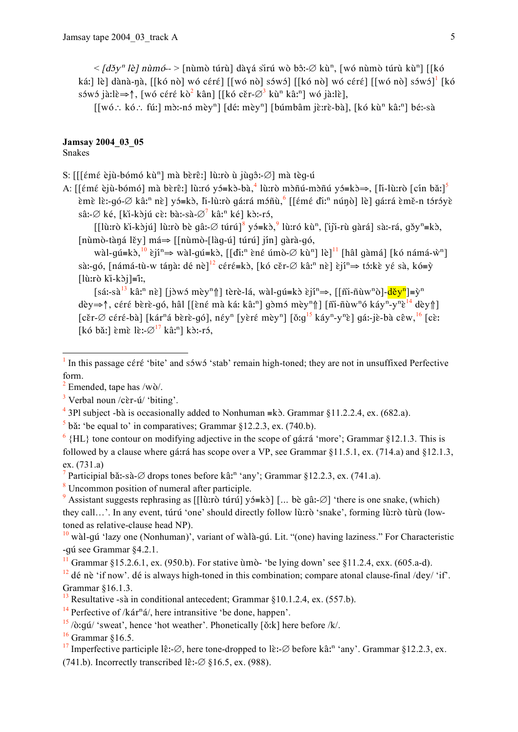$\langle \frac{d}{d} \delta y^n \hat{i} \hat{j} \rangle$  nùmó - > [nùmò túrù] dàyá sìrú wò bô: Ø kù<sup>n</sup>, [wó nùmò túrù kù<sup>n</sup>] [[kó ká: [lè] dànà-nà, [[kó nò] wó céré] [[wó nò] sówó] [[kó nò] wó céré] [[wó nò] sówó]<sup>1</sup> [kó sówó jà:lè $\Rightarrow$ †, [wó céré kò<sup>2</sup> kân] [[kó cěr- $\varnothing$ <sup>3</sup> kù<sup>n</sup> kâ:<sup>n</sup>] wó jà:lè],

 $[[w6.: k6.: fú!] m\ddot{o}$ :-nó mèy<sup>n</sup>] [dé: mèy<sup>n</sup>] [búmbâm jè:rè-bà], [kó kù<sup>n</sup> kâ:<sup>n</sup>] bé:-sà

## Jamsay 2004 03 05

**Snakes** 

S: [[[émé èjù-bómó kù<sup>n</sup>] mà bèrê:] lù:rò ù jùgô:-Ø] mà tèg-ú

A: [[ $\epsilon$ m $\epsilon$  èjù-bómó] mà bèr $\epsilon$ :] lù:ró y = kò-bà,<sup>4</sup> lù:rò mòñú-mòñú y  $\delta = k$ ò $\Rightarrow$ , [li-lù:rò [cín bǎ:]<sup>5</sup> èmè lè:-qó- $\varnothing$  kâ:<sup>n</sup> nè] yó=kò, lì-lù:rò qá:rá móñù, [[émé dì:<sup>n</sup> núnò] lè] qá:rá èmě-n tóróyè sâ:-Ø ké, [ki-kòjú cè: bà:-sà-Ø<sup>7</sup> kâ:<sup>n</sup> ké] kò:-ró,

[[lù:rò ki-kòjú] lù:rò bè qâ:-Ø túrú]<sup>8</sup> yó=kò,<sup>9</sup> lù:ró kù<sup>n</sup>, [iji-rù gàrá] sà:-rá, gǒy<sup>n</sup>=kò, [nùmò-tàná lěy] má⇒ [[nùmò-[làq-ú] túrú] jín] gàrà-gó,

wàl-qu = kò,  $\left[0 \right]$  è ji  $\Rightarrow$  wàl-qu = kò,  $\left[0 \right]$  di  $\left[0 \right]$  è né umò- $\emptyset$  kù  $\left[1 \right]$   $\left[1 \right]$   $\left[0 \right]$   $\left[0 \right]$   $\left[0 \right]$   $\left[0 \right]$   $\left[0 \right]$   $\left[0 \right]$   $\left[0 \right]$   $\left[0 \right]$   $\left[0 \right]$   $\left[0 \right]$   $\left[0 \right]$   $\left[$ sà:-qó, [námá-tù-w tánà: dé nè]<sup>12</sup> céré=kò, [kó cěr- $\varnothing$  kâ:<sup>n</sup> nè] èjî<sup>n</sup>  $\Rightarrow$  tó:kè yé sà, kó=ỳ  $[\hat{u}:\hat{o}:\hat{k} - k\hat{o}] = \hat{i}$ :

 $[s\acute{a}$ :-sà<sup>13</sup> kâ:<sup>n</sup> nề  $\lceil i \rceil$  i với mèv<sup>n</sup> $\lceil i \rceil$  tèrè-lá, wàl-qu<sup>i</sup> kè gií<sup>n</sup>  $\Rightarrow$ . [[ñi-ñùw<sup>n</sup>ò]- $\frac{d\breve{e}v^n}{d} = \breve{v}^n$ dèv $\Rightarrow$   $\uparrow$ , céré bèrè-gó, hâl [[èné mà ká: kâ:<sup>n</sup>] gòmó mèv<sup>n</sup> $\uparrow$ ] [ñi-ñùw<sup>n</sup>ó káv<sup>n</sup>-v<sup>n</sup>è<sup>14</sup> dèv $\uparrow$ ]  $[c\text{\&r}-\varnothing$  céré-bà] [kár<sup>n</sup>á bèrè-qó], néy<sup>n</sup> [yèré mèy<sup>n</sup>] [ǒːq<sup>15</sup> káy<sup>n</sup>-y<sup>n</sup>è] qáː-jè-bà cêw, <sup>16</sup> [cèː [kó bǎː] èmè lè:- $\varnothing$ <sup>17</sup> kâː<sup>n</sup>] kò:-ró,

 $\frac{5}{3}$  bă: 'be equal to' in comparatives: Grammar 812.2.3, ex. (740.b).

 $\frac{6}{3}$  {HL} tone contour on modifying adjective in the scope of gárrá 'more': Grammar \$12.1.3. This is followed by a clause where gárrá has scope over a VP, see Grammar §11.5.1, ex. (714.a) and §12.1.3,  $ex. (731.a)$ 

<sup>7</sup> Participial bă:-sà- $\varnothing$  drops tones before kâ:<sup>n</sup> 'any'; Grammar §12.2.3, ex. (741.a).

<sup>8</sup> Uncommon position of numeral after participle.

<sup>9</sup> Assistant suggests rephrasing as [[lù:rò túrú]  $y$  ( $\pm k$ )] [... be q â: $\varnothing$ ] 'there is one snake, (which) they call...'. In any event, túrú 'one' should directly follow lù:rò 'snake', forming lù:rò tùrù (lowtoned as relative-clause head NP).

 $\frac{10}{10}$  wàl-gú 'lazy one (Nonhuman)', variant of wàlà-gú. Lit. "(one) having laziness." For Characteristic -qú see Grammar §4.2.1.

<sup>11</sup> Grammar §15.2.6.1, ex. (950.b). For stative  $\hat{u}$  mo- 'be lying down' see §11.2.4, exx. (605.a-d).

 $^{12}$  dé nè 'if now'. dé is always high-toned in this combination; compare atonal clause-final /dey/ 'if'. Grammar 816.1.3.

<sup>13</sup> Resultative -sà in conditional antecedent; Grammar  $\S 10.1.2.4$ , ex. (557.b).

<sup>14</sup> Perfective of /kar<sup>n</sup>a/, here intransitive 'be done, happen'.

 $\frac{15}{2}$  /o:qú/ 'sweat', hence 'hot weather'. Phonetically [ŏ:k] here before /k/.

 $16$  Grammar  $$16.5$ .

In this passage céré 'bite' and sówó 'stab' remain high-toned; they are not in unsuffixed Perfective form.

 $2$  Emended, tape has /wo/.

<sup>&</sup>lt;sup>3</sup> Verbal noun /cɛ̀r-ú/ 'biting'.

<sup>&</sup>lt;sup>4</sup> 3Pl subject -bà is occasionally added to Nonhuman =k $\delta$ . Grammar §11.2.2.4, ex. (682.a).

<sup>&</sup>lt;sup>17</sup> Imperfective participle lê:- $\varnothing$ , here tone-dropped to lè:- $\varnothing$  before kâ:<sup>n</sup> 'any'. Grammar §12.2.3, ex. (741.b). Incorrectly transcribed lê:- $\varnothing$  §16.5, ex. (988).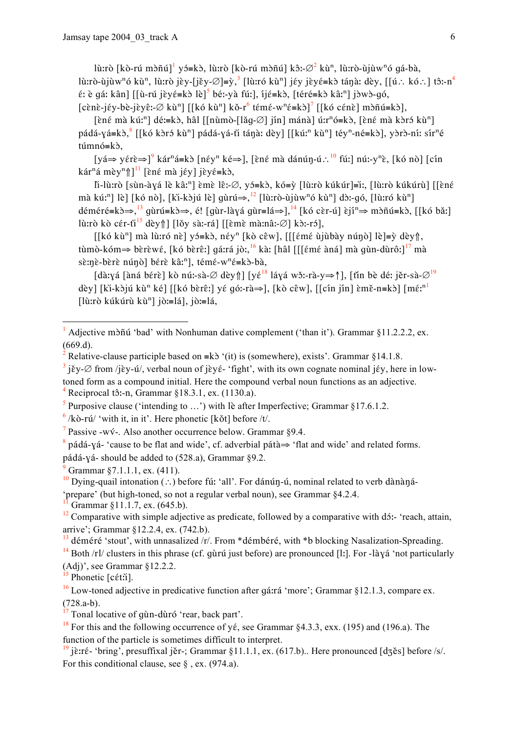lù:rò [kò-rú mòñú]<sup>1</sup> yó=kò, lù:rò [kò-rú mòñú] kô:- $\varnothing$ <sup>2</sup> kù<sup>n</sup>, lù:rò-ùjùw<sup>n</sup>ó qá-bà, lù:rò-ùjùw<sup>n</sup>ó kù<sup>n</sup>, lù:rò jèy-[jěy- $\emptyset$ ]=ỳ,<sup>3</sup> [lù:ró kù<sup>n</sup>] jéy jèyé=kò tánà: dèy, [[ú.: kó.:] tô:-n<sup>4</sup>  $\hat{\epsilon}$ : è qá: kân] [[ù-rú jèy $\hat{\epsilon}$ =kò lè]<sup>5</sup> bé:-yà fú:], íj $\hat{\epsilon}$ =kò, [tér $\hat{\epsilon}$ =kò kâ:<sup>n</sup>] jòwò-gó,  $[c\`{e}n\`{e}-j\`{e}y\`{e}-j\`{e}y\`{e}$ :  $\emptyset$  kù<sup>n</sup>] [[kó kù<sup>n</sup>] kǒ-r<sup>6</sup> témé-w<sup>n</sup>é=kò]<sup>7</sup> [[kó cénè] mòñú=kò],

[ềné mà kúː<sup>n</sup>] dé:=kò, hâl [[nùmò-[lǎq-Ø] jín] mánà] úːr<sup>n</sup>ó=kò, [ềné mà kòró kù<sup>n</sup>] pádá-yá=kò, <sup>8</sup> [[kó kòró kù<sup>n</sup>] pádá-yá-tì tánà: dèy] [[kú:<sup>n</sup> kù<sup>n</sup>] téy<sup>n</sup>-né=kò], yòrò-ní: sír<sup>n</sup>é  $túmnó=k\delta$ ,

[yá⇒ yérè⇒]<sup>9</sup> kár<sup>n</sup>á=kò [néy<sup>n</sup> ké⇒], [èné mà dánún-ú∴<sup>10</sup> fú:] nú:-y<sup>n</sup>è, [kó nò] [cín kár<sup>n</sup>á mèy<sup>n</sup> $\left[\right]$ <sup>11</sup> [èné mà jéy] jèyé=kò,

li-lù:rò [sùn-àyá lè kâ:<sup>n</sup>] èmè lê:-Ø, yó≡kò, kó≡ỳ [lù:rò kúkúr]≡i:, [lù:rò kúkúrù] [[èné mà kú:<sup>n</sup>] lè] [kó nò], [ki-kòjú lè] gùrú $\Rightarrow$ , <sup>12</sup> [lù:rò-ùjùw<sup>n</sup>ó kù<sup>n</sup>] dò:-gó, [lù:ró kù<sup>n</sup>] déméré=k $\Rightarrow$ ,  $\stackrel{13}{\rightarrow}$  qurú=k $\Rightarrow$ , é! [qur-làyá qur=lá $\Rightarrow$ ],  $\stackrel{14}{\rightarrow}$  [kó cèr-ú] èjí<sup>n</sup>  $\Rightarrow$  m $\stackrel{1}{\rightarrow}$ n $\stackrel{1}{\rightarrow}$  [kó bǎː] lù:rò kò cér-ti<sup>15</sup> dèy $\parallel$  [lǒy sà:-rá] [[èmè mà:nâ:-Ø] kò:-ró],

 $[[k\acute{o} k\grave{u}^n]$  mà lù:ró nè] yó=kò, néy<sup>n</sup> [kò cêw], [[[émé ùjùbày núnò] lè]=ỳ dèy↑, tùmò-kóm $\Rightarrow$  bèrèwé, [kó bèrê:] gárrá jò:,<sup>16</sup> kà: [hâl [[[émé àná] mà gùn-dùrô:]<sup>17</sup> mà sè:nè-bèrè núnò] bérè kâ:<sup>n</sup>], témé-w<sup>n</sup>é=kò-bà,

[dà:yá [àná bérè] kò nú:-sà- $\emptyset$  dèy $\uparrow$ ] [yé<sup>18</sup> láyá wǒ:-rà-y⇒ $\uparrow$ ], [tǐn bè dé: jěr-sà- $\emptyset^{19}$ dèy] [ki-kòjú kù<sup>n</sup> ké] [[kó bèrê:] yé qó:-rà $\Rightarrow$ ], [kò cêw], [[cín jín] èmě-n=kò] [mé:<sup>n1</sup>] [lù:rò kúkúrù kù<sup>n</sup>] jò:=lá], jò:=lá,

<sup>1</sup> Adjective mò $\tilde{n}$  and 'vith Nonhuman dative complement ('than it'). Grammar §11.2.2.2, ex.  $(669.d)$ 

- <sup>3</sup> jěy- $\varnothing$  from /jèy-ú/, verbal noun of jèyé- 'fight', with its own cognate nominal jéy, here in low-
- toned form as a compound initial. Here the compound verbal noun functions as an adjective. Reciprocal tô:-n, Grammar §18.3.1, ex. (1130.a).
- <sup>5</sup> Purposive clause ('intending to ...') with lè after Imperfective; Grammar §17.6.1.2.
- $\frac{6}{k}$  /kò-rú/ 'with it, in it'. Here phonetic [kǒt] before /t/.
- <sup>7</sup> Passive -wý-. Also another occurrence below. Grammar §9.4.

<sup>8</sup> pádá-yá- 'cause to be flat and wide', cf. adverbial pátà $\Rightarrow$  'flat and wide' and related forms. pádá-yá-should be added to (528.a), Grammar §9.2.

Grammar §7.1.1.1, ex. (411).

Grammar §11.1.7, ex. (645.b).

 $\frac{15}{15}$  Phonetic [c $\epsilon$ tii].

Relative-clause participle based on  $\equiv k\delta$  '(it) is (somewhere), exists'. Grammar §14.1.8.

<sup>&</sup>lt;sup>10</sup> Dying-quail intonation (...) before fú: 'all'. For dánún-ú, nominal related to verb dànàná-'prepare' (but high-toned, so not a regular verbal noun), see Grammar \$4.2.4.

 $\frac{12}{2}$  Comparative with simple adjective as predicate, followed by a comparative with d<sub>2</sub>: 'reach, attain, arrive'; Grammar §12.2.4, ex. (742.b).

 $^{13}$  déméré 'stout', with unnasalized /r/. From \*démbéré, with \*b blocking Nasalization-Spreading.

<sup>&</sup>lt;sup>14</sup> Both /rl/ clusters in this phrase (cf. quarti just before) are pronounced [1;]. For -layá 'not particularly  $(Adj)'$ , see Grammar §12.2.2.

 $^{16}$  Low-toned adjective in predicative function after gárrá 'more'; Grammar §12.1.3, compare ex.  $(728.a-b).$ 

<sup>&</sup>lt;sup>17</sup> Tonal locative of gùn-dùró 'rear, back part'.

<sup>&</sup>lt;sup>18</sup> For this and the following occurrence of yé, see Grammar  $84.3.3$ , exx. (195) and (196.a). The function of the particle is sometimes difficult to interpret.

<sup>&</sup>lt;sup>19</sup> jè:ré- 'bring', presuffixal jěr-; Grammar §11.1.1, ex. (617.b).. Here pronounced [dʒěs] before /s/. For this conditional clause, see  $\delta$ , ex. (974.a).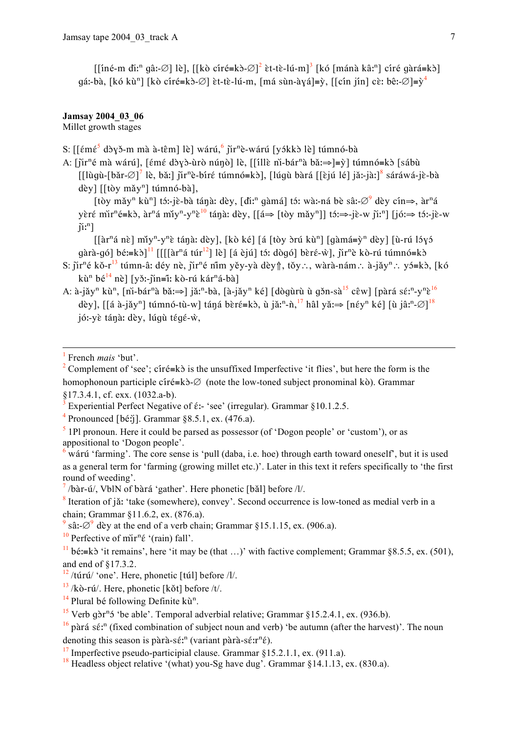$\left[\left[\text{in}\right]^{a} \text{ in} \right]$  qâ:-Ø] lè],  $\left[\left[\text{k}\right] \text{ of} \left[\text{min}\right]^{2} \text{ et} \left[\text{in} \right]^{a}\right]$   $\left[\text{k}\right]$   $\left[\text{min}\right]$  and  $\left[\text{min}\right]$  and  $\left[\text{min}\right]$ qá:-bà, [kó kù<sup>n</sup>] [kò círé=kò- $\emptyset$ ] èt-tè-lú-m, [má sùn-àyá]=ỳ, [[cín jín] cè: bê:- $\emptyset$ ]=ỳ<sup>4</sup>

### **Jamsay 2004 03 06**

Millet growth stages

```
S: [[ɛ̃mɛ̃<sup>5</sup> dòyǒ-m mà à-tɛ̂m] lè] wárú, ni<sup>o</sup> jir<sup>n</sup>è-wárú [yókkò lè] túmnó-bà
```
- A: [jir<sup>n</sup>é mà wárú], [émé dòyò-ùrò núnò] lè, [[illè ni-bár<sup>n</sup>à bǎ:⇒]≡ỳ] túmnó=kò [sábù [[lùgù-[bǎr- $\varnothing$ ]<sup>7</sup> lè, bǎ:] jǐr<sup>n</sup>è-bíré túmnó=kò], [lúgù bàrá [[èjú lé] jǎ:-jà:]<sup>8</sup> sáráwá-iè-bà dèy] [[tòy mǎy<sup>n</sup>] túmnó-bà],
	- [tòy mǎy<sup>n</sup> kù<sup>n</sup>] tó:-jè-bà tánà: dèy, [dìː<sup>n</sup> gàmá] tó: wà:-ná bè sâ:-Ø<sup>9</sup> dèv cín⇒. àr<sup>n</sup>á yèré mir<sup>n</sup>é=kò, àr<sup>n</sup>á miy<sup>n</sup>-y<sup>n</sup>è<sup>10</sup> tánà: dèy, [[á⇒ [tòy mǎy<sup>n</sup>]] tó:⇒-jè-w jìː<sup>n</sup>] [jóː⇒ tóː-jè-w  $\tilde{\mathbf{n}}$ : $\mathbf{a}$ ]

 $\left[\left[\hat{a}r^{n}\hat{a} \; n\hat{c}\right] \; m\hat{i}y^{n}-y^{n}\hat{c} \; t\hat{a}\eta\hat{a} \right]$ : dèy],  $\left[\hat{k}\hat{o} \; k\hat{c}\right]$   $\left[\hat{a} \; \left[\hat{t}\hat{o}y \; \hat{o}r\hat{u} \; k\hat{u}^{n}\right]$   $\left[\hat{g} \; \hat{a}m\hat{a}=\hat{y}^{n} \; d\hat{c}y\right]$   $\left[\hat{u}-r\hat{u} \; \hat{d}y\hat{c}\right]$ gàrà-gó] bé:=kò]<sup>11</sup> [[[[àr<sup>n</sup>á túr<sup>12</sup>] lè] [á èjú] tó: dògó] bèré-w̄], jir<sup>n</sup>è kò-rú túmnó=kò

- S:  $\tilde{\text{I}}$ ir<sup>n</sup>é kǒ-r<sup>13</sup> túmn-â: dév nè,  $\tilde{\text{I}}$ ir<sup>n</sup>é nim věv-và dèv f, tǒv..., wàrà-nám... à-jǎy<sup>n</sup>... vɔ́=kɔ̀, [kó kù<sup>n</sup> bé<sup>14</sup> nè] [yǒ:-jìn=î: kò-rú kár<sup>n</sup>á-bà]
- A: à-jǎy<sup>n</sup> kù<sup>n</sup>, [ni-bár<sup>n</sup>à bǎ: $\Rightarrow$ ] jǎ:<sup>n</sup>-bà, [à-jǎy<sup>n</sup> ké] [dòqùrù ù qǒn-sà<sup>15</sup> cêw] [pàrá sé:<sup>n</sup>-y<sup>n</sup>è<sup>16</sup> dèy], [[á à-jǎy<sup>n</sup>] túmnó-tù-w] táná bèré=kò, ù jǎː<sup>n</sup>-ǹ,<sup>17</sup> hâl yǎ:⇒ [nɛ́y<sup>n</sup> ké] [ù jâː<sup>n</sup>-∅]<sup>18</sup> jó:-yè tánà: dèy, lúgù tégé-ẁ,

<sup>4</sup> Pronounced [bé:j]. Grammar  $\S$ 8.5.1, ex. (476.a).

 $6$  wárú 'farming'. The core sense is 'pull (daba, i.e. hoe) through earth toward oneself', but it is used as a general term for 'farming (growing millet etc.)'. Later in this text it refers specifically to 'the first round of weeding'.

 $\frac{7}{2}$ /bàr-ú/, VblN of bàrá 'gather'. Here phonetic [bǎl] before /l/.

- <sup>8</sup> Iteration of jǎ: 'take (somewhere), convey'. Second occurrence is low-toned as medial verb in a chain; Grammar §11.6.2, ex. (876.a).
- sâ: $\varnothing^9$  dèy at the end of a verb chain; Grammar §15.1.15, ex. (906.a).

<sup>10</sup> Perfective of mir<sup>n</sup> $\acute{\epsilon}$  '(rain) fall'.

 $^{14}$  Plural bé following Definite ku<sup>n</sup>.

French *mais* 'but'.

<sup>&</sup>lt;sup>2</sup> Complement of 'see'; cîré=kò is the unsuffixed Imperfective 'it flies', but here the form is the homophonoun participle círé=k $\delta$ - $\varnothing$  (note the low-toned subject pronominal kò). Grammar  $817.3.4.1$ , cf. exx.  $(1032.a-b)$ .

Experiential Perfect Negative of  $\acute{\epsilon}$ :- 'see' (irregular). Grammar §10.1.2.5.

 $\frac{1}{2}$  1Pl pronoun. Here it could be parsed as possessor (of 'Dogon people' or 'custom'), or as appositional to 'Dogon people'.

<sup>&</sup>lt;sup>11</sup> bé:=k $\delta$  'it remains', here 'it may be (that ...)' with factive complement; Grammar §8.5.5, ex. (501), and end of §17.3.2.

 $\frac{12}{12}$ /túrú/ 'one'. Here, phonetic [túl] before /l/.

 $13$ /kò-rú/. Here, phonetic [kǒt] before/t/.

<sup>&</sup>lt;sup>15</sup> Verb gòr<sup>n</sup> ó 'be able'. Temporal adverbial relative; Grammar §15.2.4.1, ex. (936.b).

 $^{16}$  pàrá sé:<sup>n</sup> (fixed combination of subject noun and verb) 'be autumn (after the harvest)'. The noun denoting this season is pàrà-sé:<sup>n</sup> (variant pàrà-sé:r<sup>n</sup>é).

 $17$  Imperfective pseudo-participial clause. Grammar  $815.2.1.1$ , ex. (911.a).

<sup>&</sup>lt;sup>18</sup> Headless object relative '(what) you-Sg have dug'. Grammar  $\S$ 14.1.13, ex. (830.a).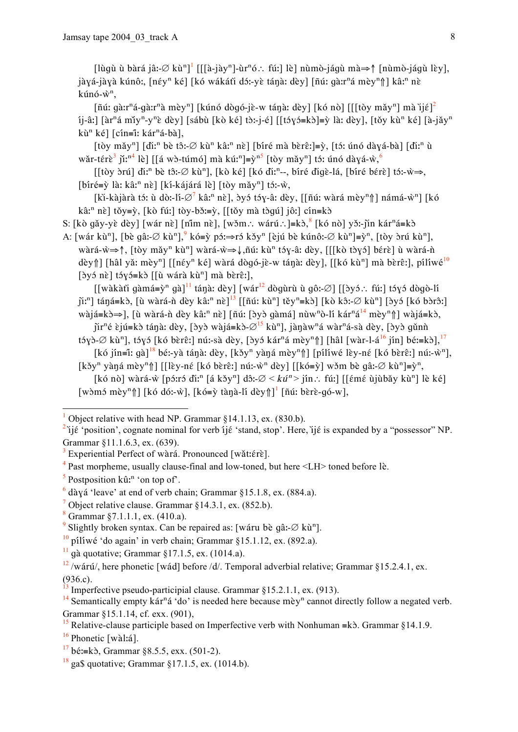[lùqù ù bàrá jâ:-∅ kù<sup>n]</sup> [[[à-jày<sup>n</sup>]-ùr<sup>n</sup>ó∴ fú:] lè] nùmò-jáqù mà⇒↑ [nùmò-jáqù lèy], jàyá-jàyà kúnô:, [néy<sup>n</sup> ké] [kó wákátì dó:-yè tánà: dèy] [ñú: qàːr<sup>n</sup>á mèy<sup>n</sup>î] kâ:<sup>n</sup> nè  $k$ únó- $\hat{w}^n$ .

 $\left[\tilde{\mathbf{n}}\tilde{\mathbf{u}}\right]$ : gà:  $\tilde{\mathbf{n}}$  gà:  $\tilde{\mathbf{n}}$ à mèy<sup>n</sup> $\left[\tilde{\mathbf{n}}\tilde{\mathbf{u}}\right]$  (ké và: dèy $\left[\tilde{\mathbf{n}}\tilde{\mathbf{v}}\right]$  (ké nò $\left[\tilde{\mathbf{n}}\tilde{\mathbf{v}}\right]$ ) mà  $\tilde{\mathbf{n}}\tilde{\mathbf{v}}\tilde{\mathbf{v}}$  $i$ i-âː] [àr<sup>n</sup>á mǐy<sup>n</sup>-y<sup>n</sup>è dèy] [sábù [kò ké] tò:-i-é] [[tóyó=kò]=ỳ là: dèy], [tǒy kù<sup>n</sup> ké] [à-jǎy<sup>n</sup> kù<sup>n</sup> ké] [cín=î: kár<sup>n</sup>á-bà],

[tòy mǎy<sup>n</sup>] [di:<sup>n</sup> bè tô:-Ø kù<sup>n</sup> kâ:<sup>n</sup> nè] [bíré mà bèrê:]=ỳ, [tó: únó dàyá-bà] [di:<sup>n</sup> ù wǎr-térè<sup>3</sup> jǐ:<sup>n4</sup> lè] [[á wò-túmó] mà kú:<sup>n</sup>]=ỳ<sup>n5</sup> [tòy mǎy<sup>n</sup>] tó: únó dàyá-ỳ, <sup>6</sup>

 $[[t\delta y \delta r\acute{u}] \del{d}i$ :<sup>n</sup> bè tô:-Ø kù<sup>n</sup>], [kò ké] [kó dì:<sup>n</sup>--, bíré digè-lá, [bíré bérè] tó:-ŵ⇒,  $[b$ íré=ỳ là: kâː<sup>n</sup> nè] [kí-kájárá lè] [tòy mǎy<sup>n</sup>] tó:-ẁ,

[ki-kàjàrà tớ: ù dò:-lí- $\varnothing$ <sup>7</sup> kâ:<sup>n</sup> nè], byó tớy-â: dèy, [[ñú: wàrá mèy<sup>n</sup>]] námá-w<sup>n</sup>] [kó kâ:<sup>n</sup> nè] tǒy=ỳ, [kò fú:] tòy-bǒ:=ỳ, [[tǒy mà tòqú] jô:] cín=kò

S: [kò gǎy-yè dèy] [wár nè] [nim nè], [wǒm.: wárú.: ]=kò,  $k$ [kó nò] yǒ:-jìn kár<sup>n</sup>á=kò

A: [wár kù<sup>n</sup>], [bè qâ:-Ø kù<sup>n</sup>], <sup>9</sup> kó=ỳ pó: $\Rightarrow$ ró kǒy<sup>n</sup> [èjú bè kúnô:-Ø kù<sup>n</sup>]=ỳ<sup>n</sup>, [tòy òrú kù<sup>n</sup>], wàrá-w→↑, [tòy mǎy<sup>n</sup> kù<sup>n</sup>] wàrá-w→↓,ñú: kù<sup>n</sup> tóy-â: dèy, [[[kò tòyó] bérè] ù wàrá-ǹ dèy fil [hâl yǎ: mèy<sup>n</sup>] [[néy<sup>n</sup> ké] wàrá dògó-jè-w tánà: dèy], [[kó kù<sup>n</sup>] mà bèrê:], pílíwé<sup>10</sup> [ $\gamma$ ớ nề] tớ $\gamma$ ớ = kò [[ù wárà kù<sup>n</sup>] mà bèrê:],

[[wàkàti gàmá=ỳ<sup>n</sup> gà]<sup>11</sup> tán·a: dèy] [wár<sup>12</sup> dògùrù ù gô:-Ø] [[byó.: fú:] tóyó dògò-lí  $\tilde{\mathbf{n}}$ :"] táná=kò, [ù wàrá-ǹ dèy kâ:" nè]<sup>13</sup> [[ñú: kù"] těy"=kò] [kò kô:-Ø kù"] [òyó [kó bòrô:] wàjá=kò $\Rightarrow$ ], [ù wàrá-ǹ dèy kâː<sup>n</sup> nè] [ñú: [byb qàmá] nùw<sup>n</sup>ò-li kár<sup>n</sup>á<sup>14</sup> mèy<sup>n</sup>↑] wàjá=kò,

 $\tilde{\text{pr}}^n$ é èjú=kò tánà: dèy, [byò wàjá=kò- $\varnothing^{15}$  kù<sup>n</sup>], jànàw<sup>n</sup>á wàr<sup>n</sup>á-sà dèy, [byò gǔnǹ tóyò-Ø kù<sup>n</sup>], tóyó [kó bèrê:] nú:-sà dèy, [òyó kár<sup>n</sup>á mèy<sup>n</sup>î] [hâl [wàr-l-á<sup>16</sup> jín] bé:=kò],<sup>17</sup>

[kó jín=ĩ: qà]<sup>18</sup> bé:-yà tánà: dèy, [kɔ̌yʰ yàná mèyʰn] [pílíwé lèy-né [kó bèrê:] nú:-ẘʰ], [kǒy<sup>n</sup> yàná mèy<sup>n</sup>î] [[lèy-né [kó bèrê:] nú:-ẁ<sup>n</sup> dèy] [[kó=ỳ] wǒm bè gâ:-∅ kù<sup>n</sup>]=ỳ<sup>n</sup>,

[kó nò] wàrá-ŵ [póːró dìː<sup>n</sup> [á kǒy<sup>n</sup>] dôː-Ø < kú<sup>n</sup> > jín :. fúː] [[émé ùjùbǎy kù<sup>n</sup>] lè ké] [wòmó mèy<sup>n</sup>]] [kó dó:-ŵ], [kó=ỳ tànà-lí dèy]]<sup>1</sup> [ñú: bèrè-qó-w],

Object relative clause. Grammar §14.3.1, ex. (852.b).

 $\frac{10}{2}$  pílíwé 'do again' in verb chain; Grammar §15.1.12, ex. (892.a).

 $\frac{11}{11}$  qà quotative; Grammar §17.1.5, ex. (1014.a).

Object relative with head NP. Grammar  $$14.1.13$ , ex.  $(830.b)$ .

<sup>&</sup>lt;sup>2</sup> $i$ jé 'position', cognate nominal for verb  $i$ jé 'stand, stop'. Here,  $i$ jé is expanded by a "possessor" NP. Grammar §11.1.6.3, ex. (639).

Experiential Perfect of wàrá. Pronounced [wǎt:érè].

 $4$  Past morpheme, usually clause-final and low-toned, but here  $\leq$ LH $>$  toned before lè.

<sup>&</sup>lt;sup>5</sup> Postposition  $k\hat{u}$ <sup>n</sup> 'on top of'.

 $6$  dày á 'leave' at end of verb chain; Grammar §15.1.8, ex. (884.a).

 $8$  Grammar §7.1.1.1, ex. (410.a).

<sup>&</sup>lt;sup>9</sup> Slightly broken syntax. Can be repaired as: [waru be q a :-  $\varnothing$  ku<sup>n</sup>].

 $\frac{12}{2}$ /wárú/, here phonetic [wád] before /d/. Temporal adverbial relative; Grammar §15.2.4.1, ex.  $(936c)$ 

Imperfective pseudo-participial clause. Grammar §15.2.1.1, ex. (913).

<sup>&</sup>lt;sup>14</sup> Semantically empty  $k\acute{a}r^n\acute{a}^d$  o' is needed here because mey<sup>n</sup> cannot directly follow a negated verb. Grammar §15.1.14, cf. exx. (901).

<sup>&</sup>lt;sup>15</sup> Relative-clause participle based on Imperfective verb with Nonhuman = k $\delta$ . Grammar §14.1.9.

 $16$  Phonetic [wàl:a].

 $^{17}$  bé:=kò, Grammar §8.5.5, exx. (501-2).

 $\frac{18}{18}$  ga\$ quotative: Grammar 817.1.5, ex. (1014.b).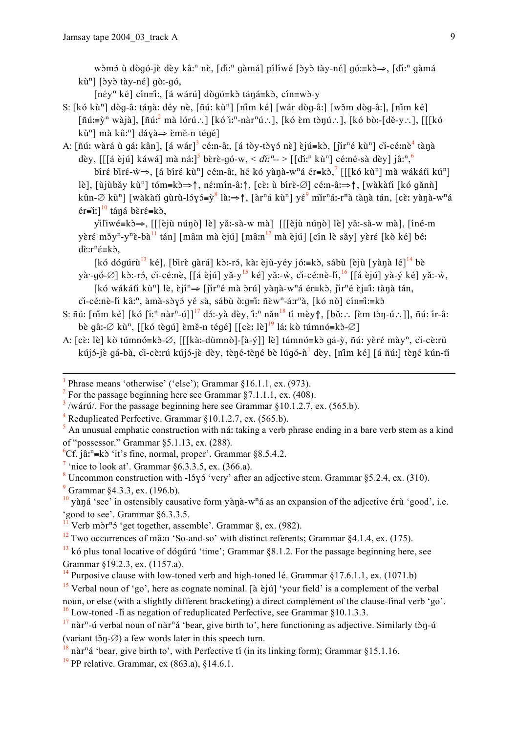wòmó ù dògó-jè dèy kâ:<sup>n</sup> nè, [diː<sup>n</sup> qàmá] pílíwé [byb tày-né] gó:=kb⇒, [diː<sup>n</sup> qàmá kù<sup>n</sup>] [dy chay-né] qò:-qó,

 $[n \in y^n \text{ k\'e}]$  cín=î:, [á wárú] dògó=kò táná=kò, cín=wò-y

- S: [kó kù<sup>n</sup>] dòq-â: tánà: déy nè, [ñú: kù<sup>n</sup>] [nim ké] [wár dòq-â:] [wǒm dòq-â:], [nim ké]  $\lceil \tilde{n} u \rceil = \tilde{v}^n$  wàjà],  $\lceil \tilde{n} u \rceil^2$  mà lórú. [kó ì: nàr<sup>n</sup>ú. ], [kó èm tònú. ], [kó bò:-[dě-y. ], [[[kó kù<sup>n</sup>] mà kû:<sup>n</sup>] dáyà $\Rightarrow$  èmě-n tégé]
- A: [ñú: wàrá ù gá: kân], [á wár]<sup>3</sup> cé:n-â:, [á tòy-tòyó nè] èjú=kò, [jìr<sup>n</sup>é kù<sup>n</sup>] ci-cé:nè<sup>4</sup> tànà dèy, [[[á èjú] káwá] mà ná:]<sup>5</sup> bèrè-qó-w, < di:<sup>n</sup>- > [[di:<sup>n</sup> kù<sup>n</sup>] cé:né-sà dèy] jâ:<sup>n</sup>,<sup>6</sup>
	- bíré biré-w⇒, [á bíré kù<sup>n</sup>] cé:n-â:, hé kó yàna-w<sup>n</sup>á ér=kò,<sup>7</sup> [[[kó kù<sup>n</sup>] mà wákáti kú<sup>n</sup>] lè], [ùjùbǎy kù<sup>n</sup>] tóm=kò $\Rightarrow$ ↑, né:mín-â:↑, [cè: ù bírè-Ø] cé:n-â: $\Rightarrow \uparrow$ , [wàkàtǐ [kó gǎnǹ] kûn-Ø kù<sup>n</sup>] [wàkàtǐ qùrù-lɔ́yɔ́=v̀<sup>8</sup> làː⇒↑, [àr<sup>n</sup>á kù<sup>n</sup>] yé<sup>9</sup> mǐr<sup>n</sup>á:-r<sup>n</sup>à tànà tán, [cè: yànà-w<sup>n</sup>á  $er\equiv$ i:]<sup>10</sup> táná bèré=kò,

yiliwé = k d →, [[[èjù núno] lè] yǎː-sà-w mà] [[[èjù núno] lè] yǎː-sà-w mà], [íné-m yèré měy<sup>n</sup>-y<sup>n</sup>è-bà<sup>11</sup> tán] [mâ:n mà èjú] [mâ:n<sup>12</sup> mà èjú] [cín lè sǎy] yèré [kò ké] bé:  $d\tilde{\varepsilon}$ :  $r^n \tilde{\varepsilon} = k \tilde{\varepsilon}$ ,

[kó dógúrù<sup>13</sup> ké]. [bìrè gàrá] kò:-ró, kà: èiù-vév jó:=kò, sábù [èiù [vànà lé]<sup>14</sup> bè và·-gó-∅] kò:-ró, ci-cé:nè, [[á èiú] vǎ-v<sup>15</sup> ké] vǎ:-ẁ, ci-cé:nè-li, <sup>16</sup> [[á èiú] và-ý ké] vǎ:-ẁ, [kó wákáti kù<sup>n</sup>] lè, èjî<sup>n</sup>  $\Rightarrow$  [jìr<sup>n</sup>é mà òrú] yànà-w<sup>n</sup>á ér=kò, jìr<sup>n</sup>é èj=ĩ: tànà tán, ci-cé:nè-li kâ:<sup>n</sup>, àmà-sòyó yé sà, sábù ò:q=î: ñèw<sup>n</sup>-á:r<sup>n</sup>à, [kó nò] cín=î:=kò

- S: ñú: [nim ké] [kó [iː<sup>n</sup> nàr<sup>n</sup>-ú]]<sup>17</sup> dɔ́:-yà dèy, iː<sup>n</sup> nǎn<sup>18</sup> tí mèy f], [bǒ: ∴ [ɛ̀m tɔ̀ŋ-ú∴]], ñú: ir-â: bè gâ:-Ø kù<sup>n</sup>, [[kó tègú] èmě-n tégé] [[cè: lè]<sup>19</sup> lá: kò túmnó=kò-Ø]
- A: [cè: lè] kò túmnó=kò-Ø, [[[kà:-dùmnò]-[à-ý]] lè] túmnó=kò qá-ỳ, ñú: yèré mày<sup>n</sup>, ci-cè:rú kújó-jè gá-bà, ci-cè:rú kújó-jè dèy, tèné-tèné bè lúgó-n<sup>1</sup> dèy, [nim ké] [á ñú:] tèné kún-ti

<sup>4</sup> Reduplicated Perfective. Grammar  $\S 10.1.2.7$ , ex. (565.b).

 $\frac{7}{1}$  'nice to look at'. Grammar §6.3.3.5, ex. (366.a).

 $^{9}$  Grammar  $84.3.3$ , ex. (196.b).

 $\frac{12}{12}$  Two occurrences of mâm 'So-and-so' with distinct referents; Grammar §4.1.4, ex. (175).

<sup>&</sup>lt;sup>1</sup> Phrase means 'otherwise' ('else'): Grammar  $$16.1.1$ , ex. (973).

<sup>&</sup>lt;sup>2</sup> For the passage beginning here see Grammar  $\S$ 7.1.1.1, ex. (408).

 $3/\psi$  /wárú/. For the passage beginning here see Grammar §10.1.2.7, ex. (565.b).

 $\frac{1}{2}$  An unusual emphatic construction with ná: taking a verb phrase ending in a bare verb stem as a kind of "possessor." Grammar  $\S$ 5.1.13, ex. (288).

<sup>&</sup>lt;sup>6</sup>Cf. jâ:<sup>n</sup>=kò 'it's fine, normal, proper'. Grammar §8.5.4.2.

<sup>&</sup>lt;sup>8</sup> Uncommon construction with -15 $\gamma$ 5 'very' after an adjective stem. Grammar §5.2.4, ex. (310).

 $\frac{10}{10}$  yàna 'see' in ostensibly causative form yànà-w<sup>n</sup>á as an expansion of the adjective érù 'good', i.e.  $^{\circ}$  good to see'. Grammar §6.3.3.5.

Verb mòr<sup>n</sup>ó 'get together, assemble'. Grammar §, ex. (982).

 $13$  kó plus tonal locative of dóqurú 'time'; Grammar §8.1.2. For the passage beginning here, see Grammar §19.2.3, ex. (1157.a).

<sup>&</sup>lt;sup>14</sup> Purposive clause with low-toned verb and high-toned lé. Grammar §17.6.1.1, ex. (1071.b)

<sup>&</sup>lt;sup>15</sup> Verbal noun of 'go', here as cognate nominal. [à èi uni vour field' is a complement of the verbal noun, or else (with a slightly different bracketing) a direct complement of the clause-final verb 'go'.  $^{16}$  Low-toned - I as negation of reduplicated Perfective, see Grammar §10.1.3.3.

 $^{17}$  nàr<sup>n</sup>-ú verbal noun of nàr<sup>n</sup>á 'bear, give birth to', here functioning as adjective. Similarly tòn-ú (variant těn $-\emptyset$ ) a few words later in this speech turn.

 $^{18}$  nàr<sup>n</sup>á 'bear, give birth to', with Perfective ti (in its linking form); Grammar §15.1.16.

 $^{19}$  PP relative Grammar ex (863 a) 814 61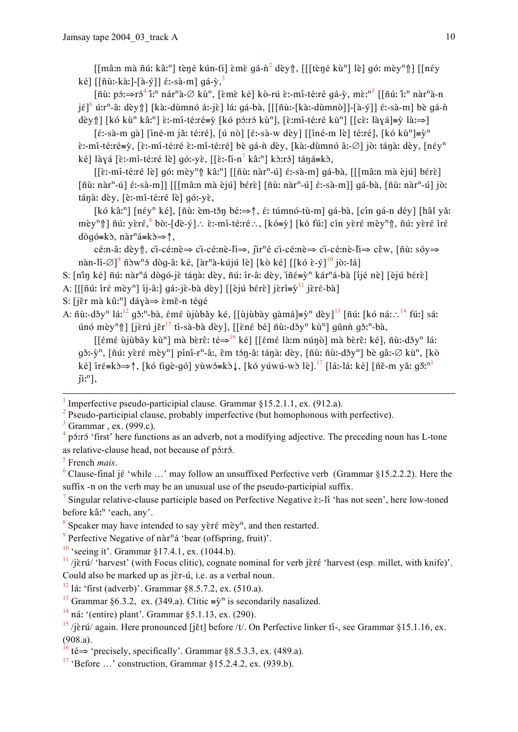$\left[\left[\text{mâ:n mà ñú: kâ:}\right]$  tèné kún-ti] èmè gá-n<sup>2</sup> dèy  $\left[\text{mie} \times \text{h}^2\right]$  lè qó: mèy<sup>n</sup> $\left[\text{mie} \times \text{h}^2\right]$ ké] [[ñù:-kà:]-[à-ý]]  $\epsilon$ :-sà-m] gá-ỳ,<sup>3</sup>

[ñù: pó:⇒ró<sup>4</sup> îː<sup>n</sup> nár<sup>n</sup>à-∅ kù<sup>n</sup>, [ềmề ké] kò-rú ề:-mí-té:ré qá-ỳ, mề:<sup>n5</sup> [[ñú: îː<sup>n</sup> nàr<sup>n</sup>à-n  $j\in\left[\begin{matrix} 6 \\ 0 \end{matrix}\right]$  (kà:-dùmnó á:-jɛ̀] lá: qá-bà, [[[ñù:-[kà:-dùmnò]]-[à-ý]]  $\epsilon$ :-sà-m] bè qá-n

dèy  $\| [\text{kó kù}^n \text{kâ}^n]$  è:-mi-té:ré=ỳ  $[\text{kó pó: ró kù}^n]$ ,  $[\text{\`e: mí-té: ré kù}^n]$   $[ [\text{cè: laya}] = \text{ù} \rightarrow]$ 

 $[\hat{\epsilon}$ :-sà-m gà]  $[\hat{\text{in}}\hat{\epsilon}$ -m jǎ: té:ré],  $[\hat{\text{u}}\hat{\text{ no}}]$   $[\hat{\epsilon}$ :-sà-w dèy]  $[\hat{\text{in}}\hat{\epsilon}$ -m lè] té:ré],  $[\hat{\text{k}}\hat{\text{o}}\hat{\text{k}}\hat{\text{u}}] = \hat{\text{y}}$ <sup>n</sup> è:-mí-té:ré≡ỳ, [è:-mí-té:ré è:-mí-té:ré] bè qá-ǹ dèy, [kà:-dùmnó â:-Ø] jò: tánà: dèy, [néy<sup>n</sup> ké] làyá [è:-mí-té:ré lè] gó:-yè, [[è:-li-n<sup>7</sup> kâ:<sup>n</sup>] kò:ró] táná=kò,

 $\left[\left[\hat{\epsilon}:\text{m1-té:re} \text{ le}\right]$  gó: mèy<sup>n</sup> $\left[\right]$  kâ:<sup>n</sup> $\left[\left[\left[\tilde{\mathfrak{n}}\right]\right]$  nàr<sup>n</sup>-ú $\left[\right]$  é:-sà-m $\left[\right]$  gá-bà,  $\left[\left[\left[\left[\tilde{\mathfrak{m}}\right]\right]\right]$  mà èjú $\left[\right]$  bérè $\left[\right]$  $\lceil \tilde{n} \tilde{u} \rceil$ : nàr<sup>n</sup>-ú $\lceil \tilde{e} \rceil$ : sà-m $\lceil \lceil \lceil \tilde{m} \tilde{u} \rceil$ : mà èjú $\lceil \tilde{b} \rceil$   $\lceil \tilde{n} \tilde{u} \rceil$ : nàr<sup>n</sup>-ú $\lceil \tilde{e} \rceil$ : sà-m $\lceil \lceil \tilde{g} \rceil$ : nàr<sup>n</sup>-ú $\lceil \tilde{g} \rceil$ : nàr<sup>n</sup>-ú $\lceil \tilde{g} \rceil$ : tánà: dèy, [è:-mí-té:ré lè] gó:-yè,

[kó kâː<sup>n</sup>] [nɛ́y<sup>n</sup> ké], [ñù: èm-tǒn béː⇒↑, ɛ́: túmnó-tù-m] gá-bà, [cín gá-n déy] [hâl yǎː mèy<sup>n</sup>î | ñú: yèré, bò:-[dè-ý].: è:-mí-té:ré.:, [kó=ỳ] [kó fú:] cín yèré mèy<sup>n</sup>î, ñú: yèré íré  $d\delta q \acute{o} = k \grave{o}$ , nàr<sup>n</sup>á=k $\grave{o} \Rightarrow \uparrow$ ,

cé:n-â: dèy ↑, ci-cé:nè⇒ ci-cé:nè-li⇒, jir<sup>n</sup>é ci-cé:nè⇒ ci-cé:nè-li⇒ cêw, [ñù: sóy⇒ nàn-lí- $\varnothing$ ]<sup>9</sup> ñòw<sup>n</sup>ó dòq-â: ké, [àr<sup>n</sup>à-kújú lè] [kò ké] [[kó è-ý]<sup>10</sup> jò:-lá]

S: [nin ké] nú: nàr<sup>n</sup>á dògó-iề tánà: dèv, nú: ír-â: dèv, iñ ε=v<sup>n</sup> kár<sup>n</sup>á-bà [ijé nè] [èjú bérè]

- A:  $[[\tilde{n}\tilde{u}: \tilde{n}\tilde{\epsilon} \tilde{m}]\tilde{v}]$  îj-â: qá:-jè-bà dèy] [[èjú bérè] jèrí= $\tilde{v}$ <sup>11</sup> jèré-bà]
- S: [jěr mà kû:<sup>n</sup>] dáyà $\Rightarrow$  èmě-n tégé
- A: n̄ù:-dɔ̌y<sup>n</sup> láː<sup>12</sup> gɔ̌:<sup>n</sup>-bà, ɛ́mɛ́ ùjùbǎy ké, [[ùjùbày gàmá]=ỳ<sup>n</sup> dèy]<sup>13</sup> [ñú: [kó ná: : <sup>14</sup> fú:] sá: únó mèy<sup>n</sup>î [jèrú jěr<sup>15</sup> tí-sà-bà dèy], [[èné bé] ñù:-dǒy<sup>n</sup> kù<sup>n</sup>] gǔnǹ gǒ:<sup>n</sup>-bà,

[[ếmế ùjùbǎy kù<sup>n</sup>] mà bèrê: té $\Rightarrow$ <sup>16</sup> ké] [[ếmế là:m nún̥ò] mà bèrê: ké], ñù:-dǒy<sup>n</sup> lá:  $q\delta$ :-ỳ<sup>n</sup>, [ñú: yèré mèy<sup>n</sup>] píní-r<sup>n</sup>-â:, êm tón-â: tánà: dèy, [ñù: ñù:-dǒy<sup>n</sup>] bè qâ:-Ø kù<sup>n</sup>, [kò ké] íré=kò⇒↑, [kó tigè-gó] yùwó=kò↓, [kó yúwú-wò lè].<sup>17</sup> [lá:-lá: ké] [ñě-m yǎ: gɔ̃:<sup>n1</sup>  $\tilde{\mathfrak{u}}^n$ .

Imperfective pseudo-participial clause. Grammar §15.2.1.1, ex. (912.a).

Pseudo-participial clause, probably imperfective (but homophonous with perfective).

Grammar, ex. (999.c).

<sup>6</sup> Clause-final jé 'while ...' may follow an unsuffixed Perfective verb (Grammar §15.2.2.2). Here the suffix -n on the verb may be an unusual use of the pseudo-participial suffix.

<sup>7</sup> Singular relative-clause participle based on Perfective Negative  $\hat{\epsilon}$ :-11 'has not seen', here low-toned before kâ:<sup>n</sup> 'each, any'.

 $8$  Speaker may have intended to say yèré mèy<sup>n</sup>, and then restarted.

<sup>9</sup> Perfective Negative of nàr<sup>n</sup>á 'bear (offspring, fruit)'.

 $10$  'seeing it'. Grammar  $817.4.1$ , ex. (1044.b).

 $\frac{11}{2}$  /jɛ̀rú/ 'harvest' (with Focus clitic), cognate nominal for verb jɛ̀rɛ́ 'harvest (esp. millet, with knife)'. Could also be marked up as jèr-ú, i.e. as a verbal noun.

 $^{12}$  1á: 'first (adverb)'. Grammar §8.5.7.2, ex. (510.a).

<sup>13</sup> Grammar §6.3.2, ex. (349.a). Clitic  $\equiv \hat{y}^n$  is secondarily nasalized.

 $^{14}$  ná: '(entire) plant'. Grammar §5.1.13, ex. (290).

 $\frac{4}{3}$  p<sub>2</sub> if inst the functions as an adverb, not a modifying adjective. The preceding noun has L-tone as relative-clause head, not because of pó:ró.

 $<sup>5</sup>$  French *mais*.</sup>

 $\frac{15}{15}$ /jèrú/ again. Here pronounced [jět] before /t/. On Perfective linker tí-, see Grammar §15.1.16, ex.  $(908.a)$ .

<sup>&</sup>lt;sup>16</sup> té⇒ 'precisely, specifically'. Grammar §8.5.3.3, ex. (489.a).

 $17$  'Before ...' construction. Grammar  $815.2.4.2$ , ex. (939.b).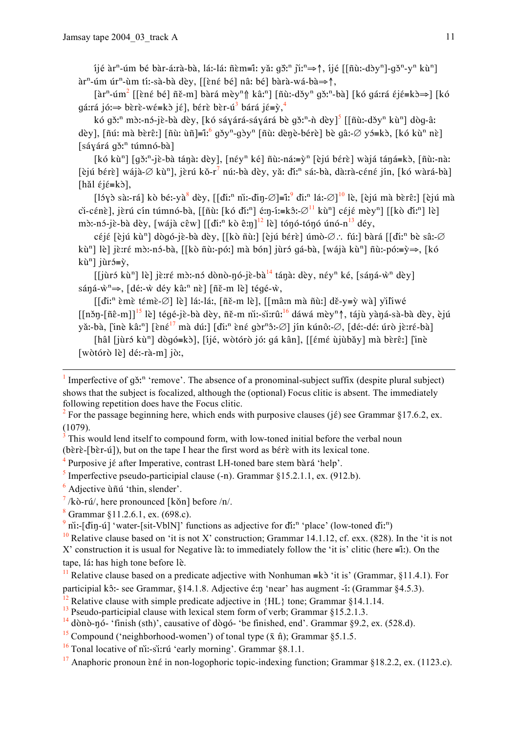ijé àr<sup>n</sup>-úm bé bàr-á:rà-bà, lá:-lá: ñèm≡î: yǎ: gồ:<sup>n</sup> jì:<sup>n</sup>⇒↑, ijé [[ñù:-dòy<sup>n</sup>]-gð<sup>n</sup>-y<sup>n</sup> kù<sup>n</sup>] àr<sup>n</sup>-úm úr<sup>n</sup>-ùm tí:-sà-bà dèy, [[ềné bé] nâ: bé] bàrà-wá-bà⇒↑,

 $\left[\hat{a}r^n - \hat{u}m^2\right]$  [[èné bé]  $\tilde{n}\tilde{\epsilon}$ -m] bàrá mèy<sup>n</sup> $\hat{a}$  kâ:<sup>n</sup>] [ $\tilde{n}\tilde{u}$ :-dǎy<sup>n</sup> qǎ:<sup>n</sup>-bà] [kó qá:rá  $\tilde{\epsilon}$  j $\tilde{\epsilon} = k\tilde{a} \Rightarrow$ ] [kó gárrá jó:⇒ bèrè-wé=kò jé], bérè bèr-ú<sup>3</sup> bárá jé=ỳ,<sup>4</sup>

kó gž<sup>n</sup> m<sub>2</sub>:-n<sub>2</sub>-jè-bà dèy, [kó sáyárá-sáyárá bè gž<sup>n</sup>-ǹ dèy]<sup>5</sup> [[ñù:-džy<sup>n</sup> kù<sup>n</sup>] dòg-â: dèy], [ñú: mà bèrê:] [ñù: ùñ]=î:  $^{6}$  gǒy<sup>n</sup>-gòy<sup>n</sup> [ñù: dènè-bérè] bè gâ:- $\varnothing$  yó=kò, [kó kù<sup>n</sup> nè]  $[sáyárá gð<sup>n</sup> túmnó-bà]$ 

[kó kù<sup>n</sup>] [gǒː<sup>n</sup>-jè-bà tánaː dèy], [néy<sup>n</sup> ké] ñùː-náː=ỳ<sup>n</sup> [èjú bérè] wàjá táná=kò, [ñùː-nàː [èjú bérè] wájà-Ø kù<sup>n</sup>], jèrú kǒ-r<sup>7</sup> nú:-bà dèy, yǎ: đí:<sup>n</sup> sá:-bà, dà:rà-céné jín, [kó wàrá-bà] [hǎl  $\epsilon$ j $\epsilon$ =kò],

 $\left[15y\right)$  sà:-rá] kò bé:-yà dèy,  $\left[0.6x\right]$ ni:-dìn- $\emptyset$ ]=ĩ: diː<sup>n</sup> lá:- $\emptyset$ ]<sup>10</sup> lè, [èiú mà bèrêː] [èiú mà ci-cénè], jèrú cín túmnó-bà, [[ñù: [kó dǐː<sup>n</sup>] é:n-í:=kô:- $\varnothing$ <sup>11</sup> kù<sup>n</sup>] céjé mèy<sup>n</sup>] [[kò dǐː<sup>n</sup>] lè] m $\delta$ :-n $\delta$ -jề-bà dèy, [wájà cêw] [[điː<sup>n</sup> kò êːŋ]<sup>12</sup> lè] tón $\delta$ -tón $\delta$  ún $\delta$ -n<sup>13</sup> déy,

céjé [èjú kù<sup>n</sup>] dògó-jè-bà dèy, [[kò ñùː] [èjú bérè] úmò-Ø∴ fúː] bàrá [[diː<sup>n</sup> bè sâː-Ø kù<sup>n</sup>] lè] jè:ré mò:-nó-bà, [[kò ñù:-pó:] mà bón] jùró gá-bà, [wájà kù<sup>n</sup>] ñù:-pó:≡ỳ⇒, [kó kù<sup>n</sup>] jùró= $\dot{v}$ ,

*l*<br>[[jùrɔ́ kù<sup>n</sup>] lè] jè:ré mɔ̀:-nɔ́ dònò-ŋó-jè-bà<sup>14</sup> táŋà: dèy, néy<sup>n</sup> ké, [sáŋá-ẁ<sup>n</sup> dèy] sáná- $\dot{w}^n \Rightarrow$ , [dé:- $\dot{w}$  déy kâ:<sup>n</sup> nè] [ñě-m lè] tégé- $\dot{w}$ ,

 $\left[\right]$ di:<sup>n</sup> èmè témè-Ø] lè] lá:-lá:,  $\left[\right]$  ně-m lè],  $\left[\right]$  mâ:n mà n̄ù:] dě-y=ỳ wà] yiliwé  $\left[\frac{\pi}{n}-\frac{\pi}{n}\right]$  lè letes-jè-bà dèy, ñě-m ni:-si:rû:<sup>16</sup> dáwá mèy<sup>n</sup>î, tájù yàná-sà-bà dèy, èjú yǎ:-bà, [inè kâ:<sup>n</sup>] [ɛ̀nɛ́<sup>17</sup> mà dú:] [diː<sup>n</sup> ɛ̀nɛ́ ɡɔ̀r<sup>n</sup>ɔ̂:-Ø] jín kúnô:-Ø, [dé:-dé: úrò jɛ̀:rɛ́-bà]

[hâl [jùrɔ́ kù<sup>n</sup>] dògo = kò], [ijé, wòtorò jo: ga kân], [[ɛ́mɛ́ ùjùbǎy] mà bèrɛ̂:] [inè [wòtórò lè] dé:-rà-m] jò:,

Imperfective of g<sub>3</sub><sup>n</sup> 'remove'. The absence of a pronominal-subject suffix (despite plural subject) shows that the subject is focalized, although the (optional) Focus clitic is absent. The immediately following repetition does have the Focus clitic.

Purposive jé after Imperative, contrast LH-toned bare stem bàrá 'help'.

- <sup>5</sup> Imperfective pseudo-participial clause  $(-n)$ . Grammar §15.2.1.1, ex.  $(912.b)$ .
- $<sup>6</sup>$  Adjective  $\tilde{u}$  fi  $\tilde{u}$  'thin, slender'.</sup>

 $\frac{7}{k}$  /kò-rú/, here pronounced [kǒn] before /n/.

 $8$  Grammar §11.2.6.1, ex. (698.c).

 $9$  ni:-[din-u] 'water-[sit-VblN]' functions as adjective for di<sup>n</sup> 'place' (low-toned di<sup>n</sup>)

<sup>10</sup> Relative clause based on 'it is not X' construction; Grammar 14.1.12, cf. exx. (828). In the 'it is not X' construction it is usual for Negative là: to immediately follow the 'it is' clitic (here  $\equiv$ i:). On the tape, lá: has high tone before lè.

<sup>12</sup> Relative clause with simple predicate adjective in  $\{HL\}$  tone; Grammar §14.1.14.

 $^{13}$  Pseudo-participial clause with lexical stem form of verb; Grammar §15.2.1.3.

- $^{14}$  dònò-nó- 'finish (sth)', causative of dògó- 'be finished, end'. Grammar §9.2, ex. (528.d).
- <sup>15</sup> Compound ('neighborhood-women') of tonal type  $(\bar{x} \hat{n})$ ; Grammar §5.1.5.
- $\frac{16}{16}$  Tonal locative of ni:-si:rú 'early morning'. Grammar §8.1.1.
- <sup>17</sup> Anaphoric pronoun  $\hat{\epsilon}$  in non-logophoric topic-indexing function; Grammar §18.2.2, ex. (1123.c).

<sup>&</sup>lt;sup>2</sup> For the passage beginning here, which ends with purposive clauses (i  $\epsilon$ ) see Grammar §17.6.2. ex.  $(1079)$ 

This would lend itself to compound form, with low-toned initial before the verbal noun (bèrè-[bèr-ú]), but on the tape I hear the first word as bérè with its lexical tone.

<sup>&</sup>lt;sup>11</sup> Relative clause based on a predicate adjective with Nonhuman = k $\delta$  'it is' (Grammar, §11.4.1). For participial kô:- see Grammar, 814.1.8. Adjective é:n 'near' has augment -í: (Grammar 84.5.3).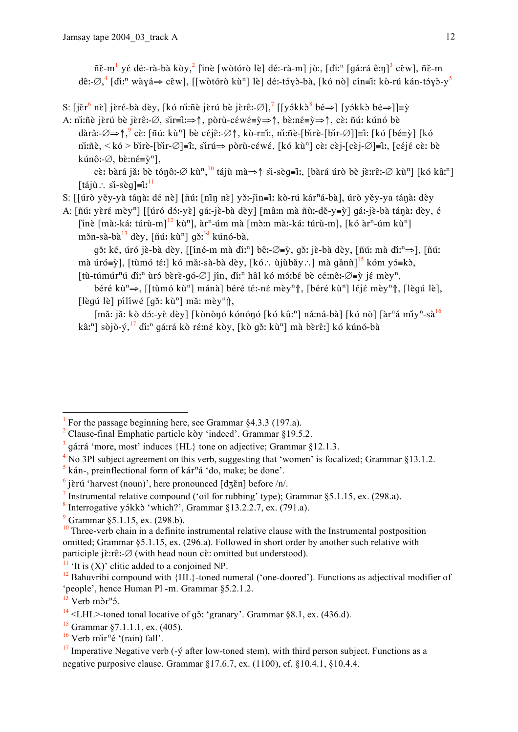ñě-m<sup>1</sup> yé dé:-rà-bà kòy,<sup>2</sup> [inè [wòtórò lè] dé:-rà-m] jò:, [diː<sup>n</sup> [qáːrá êːn]<sup>3</sup> cêw], ñě-m dê:- $\varnothing$ ,  $\left[\right]$ dî:<sup>n</sup> wàyá $\Rightarrow$  cêw], [[wòtórò kù<sup>n</sup>] lè] dé:-ts/y bà, [kó nò] cín=î: kò-rú kán-ts/y >-y <sup>5</sup>

- S:  $[i\text{er}^6 \text{ në}]$  jeré-bà dèy, [kó ni:ñè jerú bè jerê:- $\varnothing$ ],  $\big[$ [yókk $\delta^8$  bé $\Rightarrow$ ] [yókk $\delta$  bé $\Rightarrow$ ]]= $\gamma$
- A: ni:ñè jèrú bè jèrê:- $\emptyset$ , sir=iː $\Rightarrow$  $\uparrow$ , pòrù-céwé= $\rightarrow \Rightarrow \uparrow$ , bè:né= $\rightarrow \Rightarrow \uparrow$ , cè: ñú: kúnó bè dàrâ:- $\emptyset \Rightarrow \uparrow$ ,  $\circ$  cè: [ñú: kù<sup>n</sup>] bè céjê:- $\emptyset \uparrow$ , kò-r=î:, ni:ñè-[bìrè-[bìr- $\emptyset$ ]]=ĩ: [kó [bé=ỳ] [kó ni:ñe. < kó > bire-[bir- $\emptyset$ ]=î:. sirú $\Rightarrow$  pòrù-céwé. [kó kù<sup>n</sup>] cè: cèj-[cèj- $\emptyset$ ]=ĩ:. [céjé cè: bè kúnô:- $\varnothing$ , bè:n $\acute{\epsilon} = \grave{y}^n$ ],

cè: bàrá jǎ: bè tónô:-Ø kù<sup>n</sup>,<sup>10</sup> tájù mà $\Rightarrow$ † sì-sèg≡î:, [bàrá úrò bè jè:rê:-Ø kù<sup>n</sup>] [kó kâ:<sup>n</sup>] [tájù∴ si-sèg]≡i<sup>11</sup>

- S: [[úrò yěy-yà tánà: dé nè] [ñú: [nin nè] yǒ:-jin=î: kò-rú kár<sup>n</sup>á-bà], úrò yěy-ya tánà: dèy
- A: [ñú: yèré mèy<sup>n</sup>] [[úró dɔ́:-yè] gá:-jè-bà dèy] [mâ:n mà ñù:-dě-y=ỳ] gá:-jè-bà tánà: dèy, é [inè [mà:-ká: túrù-m]<sup>12</sup> kù<sup>n</sup>], àr<sup>n</sup>-úm mà [mò:n mà:-ká: túrù-m], [kó àr<sup>n</sup>-úm kù<sup>n</sup>] měn-sà-bà<sup>13</sup> dèy, [ñú: kù<sup>n</sup>] qě:<sup>14</sup> kúnó-bà,

gǒ: ké, úró jè-bà dèy, [[îné-m mà đìː<sup>n</sup>] bê:-Ø≡ỳ, gǒ: jè-bà dèy, [ñú: mà đĩː<sup>n</sup>⇒], [ñú: mà úró=ỳ], [tùmó téː] kó mǎ:-sà-bà dèy, [kó.: ùjùbǎy.: ] mà gǎnǹ]<sup>15</sup> kóm yó=kò, [tù-túmúr<sup>n</sup>ú đi:<sup>n</sup> ùr bèrè-q  $\varphi$ ] jín, đi:<sup>n</sup> hâl kó m i bè cé:nê:- $\varnothing = \tilde{y}$  jé mèy<sup>n</sup>,

béré kù<sup>n</sup>⇒, [[tùmó kù<sup>n</sup>] mánà] béré té:-né mèy<sup>n</sup>↑, [béré kù<sup>n</sup>] léjé mèy<sup>n</sup>↑, [lèqú lè], [lèqu lè] pílíwé [qǒ: kù<sup>n</sup>] mǎ: mèy<sup>n</sup>î,

[mǎ: jǎ: kò dɔ́:-yè dèy] [kònònó kónónó [kó kû:<sup>n</sup>] ná:ná-bà] [kó nò] [àr<sup>n</sup>á mǐy<sup>n</sup>-sà<sup>16</sup> kâ:<sup>n</sup>] sòjò-ý,<sup>17</sup> đi:<sup>n</sup> gá:rá kò ré:né kòy, [kò gǒ: kù<sup>n</sup>] mà bèrê:] kó kúnó-bà

 $4$  No 3Pl subject agreement on this verb, suggesting that 'women' is focalized; Grammar §13.1.2.

For the passage beginning here, see Grammar  $84.3.3$  (197.a).

Clause-final Emphatic particle kòy 'indeed'. Grammar §19.5.2.

gárrá 'more, most' induces {HL} tone on adjective; Grammar §12.1.3.

kán-, preinflectional form of kár<sup>n</sup>á 'do, make; be done'.  $\mathfrak{s}$ 

 $\frac{6}{2}$  jèrú 'harvest (noun)', here pronounced [dʒěn] before /n/.

<sup>&</sup>lt;sup>7</sup> Instrumental relative compound ('oil for rubbing' type); Grammar  $\S 5.1.15$ , ex. (298.a).

<sup>&</sup>lt;sup>8</sup> Interrogative y5kk3 'which?', Grammar §13.2.2.7, ex. (791.a).

 $9$  Grammar §5.1.15, ex. (298.b).

 $\frac{10}{10}$  Three-verb chain in a definite instrumental relative clause with the Instrumental postposition omitted; Grammar §5.1.15, ex. (296.a). Followed in short order by another such relative with participle  $j\grave{\epsilon}$ :  $\mathcal{D}$  (with head noun c $\grave{\epsilon}$ : omitted but understood).

 $\frac{11}{11}$  'It is (X)' clitic added to a conjoined NP.

<sup>&</sup>lt;sup>12</sup> Bahuvrihi compound with  ${HL}$ -toned numeral ('one-doored'). Functions as adjectival modifier of 'people', hence Human Pl -m. Grammar \$5.2.1.2.

 $13$  Verb màr<sup>n</sup><sub>2</sub>

 $14$  <LHL>-toned tonal locative of g3: 'granary'. Grammar §8.1, ex. (436.d).

<sup>&</sup>lt;sup>15</sup> Grammar §7.1.1.1, ex.  $(405)$ .

 $16$  Verb mir<sup>n</sup>é '(rain) fall'.

 $17$  Imperative Negative verb (- $\circ$  after low-toned stem), with third person subject. Functions as a negative purposive clause. Grammar  $$17.6.7$ , ex.  $(1100)$ , cf.  $$10.4.1$ ,  $$10.4.4$ .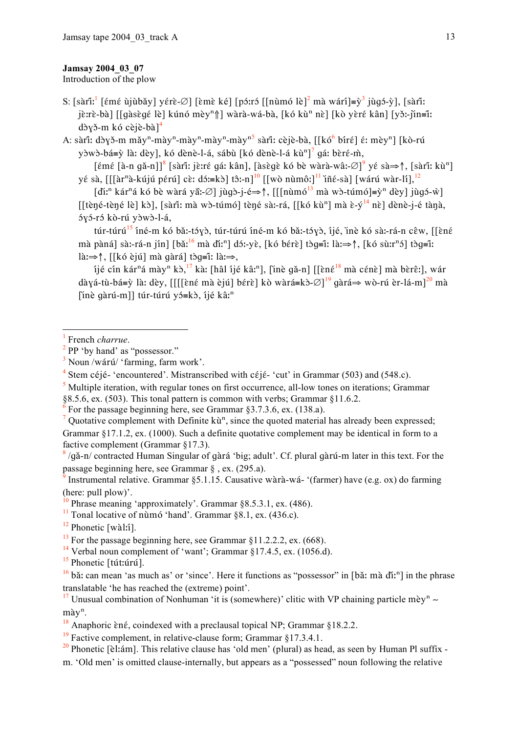## Jamsay 2004 03 07

Introduction of the plow

S: [sàrîi.] [émé ùiùbǎy] vérè-Ø] [èmè ké] [póːró [[nùmó lè]<sup>2</sup> mà wárí]=v<sup>3</sup> jùgó-v]. [sàrî]: jè:rè-bà] [[gàsègé lè] kúnó mèy<sup>n</sup>î] wàrà-wá-bà, [kó kù<sup>n</sup> nè] [kò yèré kân] [yǒ:-jìn=ĩ: dòyŏ-m kó cèjè-bà] $4$ 

A: sàri: dòyǒ-m mǎy<sup>n</sup>-mày<sup>n</sup>-mày<sup>n</sup>-mày<sup>n</sup>-mày<sup>n5</sup> sàri: cèjè-bà, [[kó<sup>6</sup> bíré] é: mèy<sup>n</sup>] [kò-rú yòwò-bá=ỳ là: dèy], kó dènè-l-á, sábù [kó dènè-l-á kù<sup>n</sup>]<sup>7</sup> gá: bèré-m,

[émé [à-n gă-n]]<sup>8</sup> [sàrî!: jè:ré gá: kân], [àsègè kó bè wàrà-wâ:-∅]<sup>9</sup> yé sà⇒↑, [sàrĩ!: kù<sup>n</sup>] yé sà, [[[àr<sup>n</sup>à-kújú pérú] cè: dó:=kò] tô:-n]<sup>10</sup> [[wò nùmô:]<sup>11</sup> iñé-sà] [wárú wàr-lí],<sup>12</sup>

 $\left[\text{d}i^{n} \text{ kár}^{n} \text{ á } \text{k} \text{ó } \text{b} \text{è wàrá y} \text{ a}^{n} \text{ and } \text{d}i^{n} \text{ (} \text{d}i\text{)}\right] = \hat{\mathbf{c}} \text{ a}^{n} \text{ (} \text{d}i\text{)} \text{ (} \text{d}i\text{)}\text{ (} \text{d}i\text{)}\text{ (} \text{d}i\text{)}\text{ (} \text{d}i\text{)}\text{ (} \text{d}i\text{)}\text{ (} \text{d}i\text{)}\text{ (} \text{d}$ [[tèné-tèné lè] kò], [sàrî: mà wò-túmó] tèné sà:-rá, [[kó kù<sup>n</sup>] mà è-v<sup>14</sup> nè] dènè-i-é tànà. óyó-ró kò-rú yòwò-l-á,

túr-túrú<sup>15</sup> íné-m kó bă:-tóyò, túr-túrú íné-m kó bă:-tóyò, íjé, inè kó sà:-rá-n cêw, [[èné mà pàná] sà:-rá-n jín] [bǎ:<sup>16</sup> mà dǐ:<sup>n</sup>] dɔ́:-yè, [kó bɛ́rè] tɔ̀q=î: là: $\Rightarrow$ ↑, [kó sù:r<sup>n</sup>ɔ́] tɔ̀q=î: là: $\Rightarrow \uparrow$ , [[kó èjú] mà gàrá] tòg=î: là: $\Rightarrow$ ,

íjé cín kár<sup>n</sup>á mày<sup>n</sup> kò,<sup>17</sup> kà: [hâl íjé kâ:<sup>n</sup>], [ìnè gǎ-n] [[ềné<sup>18</sup> mà cénè] mà bèrê: l. wár dàyá-tù-bá=ỳ là: dèy, [[[[èné mà èjú] bérè] kò wàrá=kò- $\varnothing$ ]<sup>19</sup> gàrá⇒ wò-rú èr-lá-m]<sup>20</sup> mà [inè gàrú-m]] túr-túrú yó≡kò, íjé kâ:<sup>n</sup>

<sup>7</sup> Quotative complement with Definite  $k\ddot{u}^n$ , since the quoted material has already been expressed; Grammar §17.1.2, ex. (1000). Such a definite quotative complement may be identical in form to a

factive complement (Grammar  $\S 17.3$ ).

 $\frac{8}{9}$ /qǎ-n/ contracted Human Singular of gàrá 'big; adult'. Cf. plural gàrú-m later in this text. For the passage beginning here, see Grammar §, ex. (295.a).

Instrumental relative. Grammar §5.1.15. Causative wàrà-wá- '(farmer) have (e.g. ox) do farming (here: pull plow)'.

- <sup>14</sup> Verbal noun complement of 'want'; Grammar  $\frac{1}{2}$ 17.4.5, ex. (1056.d).
- $15$  Phonetic [tút:úrú].

French charrue

 $2$  PP 'by hand' as "possessor."

Noun /wárú/ 'farming, farm work'.

Stem céjé- 'encountered'. Mistranscribed with céjé- 'cut' in Grammar (503) and (548.c).

Multiple iteration, with regular tones on first occurrence, all-low tones on iterations; Grammar  $\overline{\mathbf{5}}$ 

<sup>§8.5.6,</sup> ex. (503). This tonal pattern is common with verbs; Grammar §11.6.2.

For the passage beginning here, see Grammar §3.7.3.6, ex. (138.a).

Phrase meaning 'approximately'. Grammar §8.5.3.1, ex. (486).

 $\frac{11}{11}$  Tonal locative of numo 'hand'. Grammar §8.1, ex. (436.c).

 $12$  Phonetic [wàl:1].

 $^{13}$  For the passage beginning here, see Grammar §11.2.2.2, ex. (668).

 $^{16}$  bǎ: can mean 'as much as' or 'since'. Here it functions as "possessor" in [bǎ: mà dǐ:<sup>n</sup>] in the phrase translatable 'he has reached the (extreme) point'.

<sup>&</sup>lt;sup>17</sup> Unusual combination of Nonhuman 'it is (somewhere)' clitic with VP chaining particle mèv<sup>n</sup> ~  $m\grave{a}v^n$ .

<sup>&</sup>lt;sup>18</sup> Anaphoric  $\hat{\epsilon}$  né, coindexed with a preclausal topical NP; Grammar §18.2.2.

<sup>&</sup>lt;sup>19</sup> Factive complement, in relative-clause form; Grammar  $§17.3.4.1$ .

<sup>&</sup>lt;sup>20</sup> Phonetic [e]: am]. This relative clause has 'old men' (plural) as head, as seen by Human Pl suffix -

m. 'Old men' is omitted clause-internally, but appears as a "possessed" noun following the relative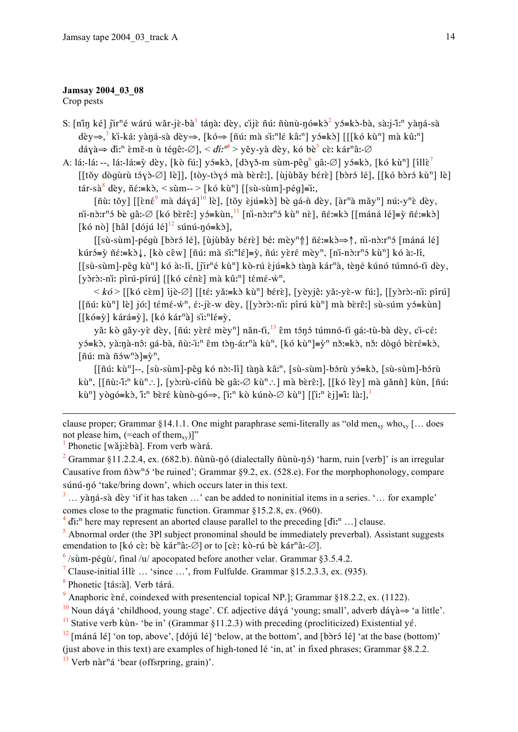#### Jamsay 2004 03 08

Crop pests

S:  $\left[\right]$ nîn ké $\right]$  jir<sup>n</sup>é wárú wǎr-jè-bà<sup>1</sup> tánà: dèy, cì jè nú: n̄ùnù-nó=kò<sup>2</sup> yɔ́=kò-bà, sà:j-ĩ:<sup>n</sup> yàná-sà dèy $\Rightarrow$ ,  $\frac{3}{3}$  ki-ká: yàná-sà dèy $\Rightarrow$ , [kó $\Rightarrow$  [ñú: mà si:<sup>n</sup>] é kâ:<sup>n</sup>] yɔ́=kɔ̀] [[[kó kù<sup>n</sup>] mà kû:<sup>n</sup>] dáyà  $\Rightarrow$  di:<sup>n</sup> èmě-n ù téqê:- $\emptyset$ ], < di:<sup>n4</sup> > yěy-yà dèy, kó bè<sup>5</sup> cè: kár<sup>n</sup>â:- $\emptyset$ 

A: lá:-lá:--, lá:-lá:=ỳ dèy, [kò fú:] yó=kò, [dòyǒ-m sùm-pêq<sup>6</sup> qâ:-Ø] yó=kò, [kó kù<sup>n</sup>] [íllè<sup>7</sup> [[tǒy dògùrù tɔ́γɔ̀-∅] lè]], [tòy-tɔ̀γɔ́ mà bɛ̀rɛ̂ː], [ùjùbǎy bɛ́rɛ̀] [bɔ̀rɔ́ lé], [[kó bɔ̀rɔ́ kù<sup>n</sup>] lè] tár-sà<sup>8</sup> dèy, ñé:=kò, < sùm-- > [kó kù<sup>n</sup>] [[sù-sùm]-pég]=iː,

[ñù: tǒy] [[ền $\epsilon^9$  mà dáyá]<sup>10</sup> lè], [tǒy ɛ̀jú=kɔ̀] bè gá-ǹ dèy, [àr<sup>n</sup>à mǎy<sup>n</sup>] nú:-y<sup>n</sup>ɛ̀ dèy, ni-nò: n<sup>3</sup> bè gâ:- $\emptyset$  [kó bèrê:] yó=kùn,  $\frac{11}{1}$  [ni-nò: n<sup>3</sup> kù<sup>n</sup> nè], ñé: = kò [[máná lé] = ỳ ñé: = kò] [kó nò] [hâl [dójú lé]<sup>12</sup> súnú-nó=kò],

 $\lfloor \sin \sin^{-n} \theta \rfloor$  [bòr dé],  $\lfloor \sinh^{-n} \theta \rfloor$  bé: mèy<sup>n</sup> $\| \|\|\|$  ñ  $\varepsilon = k$  d →  $\|$ , ni-no: r<sup>n</sup> d [máná lé] kúró=ỳ  $\tilde{n}\varepsilon:=k\delta\downarrow$ , [kò cêw] [ $\tilde{n}$ ú: mà si:<sup>n</sup>lé]=ỳ,  $\tilde{n}$ ú: yèré mèy<sup>n</sup>, [ni-n $\delta$ :r<sup>n</sup> $\delta$  kù<sup>n</sup>] kó à:-lí, [[sù-sùm]-pêq kù<sup>n</sup>] kó à:-lí, [jǐr<sup>n</sup>é kù<sup>n</sup>] kò-rú èjú=kò tànà kár<sup>n</sup>à, tèné kúnó túmnó-tǐ dèy, [yòrò:-niː pírú-pírú] [[kó cénè] mà kûː<sup>n</sup>] témé-w<sup>n</sup>,

 $\langle k\phi \rangle$  [[kó cèm] íjè-Ø] [[té: yǎ:=kò kù<sup>n</sup>] bérè], [yèyjê: yǎ:-yè-w fú:], [[yòrò:-nì: pírú]  $[[\| \tilde{u}: k\|^{n}]$  lè jó: témé- $\hat{w}^{n}$ , é:-jè-w dèy,  $[[y \rangle \hat{v}]$ :-ni: pírú kun mà bèrê: sù-súm v $\hat{\sigma}$ =kun l  $[[k\acute{o}=\grave{y}]$  kárá=ỳ], [kó kár<sup>n</sup>à] sì:<sup>n</sup>lé=ỳ,

yǎ: kò gǎy-yè dèy, [ñú: yèré mèy<sup>n</sup>] nǎn-tì, <sup>13</sup> êm tónó túmnó-tì gá:-tù-bà dèy, cì-cé: yá=kò, yà:nà-nô: gá-bà, ñù:-i:<sup>n</sup> êm tòn-á:r<sup>n</sup>à kù<sup>n</sup>, [kó kù<sup>n</sup>]=y<sup>n</sup> nǒ:=kò, nǒ: dògó bèré=kò,  $[\tilde{m}$ ú: mà  $\tilde{n}$ ów<sup>n</sup>ò]=ỳ<sup>n</sup>,

[[ñú: kù<sup>n</sup>]--, [sù-sùm]-pêq kó nò:-lí] tànà kâ:<sup>n</sup>, [sù-sùm]-bórù yó=kò, [sù-sùm]-bórù kù<sup>n</sup>, [[ñù:-ĩ:<sup>n</sup> kù<sup>n</sup>: .], [yɔ̀:rù-cíñù bè gâ:-Ø kù<sup>n</sup>: .] mà bèrê:], [[kó lèy] mà gǎnǹ] kùn, [ñú: kù<sup>n</sup>] yòqó=kò, î:<sup>n</sup> bèré kùnò-qó⇒, [i:<sup>n</sup> kò kúnò-Ø kù<sup>n</sup>] [[i:<sup>n</sup> èj]=í: là:],<sup>1</sup>

clause proper; Grammar §14.1.1. One might paraphrase semi-literally as "old men<sub>xy</sub> who<sub>xy</sub> [... does not please him<sub>x</sub> (=each of them<sub>xy</sub>)]"

Phonetic [wǎi:èbà]. From verb wàrá.

<sup>2</sup> Grammar §11.2.2.4, ex. (682.b).  $\tilde{n}$ unu-nó (dialectally  $\tilde{n}$ unu-nó) 'harm, ruin [verb]' is an irregular Causative from  $\tilde{n}$  and  $\tilde{n}$  be ruined'; Grammar §9.2, ex. (528.e). For the morphophonology, compare súnú-nó 'take/bring down', which occurs later in this text.

 $\frac{3}{2}$  ... yàna-sà dèy 'if it has taken ...' can be added to noninitial items in a series. '... for example' comes close to the pragmatic function. Grammar  $§15.2.8$ , ex. (960).

 $4$  di:<sup>n</sup> here may represent an aborted clause parallel to the preceding [di:<sup>n</sup> ...] clause.

 $\frac{1}{2}$  Abnormal order (the 3Pl subject pronominal should be immediately preverbal). Assistant suggests emendation to [kó cè: bè kár<sup>n</sup>â:-Ø] or to [cè: kò-rú bè kár<sup>n</sup>â:-Ø].

 $\frac{6}{2}$ /sùm-pégù/, final/u/apocopated before another velar. Grammar §3.5.4.2.

<sup>7</sup> Clause-initial ille ... 'since ...', from Fulfulde. Grammar §15.2.3.3, ex. (935).

<sup>8</sup> Phonetic [tásːà]. Verb tárá.

<sup>9</sup> Anaphoric  $\hat{\epsilon}$  n.e., coindexed with presentencial topical NP.]; Grammar §18.2.2, ex. (1122).

<sup>10</sup> Noun dáyá 'childhood, young stage'. Cf. adjective dáyá 'young; small', adverb dáyà $\Rightarrow$  'a little'.

<sup>11</sup> Stative verb kun- 'be in' (Grammar §11.2.3) with preceding (procliticized) Existential yé.

 $\frac{12}{2}$  [máná lé] 'on top, above', [dójú lé] 'below, at the bottom', and [bɔ̀rɔ́ lé] 'at the base (bottom)'

(just above in this text) are examples of high-toned lé 'in, at' in fixed phrases; Grammar §8.2.2.

 $\frac{13}{2}$  Verb nàr<sup>n</sup>á 'bear (offsrpring, grain)'.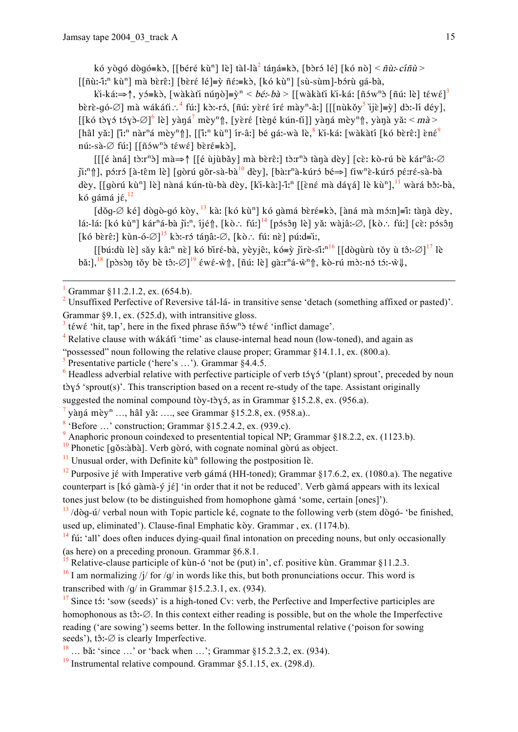kó yògó dògó=kò, [[béré kù<sup>n</sup>] lè] tàl-là<sup>2</sup> táná=kò, [bòró lé] [kó nò] <  $\tilde{n}$ ù:-cíñù >  $\left[\left[\tilde{\mathbf{n}}\tilde{\mathbf{u}}\tilde{\mathbf{n}}\tilde{\mathbf{n}}\tilde{\mathbf{n}}\tilde{\mathbf{n}}\tilde{\mathbf{n}}\tilde{\mathbf{n}}\tilde{\mathbf{n}}\tilde{\mathbf{n}}\tilde{\mathbf{n}}\tilde{\mathbf{n}}\tilde{\mathbf{n}}\tilde{\mathbf{n}}\tilde{\mathbf{n}}\tilde{\mathbf{n}}\tilde{\mathbf{n}}\tilde{\mathbf{n}}\tilde{\mathbf{n}}\tilde{\mathbf{n}}\tilde{\mathbf{n}}\tilde{\mathbf{n}}\tilde{\mathbf{n}}\tilde{\mathbf{n}}\tilde{\mathbf{n}}\tilde{\mathbf{n}}\tilde{\mathbf{n$ 

ki-ká:⇒↑, yó=kò, [wàkàti núnò]=y<sup>n</sup> < bé:-bà > [[wàkàti ki-ká: [ñów<sup>n</sup>ò [ñú: lè] téwé]<sup>3</sup> bèrè-qó- $\varnothing$ ] mà wákáti:  $^4$  fú:] kò:-ró, [ñú: yèré íré mày<sup>n</sup>-â:] [[[nùkǒy<sup>5</sup> ìjè]=ỳ] dò:-lí déy], [[kó tày<br/>3 táyà- $\varnothing$ ]<sup>6</sup> lè] yàná<sup>7</sup> mèy<sup>n</sup>î, [yèré [tèné kún-tì]] yàná mèy<sup>n</sup>î, yànà yǎ: < mà > [hâl yǎː] [ĩː<sup>n</sup> nàr<sup>n</sup>á mèy<sup>n</sup>î], [[ĩː<sup>n</sup> kù<sup>n</sup>] ír-âː] bé qáː-wà lè, kǐ-káː [wàkàtí [kó bèrêː] èné<sup>9</sup> nú:-sà- $\emptyset$  fú:] [[ñów<sup>n</sup>ò téwé] bèré=kò],

 $[[[$ ế àná] tò:r<sup>n</sup>ò] mà $\Rightarrow$   $[$  [[é ùjùbǎy] mà bèrê:] tò:r<sup>n</sup>ò tànà dèy] [cè: kò-rú bè kár<sup>n</sup>â:- $\varnothing$  $\|\mathbf{i}\|^n\|$ , pórró  $\|\mathbf{\hat{a}}\|$ -têm  $\|\mathbf{\hat{e}}\|$   $\|\mathbf{g}\|$  gŏr-sà-bà $\|\mathbf{\hat{a}}\|$  dèy],  $\|\mathbf{\hat{b}}\|$ r<sup>n</sup>à-kúró bé $\Rightarrow$  $\|\mathbf{\hat{f}}\|$   $\|\mathbf{\hat{v}}\|$   $\|\mathbf{\hat{c}}\|$   $\|\mathbf{\hat{c}}\|$   $\|\mathbf{\hat{c}}\|$   $\|\mathbf{\hat{c}}\|$   $\|\mathbf{\hat{c}}\|$ dèy, [[gòrú kù<sup>n</sup>] lè] nàná kún-tù-bà dèy, [kì-kàː]-îː<sup>n</sup> [[èné mà dáyá] lè kù<sup>n</sup>],<sup>11</sup> wàrá bɔ̌ː-bà, kó gámá jé,  $^{12}$ 

 $\left[\frac{d\delta q}{\delta} \times \frac{\delta q}{\delta q}\right]$  dògò-gó kòy,  $\frac{13}{3}$  kà:  $\left[\frac{k\delta q}{\delta q}\right]$  kó gàmá bèré=kò,  $\left[\frac{k\delta q}{\delta q}\right]$  mà mó:n $\left[\frac{k\delta q}{\delta q}\right]$  dèy, lá:-lá: [kó kù<sup>n</sup>] kár<sup>n</sup>á-bà jì:<sup>n</sup>, íjé f], [kò : fú:]<sup>14</sup> [pósôn lè] yǎ: wàjâ:- $\varnothing$ , [kò : fú:] [cè: pósôn [kó bèrê:] kùn-ó- $\varnothing$ ]<sup>15</sup> kò:-ró tánâ:- $\varnothing$ , [kò : fú: nè] pú:d=iː,

[[bú:dù lè] sǎy kâ:<sup>n</sup> nè] kó bìré-bà, yèyjê:, kó=ỳ jìrè-si:<sup>n16</sup> [[dòqùrù tǒy ù tô:-Ø]<sup>17</sup> lè bǎi, <sup>18</sup> [pòsòn tǒy bè tô:-Ø]<sup>19</sup>  $\epsilon w \epsilon$ -ŵnh, [ñú: lè] gà:r<sup>n</sup>á-ẁ<sup>n</sup>nh, kò-rú mò:-nó tó:-ẁ#,

<sup>3</sup> téwé 'hit, tap', here in the fixed phrase  $\tilde{n}$  own is téwé 'inflict damage'.

 $4$  Relative clause with wákáti 'time' as clause-internal head noun (low-toned), and again as

"possessed" noun following the relative clause proper; Grammar §14.1.1, ex. (800.a).

Presentative particle ('here's ...'). Grammar  $\overline{\S}4.4.5$ .

 $\frac{6}{2}$  Headless adverbial relative with perfective participle of verb t3y5 '(plant) sprout', preceded by noun tòyó 'sprout(s)'. This transcription based on a recent re-study of the tape. Assistant originally suggested the nominal compound tòy-tòyó, as in Grammar §15.2.8, ex. (956.a).

<sup>7</sup> yàna mèy<sup>n</sup> ..., hâl yǎ: ...., see Grammar §15.2.8, ex. (958.a)..

<sup>8</sup> Before ...' construction; Grammar §15.2.4.2, ex. (939.c).

<sup>9</sup> Anaphoric pronoun coindexed to presentential topical NP; Grammar §18.2.2, ex. (1123.b).

<sup>10</sup> Phonetic  $\int$ qŏs:àbà]. Verb gòró, with cognate nominal gòrú as object.

 $\frac{11}{11}$  Unusual order, with Definite ku<sup>n</sup> following the postposition le.

<sup>12</sup> Purposive jé with Imperative verb gámá (HH-toned); Grammar §17.6.2, ex. (1080.a). The negative counterpart is [kó qàmà-ý jé] 'in order that it not be reduced'. Verb gàmá appears with its lexical tones just below (to be distinguished from homophone gàmá 'some, certain [ones]').

 $\frac{13}{13}$ /dòg-ú/ verbal noun with Topic particle ké, cognate to the following verb (stem dògó- 'be finished, used up, eliminated'). Clause-final Emphatic kòy. Grammar, ex. (1174.b).

 $^{14}$  fú: 'all' does often induces dying-quail final intonation on preceding nouns, but only occasionally (as here) on a preceding pronoun. Grammar  $§6.8.1$ .

Relative-clause participle of kun-6 'not be (put) in', cf. positive kun. Grammar §11.2.3.

 $^{16}$  I am normalizing /j/ for /q/ in words like this, but both pronunciations occur. This word is transcribed with  $/q$  in Grammar  $$15.2.3.1$ , ex. (934).

 $\frac{17}{17}$  Since t<sub>2</sub>: 'sow (seeds)' is a high-toned Cy: verb, the Perfective and Imperfective participles are homophonous as  $t\hat{\delta}$ :- $\emptyset$ . In this context either reading is possible, but on the whole the Imperfective reading ('are sowing') seems better. In the following instrumental relative ('poison for sowing seeds'), tô:- $\varnothing$  is clearly Imperfective.

 $\frac{18}{18}$  ... bǎ: 'since ...' or 'back when ...'; Grammar §15.2.3.2, ex. (934).

 $\frac{19}{19}$  Instrumental relative compound Grammar 85 1 15 ex (298 d)

Grammar §11.2.1.2, ex. (654.b).

<sup>&</sup>lt;sup>2</sup> Unsuffixed Perfective of Reversive tál-lá- in transitive sense 'detach (something affixed or pasted)'. Grammar  $\S$ 9.1, ex. (525.d), with intransitive gloss.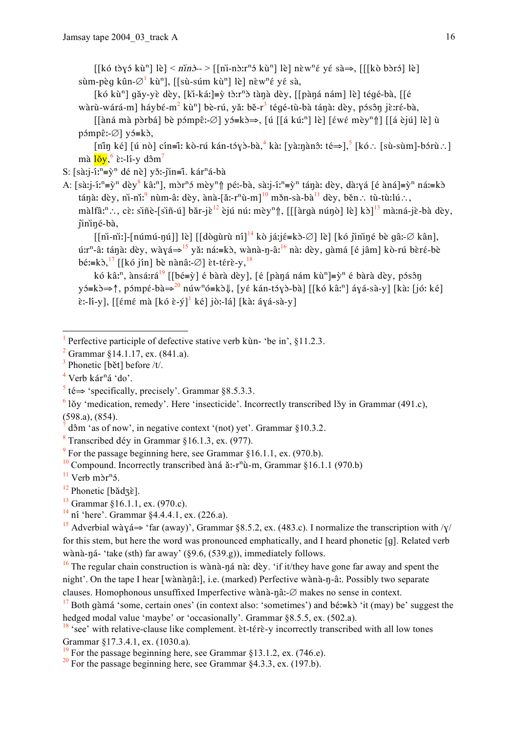$[[k\acute{o} \tanh \acute{o} \tanh \mathrm{i}\mathrm{e}]$  <  $n\acute{i}n\grave{o}$ ->  $[[n\acute{o} \tanh \mathrm{i}\mathrm{e} \tanh \mathrm{i}\mathrm{e} \tanh \mathrm{i}\mathrm{e} \tanh \mathrm{i}\mathrm{e} \tanh \mathrm{i}\mathrm{e} \tanh \mathrm{i}\mathrm{e}]$ sùm-pèq kûn- $\varnothing^1$  kù<sup>n</sup>], [[sù-súm kù<sup>n</sup>] lè] nèw<sup>n</sup>é yé sà,

[kó kù<sup>n</sup>] gǎy-yè dèy, [kì-káː]=ỳ tòːr<sup>n</sup>ò tànà dèy, [[pàná nám] lè] téqé-bà, [[é wàrù-wárá-m] háybé-m<sup>2</sup> kù<sup>n</sup>] bè-rú, yǎ: bě-r<sup>3</sup> tégé-tù-bà tánà: dèy, pósôn jè:ré-bà,

 $\left[\begin{array}{cc} \sin \alpha & \sin \alpha \\ \sin \alpha & \sin \alpha \end{array}\right]$  bè pámpê:- $\varnothing$ ] vá=kò $\Rightarrow$ ,  $\left[\begin{array}{cc} \sin \alpha & \sin \alpha \\ \sin \alpha & \sin \alpha \end{array}\right]$   $\left[\begin{array}{cc} \sin \alpha & \sin \alpha \\ \sin \alpha & \sin \alpha \end{array}\right]$  [[a èjú] lè] ù  $p\acute{o}mp\hat{\epsilon}$ :- $\emptyset$ ] v $\acute{o}=\hat{k}\grave{o}$ ,

 $\lceil \hat{\min}$  ké $\rceil$   $\lceil \hat{\min}$  nò $\rceil$  cín=ĩ: kò-rú kán-tóyò-bà,<sup>4</sup> kà:  $\lceil \hat{\min}$  xà: té $\Rightarrow$  $\lceil \frac{5}{5} \rceil$ kó:  $\lceil \hat{\sin}$ -sùm $\rceil$ -bórù:  $\rceil$ mà  $\frac{10v}{s^6}$  è:-li-y dôm<sup>7</sup>

S:  $[s\lambda i]$ - $i:$ <sup>n</sup>= $\tilde{y}$ <sup>n</sup> dé nè] yǒ:-jìn= $\tilde{i}$ . kár<sup>n</sup>á-bà

A: [sàːj-íː<sup>n</sup>=v̀<sup>n</sup> dèy<sup>8</sup> kâː<sup>n</sup>], mòr<sup>n</sup>ó mèy<sup>n</sup> $\uparrow$  péː-bà, sàːj-íː<sup>n</sup>=v̀<sup>n</sup> tánàː dèy, dàːyá [é àná]=v̀<sup>n</sup> náː=kò tánà: dèy, ni-ni: nùm-â: dèy, ànà-[ă:-r<sup>n</sup>ù-m]<sup>10</sup> mžn-sà-bà<sup>11</sup> dèy, běn : tù-tù:lú :.. màlfâ:<sup>n</sup>..., cè: sìñè-[sìñ-ú] bǎr-jè<sup>12</sup> èjú nú: mèy<sup>n</sup> f, [[[àrqà núnò] lè] kò]<sup>13</sup> mà:ná-jè-bà dèy, jininé-bà,

 $\left[\left[\right]$ ni:  $\left[\right]$ -númú-nú $\left[\right]$   $\left[\right]$   $\left[\right]$ dògùrù ní $\left[\right]$ <sup>14</sup> kò já: jé=kò- $\emptyset$  lè $\left[\right]$   $\left[\right]$  kó jininé bè gâ:- $\emptyset$  kân $\left[\right]$ , ú: τ<sup>n</sup>-â: tánà: dèy, wàγá⇒<sup>15</sup> yǎ: ná:≡kò, wànà-η-â:<sup>16</sup> nà: dèy, gàmá [é jâm] kò-rú bèré-bè bé:=kò,<sup>17</sup> [[kó jín] bè nànâ:-Ø] èt-térè-y,<sup>18</sup>

kó kâ:<sup>n</sup>, ànsá:rá<sup>19</sup> [[bé=ỳ] é bàrà dèy], [é [pàn̩á nám kù<sup>n</sup>]=ỳ<sup>n</sup> é bàrà dèy, pósôn  $y\acute{o} = k\grave{o} \Rightarrow \uparrow$ , pómpé-bà $\Rightarrow^{20}$  núw<sup>n</sup>ó=kò $\downarrow$ , [yé kán-tóyò-bà] [[kó kâː<sup>n</sup>] áyá-sà-y] [kàː [jóː ké]  $\hat{\epsilon}$ :-li-y], [[ $\epsilon$ m $\epsilon$  mà [kó  $\hat{\epsilon}$ -ý]<sup>1</sup> ké] jò:-lá] [kà: áyá-sà-y]

<sup>15</sup> Adverbial wàyá $\Rightarrow$  'far (away)', Grammar §8.5.2, ex. (483.c). I normalize the transcription with /y/ for this stem, but here the word was pronounced emphatically, and I heard phonetic [q]. Related verb wànà-ná- 'take (sth) far away' (§9.6, (539.g)), immediately follows.

 $\frac{16}{16}$  The regular chain construction is wànà-ná nà: dèy. 'if it/they have gone far away and spent the night'. On the tape I hear [wànànâː], i.e. (marked) Perfective wànà-n-âː. Possibly two separate clauses. Homophonous unsuffixed Imperfective wànà-nâ:- $\varnothing$  makes no sense in context.

<sup>&</sup>lt;sup>1</sup> Perfective participle of defective stative verb kun- 'be in',  $\&$ 11.2.3.

<sup>&</sup>lt;sup>2</sup> Grammar  $$14.1.17$ , ex.  $(841.a)$ .

Phonetic [bět] before /t/.

 $4$  Verb kár<sup>n</sup>á 'do'.

 $5$  té  $\Rightarrow$  'specifically, precisely'. Grammar §8.5.3.3.

 $6$  lǒy 'medication, remedy'. Here 'insecticide'. Incorrectly transcribed lǎy in Grammar (491.c),  $(598.a), (854).$ 

dôm 'as of now', in negative context '(not) yet'. Grammar  $§10.3.2$ .

 $8$  Transcribed dév in Grammar §16.1.3, ex. (977).

<sup>&</sup>lt;sup>9</sup> For the passage beginning here, see Grammar §16.1.1, ex. (970.b).

<sup>&</sup>lt;sup>10</sup> Compound. Incorrectly transcribed àná ă:-r<sup>n</sup>ù-m, Grammar §16.1.1 (970.b)

 $11$  Verb m $\delta r^n$ 5.

 $12$  Phonetic [bǎd $\overrightarrow{az}$ ].

 $13$  Grammar §16.1.1, ex. (970.c).

<sup>&</sup>lt;sup>14</sup> ní 'here'. Grammar  $\S$ 4.4.4.1, ex. (226.a).

<sup>&</sup>lt;sup>17</sup> Both gàmá 'some, certain ones' (in context also: 'sometimes') and bé:=k $\delta$  'it (may) be' suggest the hedged modal value 'maybe' or 'occasionally'. Grammar §8.5.5, ex. (502.a).

<sup>&</sup>lt;sup>18</sup> 'see' with relative-clause like complement.  $\text{\&}t$ -tér $\text{\&}$ -y incorrectly transcribed with all low tones Grammar §17.3.4.1, ex. (1030.a).

<sup>&</sup>lt;sup>19</sup> For the passage beginning here, see Grammar §13.1.2, ex. (746.e).

 $^{20}$  For the passage beginning here, see Grammar  $\&4.3.3$ , ex. (197.b).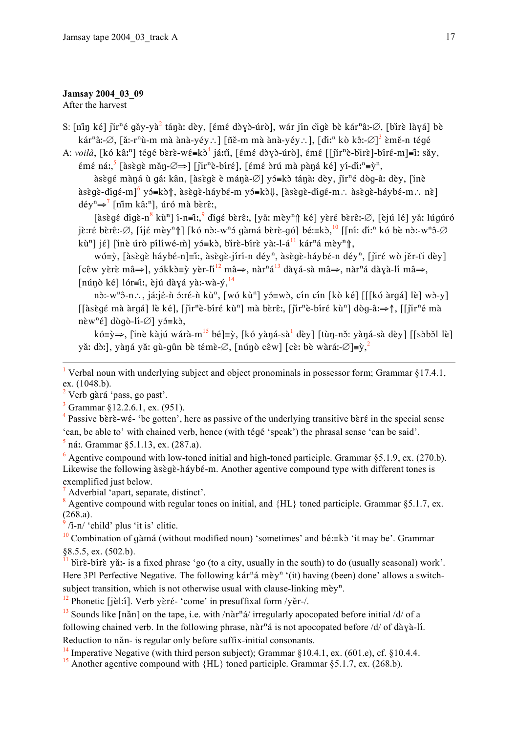#### Jamsay 2004 03 09

After the harvest

S: [nin ké] jir<sup>n</sup>é gǎy-yà<sup>2</sup> tánà: dèy, [émé dòyò-úrò], wár jín cigè bè kár<sup>n</sup>â:-Ø, [birè làyá] bè kár<sup>n</sup>â:-Ø, [ă:-r<sup>n</sup>ù-m mà ànà-yéy:.] [ñě-m mà ànà-yéy:.], [di:<sup>n</sup> kò kô:-Ø]<sup>3</sup> èmě-n tégé

A: voilà, [kó kâː<sup>n</sup>] tégé bèrè-wé=kò<sup>4</sup> já:tì, [émé dòyò-úrò], émé [[jir<sup>n</sup>è-bìrè]-bíré-m]=ĩ: sǎy,  $\sin \xi$  ná:,  $\sin \xi$  as  $\cos \xi$  mǎn $-\cos \xi$  [jìr<sup>n</sup>è-bíré], [ $\sin \xi$  brú mà pàn $\sin \xi$  ké] yí-dì:<sup>n</sup>=y<sup>n</sup>,

àsègé màná ù gá: kân, [àsègè è mánà-Ø] yó=kò tánà: dèy, jir<sup>n</sup>é dòg-â: dèy, [inè  $\text{a}$ sègè-dígé-m $\text{a}^6$  y  $\text{b}$ =k $\text{b}$  $\text{a}$ ,  $\text{a}$ sègè-háybé-m y  $\text{b}$ =k $\text{b}$  $\text{b}$ ,  $\text{a}$ sègè-dígé-m.  $\text{a}$ sègè-háybé-m.  $\text{a}$ nè  $d \in y^n \Rightarrow^7$  [nim kâː<sup>n</sup>], úró mà bèrê:

[àsègé đígè-n<sup>8</sup> kù<sup>n</sup>] í-n=îː,<sup>9</sup> đigé bèrê:, [yǎ: mèy<sup>n</sup>] ké] yèré bèrê:- $\varnothing$ , [èjú lé] yǎ: lúgúró jè:ré bèrê:- $\varnothing$ , [ijé mèy<sup>n</sup>]] [kó nò:-w<sup>n</sup>ó gàmá bèrè-gó] bé:=kò,<sup>10</sup> [[ní: đi:<sup>n</sup> kó bè nò:-w<sup>n</sup>ô- $\varnothing$ kù<sup>n</sup> liệ lĩng úrò pílíwé-mì vớ = kò, bìrè-bírè và:-l-á<sup>11</sup> kár<sup>n</sup>á mèv<sup>n</sup>î,

 $w\acute{o}=\dot{y}$ , [àsègè háybé-n]=î:, àsègè-jírí-n déy<sup>n</sup>, àsègè-háybé-n déy<sup>n</sup>, [jiré wò jěr-tì dèy] [cêw yèrè mâ⇒], yókkò≡ỳ yèr-lì<sup>12</sup> mâ⇒, nàr<sup>n</sup>á<sup>13</sup> dàyá-sà mâ⇒, nàr<sup>n</sup>á dàyà-lí mâ⇒,  $\lceil \pi \hat{u} \pi \hat{o} \kappa \hat{e} \rceil \rceil \arccos \hat{e} \pi$ : èjú dàyá yà:-wà-ý,  $\frac{14}{3}$ 

nò:-w<sup>n</sup>ô-n.., já:jé-ǹ ó:ré-ǹ kù<sup>n</sup>, [wó kù<sup>n</sup>] yó=wò, cín cín [kò ké] [[[kó àrgá] lè] wò-y]  $\left[\frac{1}{2} \hat{c} \hat{c} \right]$  mà àrgá $\left[\frac{1}{2} \hat{c} \right]$  lè ké $\left[\frac{1}{2} \hat{c} \right]$  mà bèrê:  $\left[\hat{c} \right]$  in  $\left[\hat{c} \right]$  dòg-â:  $\Rightarrow \hat{c}$ ,  $\left[\hat{c} \right]$  mà  $n\epsilon w^n \epsilon$ ] dògò-lí- $\varnothing$ ] yó=kò,

kó=ỳ⇒, [inè kàjú wárà-m<sup>15</sup> bé]=ỳ, [kó yàná-sà<sup>1</sup> dèy] [tùn-nǒ: yàná-sà dèy] [[sòbǒl lè] yă: dò:], yàná yǎ: qù-qûn bè témè- $\varnothing$ , [núnò cêw] [cè: bè wàrá:- $\varnothing$ ]= $\tilde{y}$ ,

<sup>1</sup> Verbal noun with underlying subject and object pronominals in possessor form; Grammar §17.4.1, ex. (1048.b).

 $2$  Verb gàrá 'pass, go past'.

 $3$  Grammar  $812.2.6.1$ , ex. (951).

<sup>4</sup> Passive bere-vé- 'be gotten', here as passive of the underlying transitive bere in the special sense 'can, be able to' with chained verb, hence (with téqé 'speak') the phrasal sense 'can be said'.

 $\frac{5}{1}$  ná: Grammar §5.1.13, ex. (287.a).

 $\delta$  Agentive compound with low-toned initial and high-toned participle. Grammar §5.1.9, ex. (270.b). Likewise the following àsègè-háybé-m. Another agentive compound type with different tones is exemplified just below.

Adverbial 'apart, separate, distinct'.

<sup>8</sup> Agentive compound with regular tones on initial, and  ${HL}$  toned participle. Grammar §5.1.7, ex.  $(268.a).$ 

/i-n/ 'child' plus 'it is' clitic.

<sup>10</sup> Combination of gàmá (without modified noun) 'sometimes' and bé:=k $\delta$  'it may be'. Grammar  $88.5.5$ , ex.  $(502.b)$ .

birè-birè yǎi- is a fixed phrase 'go (to a city, usually in the south) to do (usually seasonal) work'. Here 3Pl Perfective Negative. The following kár<sup>n</sup>á mèy<sup>n</sup> '(it) having (been) done' allows a switchsubject transition, which is not otherwise usual with clause-linking  $m\tilde{e}v^n$ .

 $^{12}$  Phonetic [je]:1]. Verb yèré- 'come' in presuffixal form /yěr-/.

 $^{13}$  Sounds like [nǎn] on the tape, i.e. with /nàr<sup>n</sup>á/ irregularly apocopated before initial /d/ of a following chained verb. In the following phrase,  $n\ar{a}$  is not apocopated before /d/ of dàvà-li. Reduction to năn- is regular only before suffix-initial consonants.

<sup>14</sup> Imperative Negative (with third person subject): Grammar  $$10.4.1$ , ex. (601.e), cf.  $$10.4.4$ .

<sup>15</sup> Another agentive compound with  ${HL}$  toned participle. Grammar §5.1.7, ex. (268.b).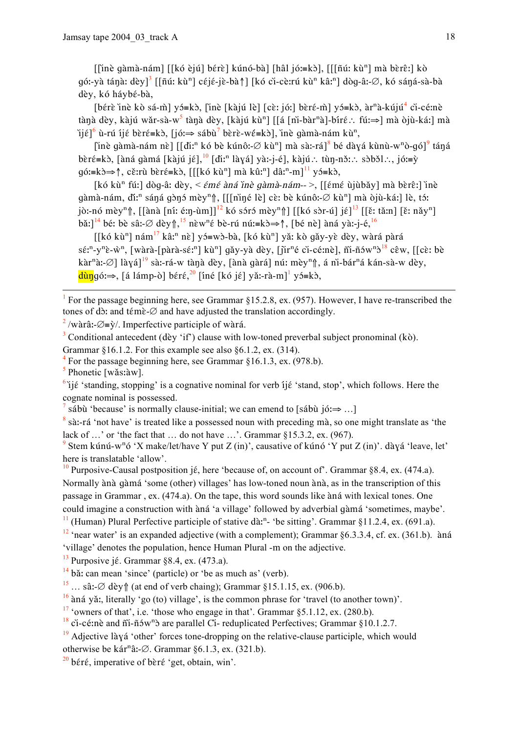[[inè gàmà-nám] [[kó èjú] bérè] kúnó-bà] [hâl jó:=kɔ̀], [[[ñú: kù<sup>n</sup>] mà bèrê:] kò gó:-yà tánà: dèy]<sup>3</sup> [[ñú: kù<sup>n</sup>] céjé-jè-bà↑] [kó cì-cè:rú kù<sup>n</sup> kâ:<sup>n</sup>] dòg-â:- $\varnothing$ , kó sáná-sà-bà dèv. kó hávbé-bà.

[bérè ìnè kò sá-m] y = kò, [inè [kàjú lè] [cè: jó:] bèré-m] y = kò, à r<sup>n</sup>à-kújú<sup>4</sup> ci-cé:nè tànà dèy, kàjú wǎr-sà-w<sup>5</sup> tànà dèy, [kàjú kù<sup>n</sup>] [[á [nì-bàr<sup>n</sup>à]-bíré∴ fú:⇒] mà òjù-káː] mà ijé]<sup>6</sup> ù-rú íjé bèré≡kò, [jóː⇒ sábù<sup>7</sup> bèrè-wé≡kò], inè qàmà-nám kù<sup>n</sup>,

[inè qàmà-nám nè] [[diːn kó bè kúnô:- $\varnothing$  kù<sup>n</sup>] mà sà:-rá]<sup>8</sup> bé dàyá kùnù-w<sup>n</sup>ò-qó]<sup>9</sup> táná bèré=kò, [àná gàmá [kàjú jé],  $\frac{10}{10}$  [di:<sup>n</sup> làyá] yà:-j-é], kàjú.: tùn-nǒ:: sòbǒl.:, jó:=ỳ gó:=k∂⇒↑, cě:rù bèré=k∂, [[[kó kù<sup>n</sup>] mà kû:<sup>n</sup>] dâ:<sup>n</sup>-m]<sup>11</sup> yó=k∂,

[kó kù<sup>n</sup> fú:] dòq-â: dèy, < *émé àná ìnè qàmà-nám--* >, [[émé ùjùbǎy] mà bèrê:] ìnè gàmà-nám, đi:<sup>n</sup> sáná gònó mèy<sup>n</sup>î, [[[niné lè] cè: bè kúnô:-Ø kù<sup>n</sup>] mà òjù-ká:] lè, tó: jò:-nó mèy<sup>n</sup> filanà [ní: é:n̩-ùm]]<sup>12</sup> kó sóró mèy<sup>n</sup> fil [[kó sòr-ú] jɛ̃]<sup>13</sup> [[ɛ̃: tǎːn] [ɛ̃: nǎy<sup>n</sup>] bǎ:  $\left[\right]^{14}$  bé: bè sâ:- $\varnothing$  dèy $\left(\right)$ ,  $\left[\right]^{15}$  nèw<sup>n</sup>é bè-rú nú:=kò $\Rightarrow \uparrow$ ,  $\left[\right]$  bé nè  $\left[\right]$  àná yà:-j-é,  $\left[\right]^{16}$ 

 $[[k\acute{o} k\grave{u}^n]$  nám $^{17}$  kâ:<sup>n</sup> nề] y = w b-bà, [k o kù<sup>n</sup>] yǎ: kò qǎy-yè dèy, wàrá pàrá  $s\acute{\epsilon}$ :"-y"è-w", [wàrà-[pàrà-s $\acute{\epsilon}$ :"] kù"] gǎy-yà dèy, [jìr"é cì-cé:nè], ñi-ñɔ́w" $s^{18}$  cêw, [[cè: bè kàr<sup>n</sup>à:-Ø] làyá]<sup>19</sup> sà:-rá-w tànà dèy, [ànà gàrá] nú: mèy<sup>n</sup>î, á nì-bár<sup>n</sup>á kán-sà-w dèy,  $\frac{d\hat{u}\eta}{d\hat{v}}$  =>, [á lámp-ò] béré,<sup>20</sup> [íné [kó jé] yǎ:-rà-m]<sup>1</sup> yɔ́=kɔ̀,

<sup>1</sup> For the passage beginning here, see Grammar  $$15.2.8$ , ex. (957). However, I have re-transcribed the tones of db: and témè- $\varnothing$  and have adjusted the translation accordingly.

<sup>2</sup>/wàrâ:- $\varnothing$ =ỳ/. Imperfective participle of wàrá.

<sup>3</sup> Conditional antecedent (dèy 'if') clause with low-toned preverbal subject pronominal (kò).

Grammar §16.1.2. For this example see also §6.1.2, ex.  $(314)$ .

For the passage beginning here, see Grammar §16.1.3, ex. (978.b).

 $\overline{\mathbf{5}}$ Phonetic [wǎs:àw].

 $\frac{6}{3}$ ijé 'standing, stopping' is a cognative nominal for verb ijé 'stand, stop', which follows. Here the cognate nominal is possessed.

sábù 'because' is normally clause-initial; we can emend to [sábù  $i$  jó!  $\Rightarrow$  ...]

<sup>8</sup> sà:-rá 'not have' is treated like a possessed noun with preceding mà, so one might translate as 'the lack of ...' or 'the fact that ... do not have ...'. Grammar  $§15.3.2$ , ex. (967).

<sup>9</sup> Stem kúnú-w<sup>n</sup>ó 'X make/let/have Y put Z (in)', causative of kúnó 'Y put Z (in)'. dàyá 'leave, let' here is translatable 'allow'.

<sup>10</sup> Purposive-Causal postposition jé, here 'because of, on account of'. Grammar §8.4, ex. (474.a). Normally ànà gàmá 'some (other) villages' has low-toned noun ànà, as in the transcription of this passage in Grammar, ex. (474.a). On the tape, this word sounds like àná with lexical tones. One could imagine a construction with ana 'a village' followed by adverbial gama 'sometimes, maybe'.

 $\frac{11}{11}$  (Human) Plural Perfective participle of stative dà;<sup>n</sup>- 'be sitting'. Grammar §11.2.4, ex. (691.a).

 $12$  'near water' is an expanded adjective (with a complement); Grammar §6.3.3.4, cf. ex. (361.b). àná 'village' denotes the population, hence Human Plural -m on the adjective.

 $^{13}$  Purposive jé. Grammar §8.4, ex. (473.a).

 $14$  bǎ: can mean 'since' (particle) or 'be as much as' (verb).

<sup>15</sup> ... sâ:- $\varnothing$  dèy $\Uparrow$  (at end of verb chaing); Grammar §15.1.15, ex. (906.b).

 $\frac{16}{16}$  àná vă: literally 'go (to) village', is the common phrase for 'travel (to another town)'.

 $17$  'owners of that', i.e. 'those who engage in that'. Grammar  $\S 5.1.12$ , ex. (280.b).

 $^{18}$  ci-cé:nè and  $\tilde{m}$ -ñów<sup>n</sup> $\tilde{d}$  are parallel Ci-reduplicated Perfectives; Grammar §10.1.2.7.

 $\frac{19}{19}$  Adjective lày a 'other' forces tone-dropping on the relative-clause participle, which would

otherwise be kár<sup>n</sup>â:- $\varnothing$ . Grammar §6.1.3, ex. (321.b).

 $\frac{20}{20}$  béré, imperative of bèré 'get, obtain, win'.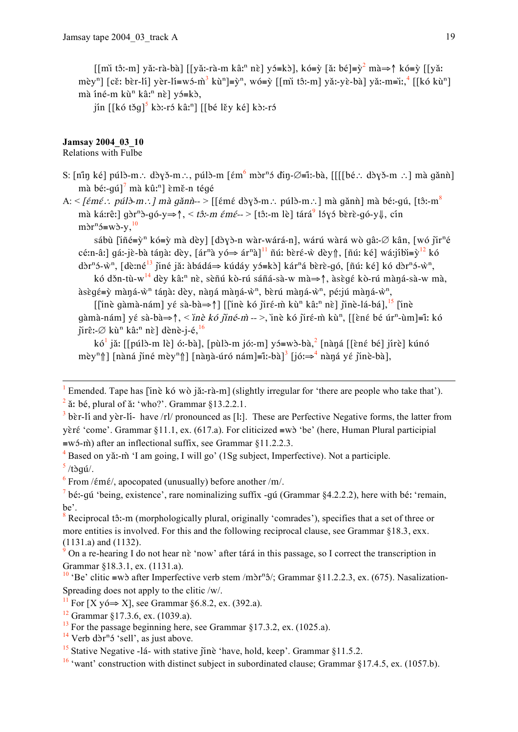[[mi tô:-m] yǎ:-rà-bà] [[yǎ:-rà-m kâː<sup>n</sup> nè] yó=kò], kó=ỳ [ǎ: bé]=ỳ<sup>2</sup> mà⇒↑ kó=ỳ [[yǎ: mèy<sup>n</sup>] [cěː bèr-lí] yèr-lí=wó-m<sup>3</sup> kù<sup>n</sup>]=y<sup>n</sup>, wó=ỳ [[mi tô:-m] yǎ:-yè-bà] yǎ:-m=iː,<sup>4</sup> [[kó kù<sup>n</sup>] mà íné-m kù<sup>n</sup> kâ:<sup>n</sup> nè] yó=kò,

jín  $[[k\6 \t{t} \t{3q}]^5 \t{k} \t{3}$ :-rá kâ:<sup>n</sup>]  $[[b\acute{e}] \t{k} \t{y} \t{k} \acute{e}] \t{k} \t{3}$ :-rá

## **Jamsay 2004 03 10**

Relations with Fulbe

- S:  $\lceil \min k \in \rceil$  púlò-m.: dòyǒ-m.: púlò-m  $\lceil \epsilon m^6$  mòr<sup>n</sup>ó dìn- $\emptyset$ =iː-bà,  $\lceil \lceil \lceil \rfloor$ bé.: dòyǒ-m .:  $\lceil \min k \rceil$  gǎnǹ $\lceil \cdot \rceil$ mà bé:-qú]<sup>7</sup> mà kû:<sup>n</sup>] èmě-n tégé
- A:  $\leq$ [ $\epsilon$ mɛ́ : púlð-m : ] mà gǎnǹ-- > [[ $\epsilon$ mɛ́ dòyð-m : púlð-m : ] mà gǎnǹ] mà bé:-qú, [tô:-m $^8$ mà ká:rê: ] gòr<sup>n</sup>ò-gó-y $\Rightarrow \uparrow$ , < tô:-m émé-- > [tô:-m lè] tárá<sup>9</sup> lóyó bèrè-gó-y $\downarrow$ , cín  $\text{m}\hat{\text{o}}\text{r}^{\text{n}}\hat{\text{o}}=\text{w}\hat{\text{o}}\text{-v}^{\text{-}10}$

sábù  $\left[\tilde{\text{in}}\right] \in \tilde{S}^{n}$  kó=ỳ mà dèy]  $\left[\text{d}\right]$  (dày>-n wàr-wárá-n], wárú wàrá wò qâ:-Ø kân,  $\left[\text{w6}\right]$  jir<sup>n</sup>é cé:n-â:] gá:-jè-bà tánà: dèy, [ár<sup>n</sup>à yó $\Rightarrow$  ár<sup>n</sup>à]<sup>11</sup> nú: bèré-ẁ dèy↑, [ñú: ké] wá:jíbi=ỳ<sup>12</sup> kó dòr<sup>n</sup>5-w<sup>n</sup>, [dè:né<sup>13</sup> jiné jǎ: àbádá  $\Rightarrow$  kúdáy y5=kò] kár<sup>n</sup>á bèrè-gó, [ñú: ké] kó dòr<sup>n</sup>5-w<sup>n</sup>,

kó džn-tù-w<sup>14</sup> dèy kâ:<sup>n</sup> nè, sèñú kò-rú sáñá-sà-w mà $\Rightarrow$ †, àsègé kò-rú màná-sà-w mà,  $\lambda$ sègé=v̀ màná-v̀<sup>n</sup> tánà: dèv. nàná màná-v̀<sup>n</sup>, bèrú màná-v̀<sup>n</sup>, pé: jú màná-v̀<sup>n</sup>,

[[inè gàmà-nám] yé sà-bà $\Rightarrow$ ] [[inè kó jiré-m̀ kù<sup>n</sup> kâ:<sup>n</sup> nè] jinè-lá-bá], <sup>15</sup> [inè gàmà-nám] yé sà-bà $\Rightarrow \uparrow$ , < inè kó jiné-m̀-->, inè kó jiré-m̀ kù<sup>n</sup>, [[èné bé úr<sup>n</sup>-ùm]=î: kó  $\|\hat{\mathbf{r}}\| \leq \varnothing$  kù<sup>n</sup> kâ:<sup>n</sup> nề dènè-j-é,  $\frac{16}{16}$ 

kó<sup>1</sup> jǎ: [[púlò-m lè] ó:-bà], [pùlò-m jó:-m] yó=wò-bà,<sup>2</sup> [nàngá [[èné bé] jírè] kúnó mèy<sup>n</sup>î | [nàná jiné mèy<sup>n</sup>î] [nànà-úró nám]=iː-bà]<sup>3</sup> [jóː $\Rightarrow$ <sup>4</sup> nàná yé jinè-bà],

 $4$  Based on yǎ:-m̂ 'I am going, I will go' (1Sg subject, Imperfective). Not a participle.

 $\frac{5}{ }$ /tòqú/.

 $6$  From / $\epsilon$ m $\epsilon$ /, apocopated (unusually) before another /m/.

Emended. Tape has [inè kó wò jǎː-rà-m] (slightly irregular for 'there are people who take that').  $2\alpha$  is bé, plural of  $\alpha$ : 'who?'. Grammar §13.2.2.1.

 $3$  bèr-li and vèr-li- have /rl/ pronounced as [l:]. These are Perfective Negative forms, the latter from yèré 'come'. Grammar §11.1, ex. (617.a). For cliticized =wò 'be' (here, Human Plural participial  $\equiv$ wó-m) after an inflectional suffix, see Grammar §11.2.2.3.

 $\frac{7}{1}$  bé:-qú 'being, existence', rare nominalizing suffix -qú (Grammar §4.2.2.2), here with bé: 'remain, he'

 $8$  Reciprocal tô:-m (morphologically plural, originally 'comrades'), specifies that a set of three or more entities is involved. For this and the following reciprocal clause, see Grammar §18.3, exx.  $(1131.a)$  and  $(1132).$ 

On a re-hearing I do not hear nè 'now' after tárá in this passage, so I correct the transcription in Grammar §18.3.1, ex. (1131.a).

<sup>&</sup>lt;sup>10</sup> 'Be' clitic =wò after Imperfective verb stem /mòr<sup>n</sup>ô/; Grammar §11.2.2.3, ex. (675). Nasalization-Spreading does not apply to the clitic /w/.

<sup>&</sup>lt;sup>11</sup> For [X yó $\Rightarrow$  X], see Grammar §6.8.2, ex. (392.a).

<sup>&</sup>lt;sup>12</sup> Grammar §17.3.6, ex. (1039.a).

 $^{13}$  For the passage beginning here, see Grammar §17.3.2, ex. (1025.a).

 $14$  Verb d $\delta r^n$  'sell', as just above.

<sup>&</sup>lt;sup>15</sup> Stative Negative -1a- with stative  $\hat{\mu}$  have, hold, keep'. Grammar §11.5.2.

 $\frac{16}{16}$  'want' construction with distinct subject in subordinated clause: Grammar §17.4.5, ex. (1057.b).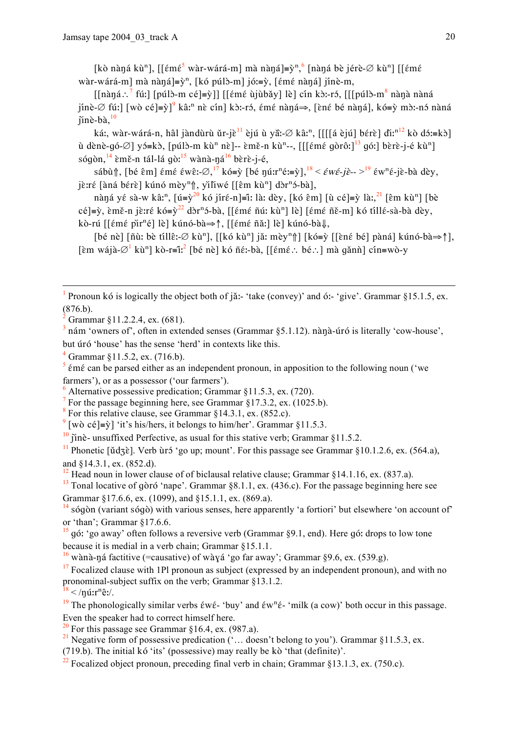[kò nàná kù<sup>n</sup>], [[émé<sup>5</sup> wàr-wárá-m] mà nàná]=ỳ<sup>n 6</sup> [nàná bè jérè-Ø kù<sup>n</sup>] [[émé wàr-wárá-m] mà nàná]= $\dot{y}^n$ , [kó púlò-m] jó:= $\dot{y}$ , [ $\epsilon$ mé nàná] jínè-m,

 $\left[\left[\text{main}\right]^7$  fú:  $\left[\text{point}\right]$   $\left[\text{point}\right]$   $\left[\text{point}\right]$   $\left[\text{limit}\right]$   $\left[\text{point}\right]$   $\left[\text{point}\right]$   $\left[\text{point}\right]$   $\left[\text{point}\right]$   $\left[\text{point}\right]$ iínè-∅ fú:l [wò cé]=v̀] kâ:<sup>n</sup> nè cín] kò:-ró, émé nàná⇒, [èné bé nàná], kó=v̀ mò:-nó nàná  $\tilde{\text{min}}$ -bà. $^{10}$ 

ká:, wàr-wárá-n, hâl jàndùrù ǔr-jè<sup>11</sup> èjú ù yã:-Ø kâ:<sup>n</sup>, [[[[á èjú] bérè] đi:<sup>n12</sup> kò dó:=kò] ù dènè-qó-∅] yó≡kò, [púlò-m kù<sup>n</sup> nè]-- èmě-n kù<sup>n</sup>--, [[[ $\epsilon$ mé qòrô:]<sup>13</sup> qó:] bèrè-j-é kù<sup>n</sup>] sógòn,  $^{14}$  èmě-n tál-lá gò:  $^{15}$  wànà-ná $^{16}$  bèrè-j-é,

sábû f [bé  $\hat{\epsilon}$ m]  $\epsilon$ mé  $\epsilon w \hat{\epsilon}$ :- $\varnothing$ ,  $\varnothing$  kó= $\hat{y}$  [bé nú:r<sup>n</sup>é:= $\hat{y}$ ],  $\frac{18}{3} < \epsilon w \epsilon$ -jè- $>$  $\frac{19}{3} \epsilon w^n \epsilon$ -jè-bà dèy, jè:ré [àná bérè] kúnó mèy<sup>n</sup>î, yìliwé [[êm kù<sup>n</sup>] dòr<sup>n</sup>ó-bà],

nàna yé sà-w kâ:<sup>n</sup>, [ú=y<sup>20</sup> kó jíré-n]=î: là: dèy, [kó êm] [ù cé]=ỳ là:,<sup>21</sup> [êm kù<sup>n</sup>] [bè cé]=ỳ, èmě-n jè:ré kó=y<sup>22</sup> dòr<sup>n</sup>ó-bà, [[émé ñú: kù<sup>n</sup>] lè] [émé ñě-m] kó tíllé-sà-bà dèy, kò-rú [[émé pìr<sup>n</sup>é] lè] kúnó-bà⇒↑, [[émé ñǎː] lè] kúnó-bà↓,

[bé nè] [ñù: bè tíllê:- $\emptyset$  kù<sup>n</sup>], [[kó kù<sup>n</sup>] jǎ: mèy<sup>n</sup>î] [kó=ỳ [[èné bé] pàná] kúnó-bà⇒↑], [ềm wájà- $\varnothing$ <sup>1</sup> kù<sup>n</sup>] kò-r≡î:<sup>2</sup> [bé nè] kó ñé:-bà, [[émé∴ bé∴] mà gǎnǹ] cín≡wò-y

<sup>1</sup> Pronoun kó is logically the object both of jǎ:- 'take (convey)' and ó:- 'give'. Grammar §15.1.5, ex.  $(876.b).$ 

 $3$  nám 'owners of', often in extended senses (Grammar §5.1.12). nànà-úró is literally 'cow-house', but úró 'house' has the sense 'herd' in contexts like this.

 $4$  Grammar §11.5.2, ex. (716.b).

 $\frac{5}{3}$  émé can be parsed either as an independent pronoun, in apposition to the following noun ('we farmers'), or as a possessor ('our farmers').

Alternative possessive predication; Grammar  $\S11.5.3$ , ex. (720).

For the passage beginning here, see Grammar  $\S$ 17.3.2, ex. (1025.b).  $\overline{7}$ 

<sup>8</sup> For this relative clause, see Grammar  $§14.3.1$ , ex. (852.c).

<sup>9</sup> [wò cé]= $\hat{y}$ ] 'it's his/hers, it belongs to him/her'. Grammar §11.5.3.

 $\frac{10}{10}$  ine-unsuffixed Perfective, as usual for this stative verb: Grammar §11.5.2.

<sup>11</sup> Phonetic [ $\tilde{u}d\tilde{z}$ ]. Verb  $\tilde{u}r\tilde{z}$  'go up; mount'. For this passage see Grammar §10.1.2.6, ex. (564.a), and  $§14.3.1$ , ex.  $(852.d)$ .

 $12$  Head noun in lower clause of of biclausal relative clause; Grammar §14.1.16, ex. (837.a).

 $\frac{13}{13}$  Tonal locative of gòró 'nape'. Grammar §8.1.1, ex. (436.c). For the passage beginning here see Grammar §17.6.6, ex. (1099), and §15.1.1, ex. (869.a).

 $^{14}$  sógòn (variant sógò) with various senses, here apparently 'a fortiori' but elsewhere 'on account of' or 'than'; Grammar §17.6.6.

 $\frac{15}{15}$  gó: 'go away' often follows a reversive verb (Grammar §9.1, end). Here gó: drops to low tone because it is medial in a verb chain; Grammar §15.1.1.

 $\frac{16}{16}$  wànà-ná factitive (=causative) of wàyá 'go far away'; Grammar §9.6, ex. (539.g).

 $17$  Focalized clause with 1Pl pronoun as subject (expressed by an independent pronoun), and with no pronominal-subject suffix on the verb; Grammar 813.1.2.

 $18 < \frac{\pi}{3}$ .

<sup>19</sup> The phonologically similar verbs  $\acute{\epsilon}$ w $\acute{\epsilon}$ - 'buy' and  $\acute{\epsilon}$ w<sup>n</sup> $\acute{\epsilon}$ - 'milk (a cow)' both occur in this passage. Even the speaker had to correct himself here.

<sup>20</sup> For this passage see Grammar  $\delta$ 16.4, ex. (987.a).

<sup>21</sup> Negative form of possessive predication  $($  ... doesn't belong to you'). Grammar §11.5.3, ex.

(719.b). The initial kó 'its' (possessive) may really be kò 'that (definite)'.

 $\frac{22}{2}$  Focalized object pronoun preceding final verb in chain: Grammar 813 1 3 ex (750 c)

Grammar 811.2.2.4, ex. (681).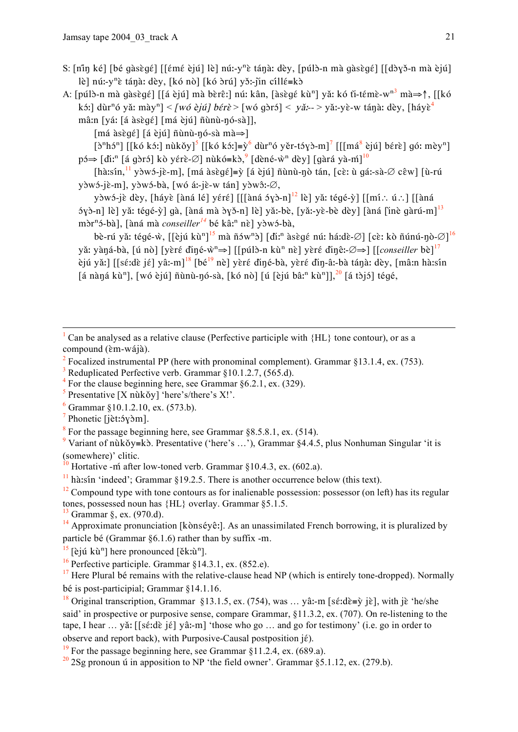- S: [nin ké] [bé qàsèqé] [[émé èjú] lè] nú:-y<sup>n</sup>è tánà: dèy, [púlò-n mà qàsèqé] [[dòyǒ-n mà èjú] lè] nú:-y<sup>n</sup>è tánà: dèy, [kó nò] [kó òrú] yǒ:-jìn cíllé=kò
- A: [púlò-n mà qàsèqé] [[á èjú] mà bèrê:] nú: kân, [àsèqé kù<sup>n</sup>] yǎ: kó tì-témè-w<sup>n3</sup> mà⇒↑, [[kó kới] dùr<sup>n</sup>ó yǎ: mày<sup>n</sup>] < [wó èjú] bérè > [wó qòró] < yǎ:-- > yǎ:-yè-w tánà: dèy, [háyè<sup>4</sup> mâ:n [yá: [á àsègé] [má èjú] ñùnù-nó-sà]].

 $[má àsègé] [á èjú] ūùnù-nó-sà mà\Rightarrow]$ 

 $[\partial^n h \partial^n]$  [[kó kó:] nùkǒy]<sup>5</sup> [[kó kó:]=y<sup>6</sup> dùr<sup>n</sup>ó yěr-tóyð-m]<sup>7</sup> [[[má<sup>8</sup> èjú] bérè] gó: mèy<sup>n</sup>]  $p\rightarrow$  [diː<sup>n</sup> [á gòrɔ́] kò yérè-∅] nùkó=kò, [dèné-ẁ<sup>n</sup> dèy] [gàrá yà-m̃]<sup>10</sup>

[hà:sín,  $\frac{11}{1}$  yòwó-jè-m], [má àsègé]=ỳ [á èjú] ñùnù-ŋò tán, [cè: ù gá:-sà-Ø cêw] [ù-rú yòwó-jè-m], yòwó-bà, [wó áː-jè-w tán] yòwô:-Ø,

yòwó-jè dèy, [háyè [àná lé] yéré] [[[àná óyò-n]<sup>12</sup> lè] yǎ: tégé-ỳ] [[mí.: ú.:] [[àná  $\frac{1}{2}$  5yò-n] lè] yǎ: tégé-ỳ] gà, [àná mà òyǒ-n] lè] yǎ:-bè, [yǎ:-yè-bè dèy] [àná [ìnè gàrú-m]<sup>13</sup> mòr<sup>n</sup>ó-bà], [àná mà *conseiller*<sup>14</sup> bé kâ:<sup>n</sup> nè] yòwó-bà,

bè-rú yǎ: tégé-ŵ, [[èjú kù<sup>n]15</sup> mà ñów<sup>n</sup>ò] [dì:<sup>n</sup> àsègé nú: há:dè-Ø] [cè: kò ñúnú-ŋò-Ø]<sup>16</sup> yă: yàná-bà, [ú nò] [yèré diné-ŵ<sup>n</sup>⇒] [[púlò-n kù<sup>n</sup> nè] yèré dinê:-Ø⇒] [[conseiller bè]<sup>17</sup> ejú vă:] [[sé:dè jé] vâ:-m]<sup>18</sup> [bé<sup>19</sup> nè] vèré điné-bà, vèré đin-â:-bà tánà: dèy, [mâ:n hà:sín] [á nàná kù<sup>n</sup>], [wó èjú] ñùnù-nó-sà, [kó nò] [ú [èjú bâː<sup>n</sup> kù<sup>n</sup>]], <sup>20</sup> [á tòjó] tégé,

- Can be analysed as a relative clause (Perfective participle with  ${HL}$  tone contour), or as a compound (èm-wájà).
- Focalized instrumental PP (here with pronominal complement). Grammar  $§13.1.4$ , ex. (753).
- Reduplicated Perfective verb. Grammar §10.1.2.7, (565.d).
- <sup>4</sup> For the clause beginning here, see Grammar  $\S 6.2.1$ , ex. (329).

<sup>5</sup> Presentative [X nùkǒy] 'here's/there's X!'.

- $6$  Grammar §10.1.2.10. ex. (573.b).
- $\frac{7}{1}$ Phonetic [jèt:5y\om].
- $8\text{ For the passage beginning here, see Grammar }$  \$8.5.8.1, ex. (514).

<sup>9</sup> Variant of nukov=k $\delta$ . Presentative ('here's ...'). Grammar \$4.4.5, plus Nonhuman Singular 'it is (somewhere)' clitic.

Hortative - m after low-toned verb. Grammar §10.4.3, ex. (602.a).

 $\frac{11}{11}$  hà:sin 'indeed'; Grammar §19.2.5. There is another occurrence below (this text).

 $12$  Compound type with tone contours as for inalienable possession: possessor (on left) has its regular tones, possessed noun has {HL} overlay. Grammar §5.1.5.

 $^{13}$  Grammar §, ex. (970.d).

<sup>14</sup> Approximate pronunciation [ko`nséyê:]. As an unassimilated French borrowing, it is pluralized by particle bé (Grammar  $\S6.1.6$ ) rather than by suffix -m.

 $^{15}$  [èjú kù<sup>n</sup>] here pronounced [ěk:ù<sup>n</sup>].

 $^{17}$  Here Plural bé remains with the relative-clause head NP (which is entirely tone-dropped). Normally bé is post-participial: Grammar \$14.1.16.

<sup>18</sup> Original transcription, Grammar §13.1.5, ex. (754), was ... yâ:-m [sɛ́:dɛ̀=v̀ jɛ̀], with jɛ̀ 'he/she said' in prospective or purposive sense, compare Grammar, \$11.3.2, ex. (707). On re-listening to the tape, I hear ... yǎ: [[sɛ́:dɛ̀ jɛ́] yâ:-m] 'those who go ... and go for testimony' (i.e. go in order to observe and report back), with Purposive-Causal postposition jé).

<sup>19</sup> For the passage beginning here, see Grammar  $\S$ 11.2.4, ex. (689.a).

 $\frac{20}{2}$  2Sg pronoun  $\acute{u}$  in apposition to NP 'the field owner'. Grammar §5.1.12, ex. (279.b).

<sup>&</sup>lt;sup>16</sup> Perfective participle. Grammar  $§$ 14.3.1, ex. (852.e).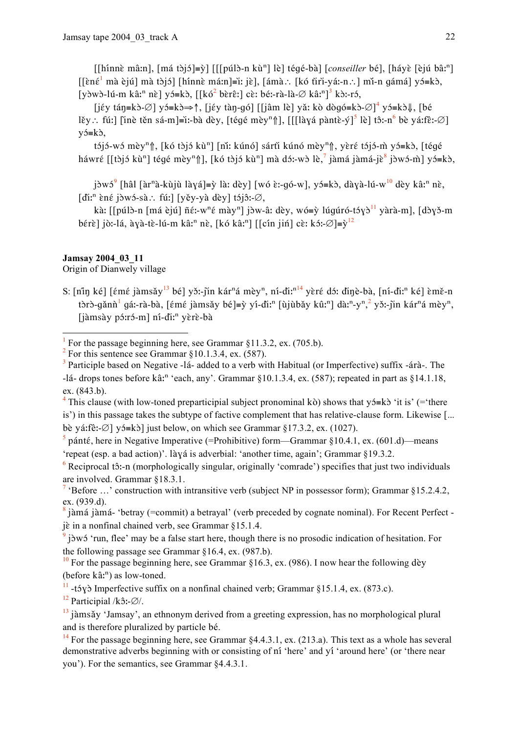[[hínnè mâ:n], [má tòjó]=ỳ] [[[púlò-n kù<sup>n</sup>] lè] tégé-bà] [*conseiller* bé], [háyè [èjú bâ:<sup>n</sup>]  $[\text{en\'e}^1 \text{ ma } \text{èj\'u}]$  mà tòjó] [hínnè má:n]=iː jè], [ámà.: [kó tìri-yá:-n.: ] mǐ-n qámá] yó=kò, [yòwò-lú-m kâː<sup>n</sup> nề] yó=kò, [[kó<sup>2</sup> bèrêː] cè: bé:-rà-là- $\varnothing$  kâː<sup>n</sup>]<sup>3</sup> kò:-ró,

[jếy tán=kò-∅] yó=kò⇒↑, [jếy tàn-gó] [[jâm lè] yǎ: kò dògó=kò-∅]<sup>4</sup> yó=kò↓, [bé lěy : fú: [line těn sá-m]=i:-bà dèy, [tégé mèy<sup>n</sup>], [[[làyá pàntè-ý]<sup>5</sup> lè] tô:-n<sup>6</sup> bè yá:fê:-Ø]  $y$  $5 = k$  $\delta$ ,

tójó-wó mèy<sup>n</sup>î, [kó tòjó kù<sup>n</sup>] [nǐ: kúnó] sárti kúnó mèy<sup>n</sup>î, yèré tójó-m̀ yó=kò, [téqé háwré [[tòjó kù<sup>n</sup>] tégé mèy<sup>n</sup>î], [kó tòjó kù<sup>n</sup>] mà dó:-wò lè,<sup>7</sup> jàmá jàmá-jè<sup>8</sup> jòwó-m̀] yó=kò,

jòwó<sup>9</sup> [hâl [àr<sup>n</sup>à-kùjù làyá]≡ỳ là: dèy] [wó è:-qó-w], yó≡kò, dàyà-lú-w<sup>10</sup> dèy kâ:<sup>n</sup> nè,  $\left[\overrightarrow{\text{dir}}\right]$ êné jòwó-sà: fú:  $\left[\overrightarrow{\text{yey-ya}}\right]$  dèy  $\left[\overrightarrow{\text{gy-ya}}\right]$ 

kà: [[púlò-n [má èjú] ñé:-w<sup>n</sup>é mày<sup>n</sup>] jòw-â: dèy, wó=ỳ lúqúró-tóyò<sup>11</sup> yàrà-m], [dòyǒ-m] bérè] jò:-lá, àyà-tè-lú-m kâ:<sup>n</sup> nè, [kó kâ:<sup>n</sup>] [[cín jiń] cè: kó:- $\varnothing$ ]=y<sup>12</sup>

## Jamsay 2004 03 11

Origin of Dianwely village

S: [nin ké] [émé jàmsǎy<sup>13</sup> bé] yǒ:-jìn kár<sup>n</sup>á mèy<sup>n</sup>, ni-dì:<sup>n14</sup> yèré dó: dìnè-bà, [ni-dì:<sup>n</sup> ké] èmě-n tòrò-gănn<sup>1</sup> gá:-rà-bà, [ $\epsilon$ m $\epsilon$  jàmsǎy bé]=ỳ yí-đi:<sup>n</sup> [ùjùbǎy kû:<sup>n</sup>] dà:<sup>n</sup>-y<sup>n</sup>,<sup>2</sup> yǒ:-jìn kár<sup>n</sup>á mèy<sup>n</sup>, [jàmsày pó:ró-m] ní-di:<sup>n</sup> yèrè-bà

<sup>4</sup> This clause (with low-toned preparticipial subject pronominal kò) shows that  $y$ 5=kò 'it is' (= there is') in this passage takes the subtype of factive complement that has relative-clause form. Likewise [...] bè yá:fê:- $\varnothing$ ] yó=kò] just below, on which see Grammar §17.3.2, ex. (1027).

 $\frac{1}{2}$  pánté, here in Negative Imperative (=Prohibitive) form—Grammar §10.4.1, ex. (601.d)—means 'repeat (esp. a bad action)'. Iàvá is adverbial: 'another time, again'; Grammar §19.3.2.

 $\frac{6}{2}$  Reciprocal tô:-n (morphologically singular, originally 'comrade') specifies that just two individuals are involved. Grammar §18.3.1.

<sup>7</sup> 'Before ...' construction with intransitive verb (subject NP in possessor form): Grammar §15.2.4.2. ex. (939.d).

 $\frac{8}{3}$  jàmá jàmá- 'betray (=commit) a betrayal' (verb preceded by cognate nominal). For Recent Perfect jè in a nonfinal chained verb, see Grammar §15.1.4.

 $\frac{9}{2}$  j) w i tun, flee' may be a false start here, though there is no prosodic indication of hesitation. For the following passage see Grammar  $$16.4$ , ex.  $(987.b)$ .

<sup>10</sup> For the passage beginning here, see Grammar §16.3, ex. (986). I now hear the following dey (before kâ:<sup>n</sup>) as low-toned.

 $\frac{11}{11}$ -t<sub>5</sub>v $\delta$  Imperfective suffix on a nonfinal chained verb: Grammar §15.1.4, ex. (873.c).

<sup>12</sup> Participial /k $\hat{a}$ :- $\emptyset$ /.

For the passage beginning here, see Grammar  $§11.3.2$ , ex. (705.b).

 $2$  For this sentence see Grammar §10.1.3.4, ex. (587).

 $3$  Participle based on Negative -1á- added to a verb with Habitual (or Imperfective) suffix -árà-. The -lá- drops tones before  $k\hat{a}$ :<sup>n</sup> 'each, any'. Grammar §10.1.3.4, ex. (587); repeated in part as §14.1.18, ex. (843.b).

 $\frac{13}{13}$  jàmsǎy 'Jamsay', an ethnonym derived from a greeting expression, has no morphological plural and is therefore pluralized by particle bé.

<sup>&</sup>lt;sup>14</sup> For the passage beginning here, see Grammar  $\S 4.4.3.1$ , ex. (213.a). This text as a whole has several demonstrative adverbs beginning with or consisting of ni 'here' and yi 'around here' (or 'there near vou'). For the semantics, see Grammar \$4.4.3.1.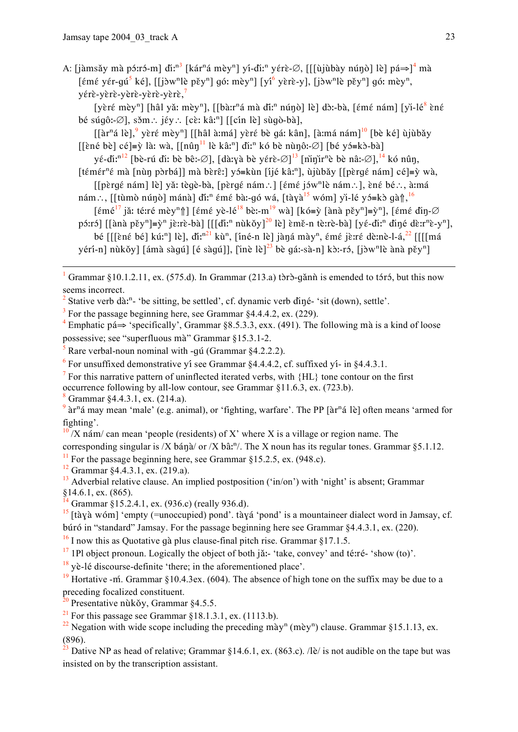A: [jàmsǎy mà pɔ́:rɔ́-m] di:<sup>n3</sup> [kár<sup>n</sup>á mèy<sup>n</sup>] yí-di:<sup>n</sup> yɛ́rè-Ø, [[[ùjùbày núnò] lè] pá⇒]<sup>4</sup> mà [ $\epsilon$ mé yér-qú<sup>5</sup> ké], [[jòw<sup>n</sup>lè pěy<sup>n</sup>] gó: mèy<sup>n</sup>] [yí<sup>6</sup> yèrè-y], [jòw<sup>n</sup>lè pěy<sup>n</sup>] gó: mèy<sup>n</sup>, yérè-yèrè-yèrè-yèrè-yèrè,<sup>7</sup>

[yèré mèy<sup>n</sup>] [hâl yǎ: mèy<sup>n</sup>], [[bàːr<sup>n</sup>á mà diː<sup>n</sup> núnò] lè] dòː-bà, [émé nám] [yì-lé<sup>8</sup> èné bé súgô:- $\emptyset$ ], sǒm : jév : [cè: kâ:<sup>n</sup>] [[cín lè] sùgò-bà],

 $\left[\left[\hat{a}r^{n}\hat{a} \right]^{9} \right]$  yèré mèy<sup>n</sup> $\left[\left[\hat{a} \right] \hat{a} \right]$  má  $\left[\hat{a} \right]$  yèré bè gá: kân $\left[\hat{a} \right]$  má nám $\left[\hat{a} \right]$   $\left[\hat{b} \right]$  ké $\left[\hat{a} \right]$  ù jù bǎy [[ềné bè] cé]=ỳ là: wà, [[nûŋ<sup>11</sup> lè kâ:<sup>n</sup>] đì:<sup>n</sup> kó bè nùnô: Ø] [bé yó=kò-bà]

yé-di:<sup>n12</sup> [bè-rú diː bè bê:-Ø], [dàːyà bè yérè-Ø]<sup>13</sup> [ninir<sup>n</sup>è bè nâ:-Ø],<sup>14</sup> kó nûn, [témér<sup>n</sup>é mà [nùn pòrbá]] mà bèrê:] yó≡kùn [íjé kâ:<sup>n</sup>], ùjùbǎy [[pèrgé nám] cé]≡ỳ wà,

- [[pèrqé nám] lè] yǎ: tèqè-bà, [pèrqé nám∴] [émé jów<sup>n</sup>lè nám∴], èné bé∴, à:má nám..., [[tùmò núnò] mánà] đĩ:<sup>n</sup> émé bà:-gó wá, [tàyà<sup>15</sup> wóm] yì-lé y j=kò gàn<sup>16</sup>
- [ $\epsilon$ mé<sup>17</sup> jǎ: té:ré mèy<sup>n</sup> [[ $\epsilon$ mé yè-lé<sup>18</sup> bè:-m<sup>19</sup> wà] [kó=ỳ [ànà pěy<sup>n</sup>]=ỳ<sup>n</sup>], [ $\epsilon$ mé đìŋ-Ø páró] [[ànà pěy<sup>n</sup>]=ỳ<sup>n</sup> jèrrè-bà] [[[dĩː<sup>n</sup> nùkǒy]<sup>20</sup> lè] èmě-n tèrrè-bà] [yé-diː<sup>n</sup> đìné dèrr<sup>n</sup>è-y<sup>n</sup>],
	- bé [[[ềné bé] kú:<sup>n</sup>] lè], di:<sup>n21</sup> kù<sup>n</sup>, [iné-n lè] jàná mày<sup>n</sup>, émé jè:ré dè:nè-l-á,<sup>22</sup> [[[[má

yérí-n] nùkǒy] [ámà sàgú] [é sàgú]], [inè lè]<sup>23</sup> bè gá:-sà-n] kò:-ró, [jòw<sup>n</sup>lè ànà pěy<sup>n</sup>]

Grammar §10.1.2.11, ex. (575.d). In Grammar (213.a) tòrò-gǎnǹ is emended to tóró, but this now seems incorrect.

Stative verb dà:<sup>n</sup>- 'be sitting, be settled', cf. dynamic verb diné- 'sit (down), settle'.

 $3$  For the passage beginning here, see Grammar  $84.4.4.2$ , ex. (229).

<sup>4</sup> Emphatic pá $\Rightarrow$  'specifically', Grammar §8.5.3.3, exx. (491). The following mà is a kind of loose possessive; see "superfluous mà" Grammar §15.3.1-2.

Rare verbal-noun nominal with -qu (Grammar §4.2.2.2).

 $\frac{6}{5}$  For unsuffixed demonstrative yi see Grammar \$4.4.4.2, cf. suffixed yi- in \$4.4.3.1.

 $\frac{7}{1}$  For this narrative pattern of uninflected iterated verbs, with  $\{HL\}$  tone contour on the first occurrence following by all-low contour, see Grammar §11.6.3, ex. (723.b).

Grammar §4.4.3.1, ex. (214.a).

 $\frac{10}{2}$  X nám/can mean 'people (residents) of X' where X is a village or region name. The

corresponding singular is /X bána/ or /X bân<sup>n</sup>/. The X noun has its regular tones. Grammar §5.1.12.

 $11$  For the passage beginning here, see Grammar §15.2.5, ex. (948.c).

<sup>12</sup> Grammar §4.4.3.1, ex. (219.a).

 $^{13}$  Adverbial relative clause. An implied postposition ('in/on') with 'night' is absent; Grammar  $§14.6.1$ , ex. (865).

 $\frac{14}{14}$  Grammar §15.2.4.1, ex. (936.c) (really 936.d).

 $^{17}$  1Pl object pronoun. Logically the object of both jǎ:- 'take, convey' and té:ré- 'show (to)'.

 $\frac{18}{18}$  yè-lé discourse-definite 'there; in the aforementioned place'.

<sup>19</sup> Hortative -m. Grammar §10.4.3ex. (604). The absence of high tone on the suffix may be due to a preceding focalized constituent.

<sup>20</sup> Presentative nùkǒy, Grammar  $§4.5.5$ .

<sup>21</sup> For this passage see Grammar §18.1.3.1, ex. (1113.b).

 $9$  àr<sup>n</sup>á may mean 'male' (e.g. animal), or 'fighting, warfare'. The PP [àr<sup>n</sup>á lè] often means 'armed for fighting'.

 $\frac{15}{15}$  [tàyà wóm] 'empty (=unoccupied) pond'. tàyá 'pond' is a mountaineer dialect word in Jamsay, cf. búró in "standard" Jamsay. For the passage beginning here see Grammar  $§4.4.3.1$ , ex. (220).

 $^{16}$  I now this as Quotative gà plus clause-final pitch rise. Grammar §17.1.5.

<sup>&</sup>lt;sup>22</sup> Negation with wide scope including the preceding mày<sup>n</sup> (mèy<sup>n</sup>) clause. Grammar §15.1.13, ex.  $\frac{(896)}{23}$ 

Dative NP as head of relative; Grammar §14.6.1, ex. (863.c). /lè/ is not audible on the tape but was insisted on by the transcription assistant.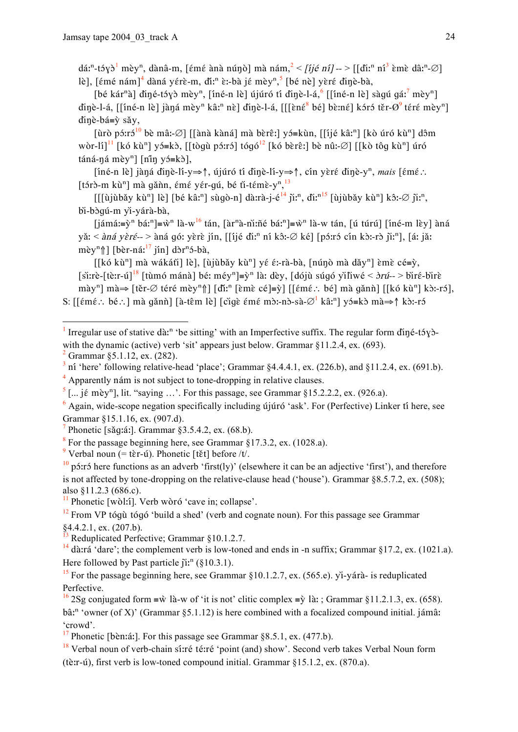dá:<sup>n</sup>-tóyò<sup>1</sup> mèy<sup>n</sup>, dànâ-m, [émé ànà núnò] mà nám,  $^{2}$  < [ijé ní] -- > [[diː<sup>n</sup> ní<sup>3</sup> èmè dâ:<sup>n</sup>-Ø] lè], [ $\epsilon$ mé nám]<sup>4</sup> dàná yérè-m, di<sup>n</sup> è:-bà jé mèy<sup>n 5</sup> [bé nè] yèré dinè-bà,

[bé kár<sup>n</sup>à] điné-táyà mèy<sup>n</sup>, [íné-n lè] újúró tí đinè-l-á, <sup>6</sup> [[íné-n lè] sàqú qá:<sup>7</sup> mèy<sup>n</sup>] dinè-l-á, [[îné-n lè] jàná mèy<sup>n</sup> kâ:<sup>n</sup> nè] dinè-l-á, [[[èné<sup>8</sup> bé] bè:né] kóró těr- $\varnothing^9$  téré mèy<sup>n</sup>] dinè-bá≡ỳ sǎy,

[ùrò pó: ró<sup>10</sup> bè mâ:-Ø] [[ànà kàná] mà bèrê:] yó=kùn, [[íjé kâ:<sup>n</sup>] [kò úró kù<sup>n</sup>] dôm wòr-lî]<sup>11</sup> [kó kù<sup>n</sup>] y j=kò, [[tòqù p i:rɔ̃] tóqó<sup>12</sup> [kó bèrê:] bè nû:-Ø] [[kò tôq kù<sup>n</sup>] úró  $\tan 4$ -ná mèy<sup>n</sup>] [n'in y j = k b],

[íné-n lè] jàná dinè-lí-y⇒↑, újúró tí dinè-lí-y⇒↑, cín yèré dinè-y<sup>n</sup>, mais [émé : [tớrờ-m kù<sup>n</sup>] mà găn m, émé yér-gú, bé ti-témè-y<sup>n 13</sup>

 $[[\hat{u}]\hat{u}]\hat{u}$ av kù<sup>n</sup>] lè] [bé kâː<sup>n</sup>] sùgò-n] dà:rà-j-é<sup>14</sup> jì:<sup>n</sup>, dì:<sup>n15</sup> [ùjùbǎy kù<sup>n</sup>] kô:-Ø jì:<sup>n</sup>, bi-bòqú-m yì-yárà-bà,

 $[i\hat{a}m\hat{a}]=\hat{v}^n b\hat{a}^n]=\hat{w}^n l\hat{a}-w^{16} \tan$ ,  $[\hat{a}r^n\hat{a}-\hat{n}i\hat{n}\hat{e} b\hat{a}^n]=\hat{w}^n l\hat{a}-w \tan$ ,  $[\hat{u} \hat{t} \hat{a}r\hat{u}]$   $[i\hat{a}-\hat{b}r\hat{a}]\hat{a}$ yǎ:  $\langle \rangle$  *sná yèré--* > àná gó: yèrè jín, [[ijé dì:<sup>n</sup> ní kô:-Ø ké] [pó:ró cín kò:-rò jì:<sup>n</sup>], [á: jǎ: mèy<sup>n</sup>î] [bèr-ná:<sup>17</sup> jín] dòr<sup>n</sup>ó-bà,

[[kó kù<sup>n</sup>] mà wákátǐ] lè], [ùjùbǎy kù<sup>n</sup>] yé é:-rà-bà, [núnò mà dǎy<sup>n</sup>] èmè cé=ỳ, [si:rè-[tè:r-ú]<sup>18</sup> [tùmó mánà] bé: méy<sup>n</sup>]= $\tilde{y}^n$  là: dèy, [dójù súgó yìliwé <  $\partial r\tilde{u}$ --> biré-birè mày<sup>n</sup>] mà $\Rightarrow$  [těr-Ø téré mèy<sup>n</sup>î] [dǐː<sup>n</sup> [ɛ̀mɛ̀ cé]=ỳ] [[ɛ́mɛ́ ∴ bé] mà gǎnǹ] [[kó kù<sup>n</sup>] kòː-rɔ́], S: [[ $\epsilon$ m $\epsilon$ : bé : ] mà gǎnn̄] [à-tɛ̂m lè] [ci͡qɛ̀ ɛ́mɛ́ mɔ̀:-nɔ̀-sà- $\varnothing$ <sup>1</sup> kâː<sup>n</sup>] vɔ́=kɔ̀ mà $\Rightarrow$ ↑ kɔ̀:-rɔ́

<sup>&</sup>lt;sup>1</sup> Irregular use of stative dà:<sup>n</sup> 'be sitting' with an Imperfective suffix. The regular form diné-t<sub>5</sub> v $\delta$ with the dynamic (active) verb 'sit' appears just below. Grammar  $\S11.2.4$ , ex. (693).

Grammar §5.1.12, ex. (282).

 $3$  ní 'here' following relative-head 'place'; Grammar §4.4.4.1, ex. (226.b), and §11.2.4, ex. (691.b).  $<sup>4</sup>$  Apparently nám is not subject to tone-dropping in relative clauses.</sup>

 $\frac{5}{1}$ [... jɛ́ mèy<sup>n</sup>], lit. "saying ...". For this passage, see Grammar §15.2.2.2, ex. (926.a).

 $\delta$  Again, wide-scope negation specifically including újúró 'ask'. For (Perfective) Linker ti here, see Grammar §15.1.16, ex. (907.d).

Phonetic [săg:á:]. Grammar §3.5.4.2, ex. (68.b).

<sup>&</sup>lt;sup>8</sup> For the passage beginning here, see Grammar  $\S$ 17.3.2, ex. (1028.a).

<sup>&</sup>lt;sup>9</sup> Verbal noun (= tèr-ú). Phonetic [tět] before /t/.

 $\frac{10}{10}$  p str is here functions as an adverb 'first(ly)' (elsewhere it can be an adjective 'first'), and therefore is not affected by tone-dropping on the relative-clause head ('house'). Grammar  $\S 8.5.7.2$ , ex. (508); also \$11.2.3 (686.c).

 $\frac{11}{2}$  Phonetic [wòl:1]. Verb wòró 'cave in; collapse'.

 $12$  From VP tógu tógó 'build a shed' (verb and cognate noun). For this passage see Grammar  $§4.4.2.1$ , ex.  $(207.b)$ .

Reduplicated Perfective; Grammar §10.1.2.7.

 $^{14}$  dà:rá 'dare'; the complement verb is low-toned and ends in -n suffix; Grammar §17.2, ex. (1021.a). Here followed by Past particle  $\tilde{\mu}$ <sup>n</sup> (§10.3.1).

<sup>&</sup>lt;sup>15</sup> For the passage beginning here, see Grammar §10.1.2.7, ex. (565.e). yi-yárà- is reduplicated Perfective.

<sup>&</sup>lt;sup>16</sup> 2Sg conjugated form = $\hat{w}$  là-w of 'it is not' clitic complex = $\hat{y}$  là: ; Grammar §11.2.1.3, ex. (658).  $\hat{\sigma}$  and the set of X)' (Grammar  $\S$ 5.1.12) is here combined with a focalized compound initial, iámâ; 'crowd'

<sup>&</sup>lt;sup>17</sup> Phonetic [bènːáː]. For this passage see Grammar  $8.5.1$ , ex.  $(477.6)$ .

<sup>&</sup>lt;sup>18</sup> Verbal noun of verb-chain si:ré té:ré 'point (and) show'. Second verb takes Verbal Noun form (tè:r-ú), first verb is low-toned compound initial. Grammar  $\S 15.1.2$ , ex.  $(870.a)$ .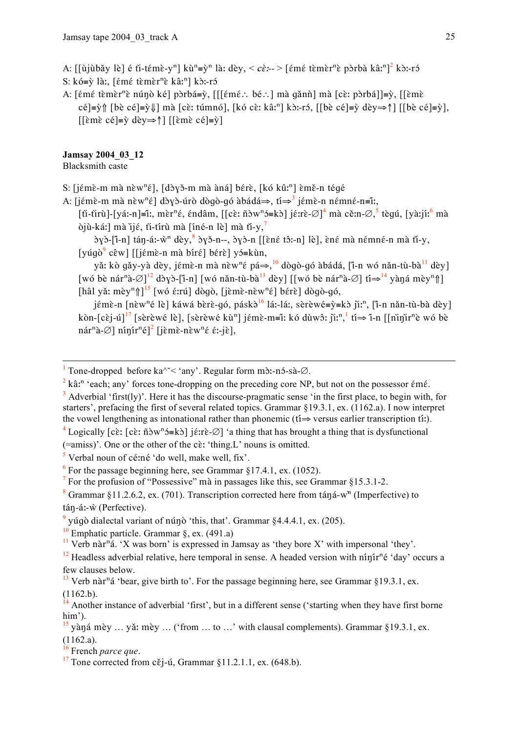A: [[ùjùbǎy lè] é fi-témè-y<sup>n</sup>] kù<sup>n</sup>=ỳ<sup>n</sup> là: dèy, < cè:- > [émé tèmèr<sup>n</sup>è pòrbà kâ:<sup>n</sup>]<sup>2</sup> kò:-ró

S: kó=ỳ là:, [émé tèmèr<sup>n</sup>è kâː<sup>n</sup>] kò:-ró

A: [ $\epsilon$ mé tèmèr<sup>n</sup>è núnò ké] pòrbá=ỳ, [[[ $\epsilon$ mé : bé : ] mà gǎnh] mà [cè: pòrbá]]=ỳ, [[èmè cé  $|\equiv \hat{y}|$  [bè cé  $|\equiv \hat{y}|$ ] mà [cè: túmnó], [kó cè: kâ:<sup>n</sup>] kò:-ró, [[bè cé  $|\equiv \hat{y}|$  dèy $\Rightarrow \uparrow$ ] [[bè cé  $|\equiv \hat{y}|$ ,  $\left[\left[\hat{\epsilon} \hat{m} \hat{\epsilon} \hat{c} \hat{\epsilon}\right] = \hat{v} d \hat{c} y \Rightarrow \hat{\gamma}\right] \left[\left[\hat{\epsilon} \hat{m} \hat{\epsilon} \hat{c} \hat{\epsilon}\right] = \hat{v}\right]$ 

# Jamsay 2004 03 12

Blacksmith caste

S: [jémè-m mà nèw<sup>n</sup>é], [dòyǒ-m mà àná] bérè, [kó kû:<sup>n</sup>] èmě-n tégé

A: [jɛ́mɛ̀-m mà nɛ̀w<sup>n</sup>ɛ́] dɔ̀yɔ̀-úrò dògò-gó àbádá⇒, ti<sup>→</sup> jɛ́mɛ̀-n nɛ́mnɛ́-n≡ĩː,

[ti-tirù]-[yá:-n]=î:, mèr<sup>n</sup>é, éndâm, [[cè: ñòw<sup>n</sup>ɔ́=kò] jé:rè-Ø]<sup>4</sup> mà cě:n-Ø, tèqú, [yà:jí:<sup>6</sup> mà òjù-ká:] mà ijé, ti-tírù mà [íné-n lè] mà ti-y,

 $\gamma$ ) $\gamma$ )-[i-n] tán-á:- $\hat{w}$ <sup>n</sup> dèy,  $\gamma$ )  $\gamma$ )-n--,  $\gamma$ )-n [[èné tô:-n] lè], èné mà némné-n mà ti-y, [yúqò<sup>9</sup> cêw] [[jémè-n mà bíré] bérè] yó=kùn,

yǎ: kò gǎy-yà dèy, jémè-n mà nèw<sup>n</sup>é pá⇒,<sup>10</sup> dògò-gó àbádá, [i̇̃-n wó nǎn-tù-bà<sup>11</sup> dèy] [wó bè nár<sup>n</sup>à- $\varnothing$ ]<sup>12</sup> dòyò-[i-n] [wó nǎn-tù-bà<sup>13</sup> dèy] [[wó bè nár<sup>n</sup>à- $\varnothing$ ] ti $\Rightarrow$ <sup>14</sup> yàná mèy<sup>n</sup>î]] [hâl yǎ: mèy<sup>n</sup>î]<sup>15</sup> [wó ɛ́:rú] dògò, [jɛ̀mɛ̀-nɛ̀w<sup>n</sup>ɛ́] bɛ́rɛ̀] dògò-gó,

jémè-n [nèw<sup>n</sup>é lè] káwá bèrè-gó, páskà<sup>16</sup> lá:-lá:, sèrèwé= $\psi$ =kò ji:<sup>n</sup>, [i-n nǎn-tù-bà dèy] kòn-[cèj-ú]<sup>17</sup> [sèrèwé lè], [sèrèwé kù<sup>n</sup>] jémè-m=î: kó dùwô: ji:<sup>n</sup>, <sup>1</sup> ti $\Rightarrow$  'i-n [[ninjir<sup>n</sup>è wó bè  $n\acute{a}r^n\grave{a}$ - $\varnothing$ ]  $n\acute{a}n\acute{a}r^n\acute{e}l^2$  [iɛ̀mɛ̀-nɛ̀w $n\acute{e}$  ɛ́:-iɛ̀],

 $2 \text{ k} \hat{a}$ ; and 'each' any' forces to e-dropping on the preceding core NP, but not on the possessor  $\epsilon$ m $\epsilon$ .

(=amiss)'. One or the other of the cè: 'thing.L' nouns is omitted.

 $\frac{5}{3}$  Verbal noun of cé:né 'do well, make well, fix'.

 $6$  For the passage beginning here, see Grammar §17.4.1, ex. (1052).

 $\frac{7}{1}$  For the profusion of "Possessive" mà in passages like this, see Grammar §15.3.1-2.

<sup>9</sup> vúgò dialectal variant of núnò 'this, that', Grammar  $84.4.4.1$ , ex. (205).

<sup>10</sup> Emphatic particle. Grammar  $\S$ , ex. (491.a)

<sup>11</sup> Verb nàr<sup>n</sup>á. 'X was born' is expressed in Jamsay as 'they bore X' with impersonal 'they'.

 $12$  Headless adverbial relative, here temporal in sense. A headed version with ninin<sup>n</sup>é 'day' occurs a few clauses below.

<sup>&</sup>lt;sup>1</sup> Tone-dropped before ka<sup> $\sim$  < 'any'. Regular form m $\delta$ :-n $\delta$ -sà- $\varnothing$ .</sup>

 $3$  Adverbial 'first(lv)'. Here it has the discourse-pragmatic sense 'in the first place, to begin with, for starters', prefacing the first of several related topics. Grammar  $\S 19.3.1$ , ex.  $(1162.a)$ . I now interpret the vowel lengthening as intonational rather than phonemic ( $t\hat{i} \Rightarrow$  versus earlier transcription  $t\hat{i}$ .).

<sup>&</sup>lt;sup>4</sup> Logically [cè: [cè: n̄ðw<sup>n</sup>ɔ́=kɔ̀] jɛ́:rè-Ø̄] 'a thing that has brought a thing that is dysfunctional

<sup>&</sup>lt;sup>8</sup> Grammar §11.2.6.2, ex. (701). Transcription corrected here from táná-w<sup>n</sup> (Imperfective) to tán-á:-ŵ (Perfective).

 $^{13}$  Verb nàr<sup>n</sup>á 'bear, give birth to'. For the passage beginning here, see Grammar §19.3.1, ex.  $(1162.b).$ 

 $\hat{A}$  Another instance of adverbial 'first', but in a different sense ('starting when they have first borne  $him'.$ 

 $\frac{15}{15}$  yàná mèy ... yǎ: mèy ... ('from ... to ...' with clausal complements). Grammar §19.3.1, ex.  $(1162.a).$ 

 $\frac{16}{16}$  French parce que.

<sup>&</sup>lt;sup>17</sup> Tone corrected from c $\check{\epsilon}$ j-ú, Grammar §11.2.1.1, ex. (648.b).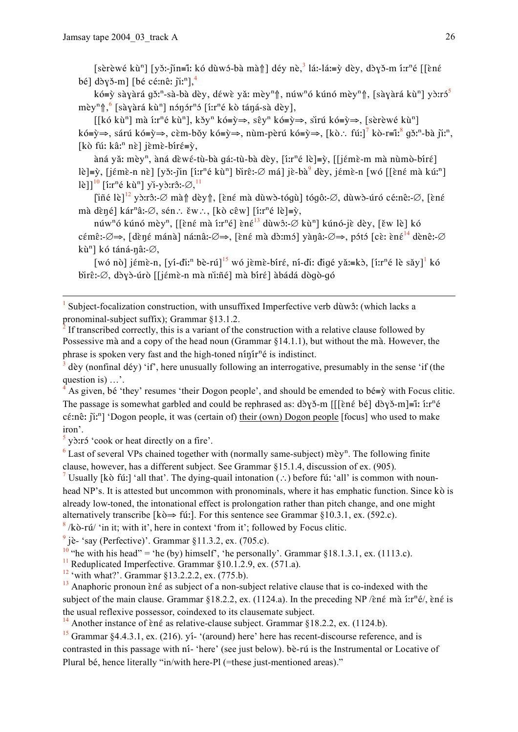[sèrèwé kù<sup>n</sup>] [yǒ:-jìn=ĩ: kó dùwó-bà mà↑] déy nè,<sup>3</sup> lá:-lá:=ỳ dèy, dòyǒ-m í:r<sup>n</sup>é [[ɛ̀nɛ́ bé] dòyǒ-m] [bé cé:nê: ji:<sup>n</sup>],<sup>4</sup>

kó=ỳ sàyàrá gǒ:<sup>n</sup>-sà-bà dèy, déwè yǎ: mèy<sup>n</sup> î, núw<sup>n</sup>ó kúnó mèy<sup>n</sup> î, [sàyàrá kù<sup>n</sup>] vò:ró<sup>5</sup> mèv<sup>n</sup>î. <sup>6</sup> [sàvàrá kù<sup>n</sup>] nónór<sup>n</sup>ó [íːr<sup>n</sup>é kò táná-sà dèv].

[[kó kù<sup>n</sup>] mà í:r<sup>n</sup>é kù<sup>n</sup>], kǒy<sup>n</sup> kó≡ỳ⇒, sêy<sup>n</sup> kó≡ỳ⇒, sìrú kó≡ỳ⇒, [sèrèwé kù<sup>n</sup>] kó≡ỳ⇒, sárú kó≡ỳ⇒, cèm-bǒy kó≡ỳ⇒, nùm-pèrú kó≡ỳ⇒, [kò∴ fúː]<sup>7</sup> kò-r≡îː<sup>8</sup> qǒː<sup>n</sup>-bà jǐː<sup>n</sup>, [kò fú: kâ:<sup>n</sup> nè] jèmè-bíré=ỳ,

àná yǎ: mèy<sup>n</sup>, àná dèwé-tù-bà gá:-tù-bà dèy, [íːr<sup>n</sup>é lè]=ỳ, [[jémè-m mà nùmò-bíré] lè]=ỳ, [jémè-n nè] [yǒ:-jin [í:r<sup>n</sup>é kù<sup>n</sup>] bìrê:-Ø má] jè-bà<sup>9</sup> dèy, jémè-n [wó [[èné mà kú:<sup>n</sup>] lè]]<sup>10</sup> [i:r<sup>n</sup>é kù<sup>n</sup>] yi-yò:rô:- $\varnothing$ ,<sup>11</sup>

[iñé lè]<sup>12</sup> yò:rô:-∅ mà↑ dèy↑, [ɛ̀né mà dùwò-tóqù] tóqô:-∅, dùwò-úró cé:nê:-∅, [ɛ̀né mà dèné] kár<sup>n</sup>â:-Ø, sén : ěw : , [kò cêw] [í:r<sup>n</sup>é lè]=ỳ,

núw<sup>n</sup>ó kúnó mèy<sup>n</sup>, [[èné mà í:r<sup>n</sup>é] èné<sup>13</sup> dùwô:-Ø kù<sup>n</sup>] kúnó-jè dèy, [ěw lè] kó cémê:-Ø⇒, [dèné mánà] ná:nâ:-Ø⇒, [èné mà dò:mó] yànâ:-Ø⇒, pótó [cè: èné<sup>14</sup> dènê:-Ø kù<sup>n</sup>] kó táná-nâ:-∅,

[wó nò] iémè-n. [ví-diː<sup>n</sup> bè-rú]<sup>15</sup> wó ièmè-bíré, ní-di; digé vǎ;=kò, [íːr<sup>n</sup>é lè sǎy]<sup>1</sup> kó birê:-Ø, dòvò-úrò [[jémè-n mà ni:ñé] mà bíré] àbádá dògò-gó

dèv (nonfinal dév) 'if', here unusually following an interrogative, presumably in the sense 'if (the question is)  $\dots$ .

As given, bé 'they' resumes 'their Dogon people', and should be emended to bé= $\hat{y}$  with Focus clitic. The passage is somewhat garbled and could be rephrased as: dby  $\delta$ -m [[[ɛ̀nɛ́ bé] dby  $\delta$ -m]=ĩ: i:r<sup>n</sup>é cé:nê:  $\tilde{p}$ : $\tilde{p}$ : $\tilde{p}$  'Dogon people, it was (certain of) their (own) Dogon people [focus] who used to make iron'.

 $\frac{5}{3}$  y out or heat directly on a fire.

 $6$  Last of several VPs chained together with (normally same-subject) mèy<sup>n</sup>. The following finite clause, however, has a different subject. See Grammar §15.1.4, discussion of ex. (905).

Usually [kò fú:] 'all that'. The dying-quail intonation (...) before fú: 'all' is common with nounhead NP's. It is attested but uncommon with pronominals, where it has emphatic function. Since kò is already low-toned, the intonational effect is prolongation rather than pitch change, and one might alternatively transcribe [kò $\Rightarrow$  fúː]. For this sentence see Grammar §10.3.1, ex. (592.c).

 $\frac{8}{2}$ /kò-rú/ 'in it; with it', here in context 'from it'; followed by Focus clitic.

 $9$  jè- 'say (Perfective)'. Grammar §11.3.2, ex. (705.c).

<sup>10</sup> "he with his head" = 'he (by) himself', 'he personally'. Grammar §18.1.3.1, ex. (1113.c).

<sup>11</sup> Reduplicated Imperfective. Grammar  $\S 10.1.2.9$ , ex. (571.a).

<sup>12</sup> 'with what?'. Grammar §13.2.2.2, ex. (775.b).

 $\frac{13}{13}$  Anaphoric pronoun èné as subject of a non-subject relative clause that is co-indexed with the subject of the main clause. Grammar  $$18.2.2$ , ex. (1124.a). In the preceding NP/ $\epsilon$ né mà í:r<sup>n</sup>é/, èné is the usual reflexive possessor, coindexed to its clausemate subject.

<sup>14</sup> Another instance of  $\hat{\epsilon}$  né as relative-clause subject. Grammar §18.2.2, ex. (1124.b).

 $^{15}$  Grammar §4.4.3.1, ex. (216), y<sup>1</sup>- '(around) here' here has recent-discourse reference, and is contrasted in this passage with n<sup>1</sup>- 'here' (see just below). bè-rú is the Instrumental or Locative of Plural bé, hence literally "in/with here-Pl (=these just-mentioned areas)."

Subject-focalization construction, with unsuffixed Imperfective verb dùwô: (which lacks a pronominal-subject suffix); Grammar §13.1.2.

If transcribed correctly, this is a variant of the construction with a relative clause followed by Possessive mà and a copy of the head noun (Grammar §14.1.1), but without the mà. However, the phrase is spoken very fast and the high-toned ninin<sup>n</sup>é is indistinct.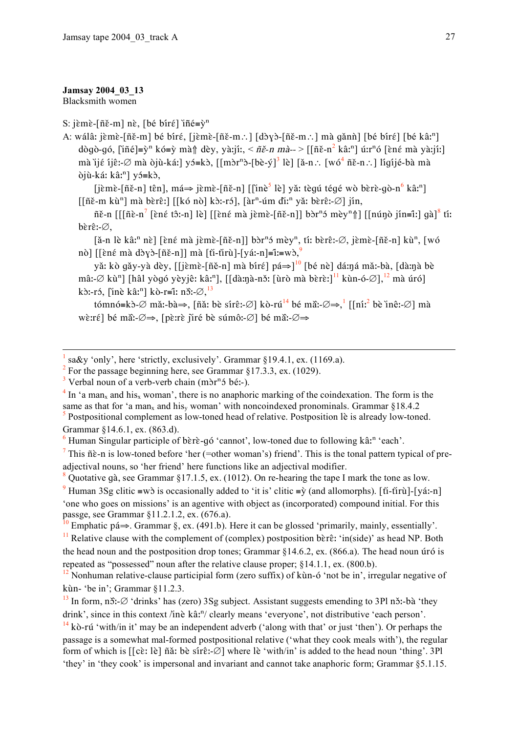#### Jamsay 2004 03 13

Blacksmith women

## S: jèmè-[ñě-m] nè, [bé bíré] iné= $\tilde{y}^n$

A: wálâ: jèmè-[ñě-m] bé bíré, [jèmè-[ñě-m.:] [dòyò-[ñě-m.:] mà gǎnǹ] [bé bíré] [bé kâ:<sup>n</sup>] dògò-gó, [iñé]=v̀<sup>n</sup> kó=v̀ mà↑ dèv, yà:jí:, < ñě-n mà-- > [[ñě-n<sup>2</sup> kâ:<sup>n</sup>] ú:r<sup>n</sup>ó [ɛ̀nɛ́ mà yà:jíː] mà lié iiê:-Ø mà òjù-ká: | yó=kò,  $\left[\text{mòr}^n\right]$ - $\left[\text{bè-ý}\right]$ <sup>3</sup> lè | [ă-n.:  $\left[w\right]$ <sup>4</sup> ñě-n.: ] ligijé-bà mà  $\delta$ jù-ká: kâ:<sup>n</sup>] y  $\delta$ =k $\delta$ ,

 $[i\text{em}\hat{\epsilon}\text{-}[\tilde{n}\check{\epsilon}\text{-}n]$  tên],  $m\acute{a} \Rightarrow i\text{em}\hat{\epsilon}\text{-}[\tilde{n}\check{\epsilon}\text{-}n]$  [ $[i\text{me}^5$  lè] yǎ tèqú téqé wò bèrè-qò-n<sup>6</sup> kâ:<sup>n</sup>]  $\left[\left[\tilde{n}\right]\tilde{\epsilon}-m\right]$  mà bèrê:  $\left[\left[\left[\left(k\right)\tilde{\alpha}\right]\right]\tilde{\epsilon}\right]$ :  $\left[\tilde{\alpha}r^{n}$ -úm dì:<sup>n</sup> yǎ: bèrê:  $\varnothing\right]$  jín,

 $\tilde{n}\tilde{\epsilon}$ -n [[[ $\tilde{n}\tilde{\epsilon}$ -n<sup>7</sup> [ $\tilde{\epsilon}$ né tô:-n] lè] [[ $\tilde{\epsilon}$ né mà jèmè-[ $\tilde{n}\tilde{\epsilon}$ -n]] bòr<sup>n</sup>ó mèy<sup>n</sup> $\uparrow$ ] [[nún̥ò jín=ĩː] qà]<sup>8</sup> tí:  $b\$ r\hat{\epsilon}:- $\varnothing$ .

[ă-n lè kâ:<sup>n</sup> nè] [èné mà jèmè-[ñě-n]] bòr<sup>n</sup>ó mèy<sup>n</sup>, ti: bèrê:- $\emptyset$ , jèmè-[ñě-n] kù<sup>n</sup>, [wó nò] [[ềng mà dòyò-[ñě-n]] mà [ti-tirù]-[yá:-n]=î:=wò,

yă: kò gǎy-yà dèy, [[jɛ̀mɛ̀-[ñě-n] mà bírɛ́] pá⇒]<sup>10</sup> [bé nè] dá:ná mǎː-bà, [dà:nà bè mâ:-Ø kù<sup>n</sup>] [hâl yògó yèyjê: kâ:<sup>n</sup>], [[dà:nà-nɔ̌: [ùrò mà bèrè:]<sup>11</sup> kùn-ó-Øl.<sup>12</sup> mà úról kò:-ró. l'inè kâ:<sup>n</sup>] kò-r=î: nõ:- $\varnothing$ .<sup>13</sup>

tómnó=kò- $\emptyset$  mǎ:-bà $\Rightarrow$ , [ñǎ: bè sírê:- $\emptyset$ ] kò-rú<sup>14</sup> bé mã:- $\emptyset \Rightarrow$ , [[ní:<sup>2</sup> bè ìnê:- $\emptyset$ ] mà wè:ré] bé mã:- $\emptyset \Rightarrow$ , [pè:rè jiré bè súmô:- $\emptyset$ ] bé mã:- $\emptyset \Rightarrow$ 

 $\frac{7}{1}$  This  $\tilde{n}\tilde{\epsilon}$ -n is low-toned before 'her (=other woman's) friend'. This is the tonal pattern typical of preadjectival nouns, so 'her friend' here functions like an adjectival modifier.

Quotative gà, see Grammar §17.1.5, ex. (1012). On re-hearing the tape I mark the tone as low. <sup>9</sup> Human 3Sg clitic = w is occasionally added to 'it is' clitic =  $\hat{y}$  (and allomorphs). [ti-tiru]-[yá:-n] one who goes on missions' is an agentive with object as (incorporated) compound initial. For this passge, see Grammar §11.2.1.2, ex. (676.a).

<sup>0</sup> Emphatic pá $\Rightarrow$ . Grammar §, ex. (491.b). Here it can be glossed 'primarily, mainly, essentially'.

<sup>11</sup> Relative clause with the complement of (complex) postposition bèrê: 'in(side)' as head NP. Both the head noun and the postposition drop tones: Grammar  $\{14.6.2, \text{ex.} (866. a)$ . The head noun úró is repeated as "possessed" noun after the relative clause proper; §14.1.1, ex. (800.b).

 $\frac{13}{13}$  In form, not  $\varnothing$  'drinks' has (zero) 3Sg subject. Assistant suggests emending to 3Pl not be 'they drink', since in this context /ine ka<sup>n</sup>/clearly means 'everyone', not distributive 'each person'.

 $^{14}$  kò-rú 'with/in it' may be an independent adverb ('along with that' or just 'then'). Or perhaps the passage is a somewhat mal-formed postpositional relative ('what they cook meals with'), the regular form of which is  $[ [c\hat{\epsilon}]$ : lè  $]$   $\tilde{n}$  at be sine: $\varnothing$  where lè 'with/in' is added to the head noun 'thing'. 3Pl 'they' in 'they cook' is impersonal and invariant and cannot take anaphoric form: Grammar \$5.1.15.

sa&y 'only', here 'strictly, exclusively'. Grammar  $\{19.4.1, ex.$  (1169.a).

 $^{2}$  For the passage beginning here, see Grammar §17.3.3, ex. (1029).

<sup>&</sup>lt;sup>3</sup> Verbal noun of a verb-verb chain (m $\delta r^n$  bé:-).

 $4 \text{ In } 4$  in a man<sub>x</sub> and his, woman', there is no anaphoric marking of the coindexation. The form is the same as that for 'a man<sub>x</sub> and his<sub>v</sub> woman' with noncoindexed pronominals. Grammar §18.4.2

 $\frac{5}{5}$  Postpositional complement as low-toned head of relative. Postposition lè is already low-toned. Grammar §14.6.1, ex. (863.d).

 $6$  Human Singular participle of bere-qo 'cannot', low-toned due to following kâr<sup>n</sup> 'each'.

<sup>&</sup>lt;sup>12</sup> Nonhuman relative-clause participial form (zero suffix) of kun-6 'not be in', irregular negative of kùn- 'be in': Grammar  $$11.2.3$ .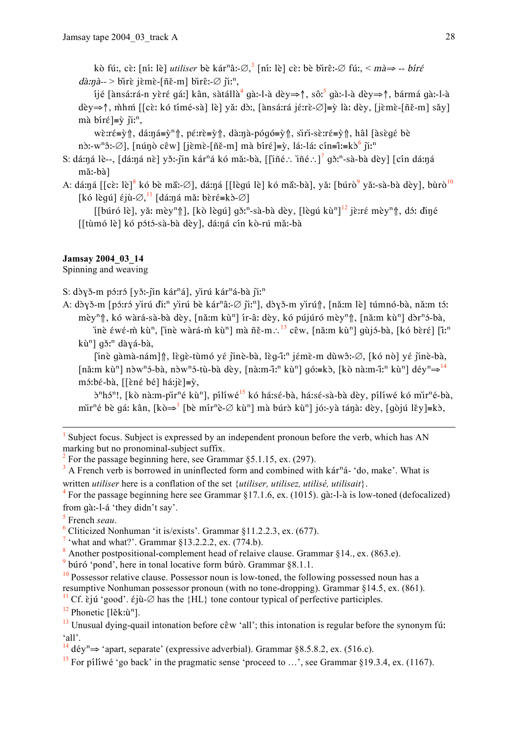kò fú:, cè: [ní: lè] *utiliser* bè kár<sup>n</sup>â:- $\emptyset$ , <sup>3</sup> [ní: lè] cè: bè bìrê:- $\emptyset$  fú:, < mà  $\Rightarrow$  -- bíré  $d\lambda n\lambda$ — > birè jèmè-[ñě-m] birê:- $\varnothing$  ji:<sup>n</sup>,

ijé [ànsá:rá-n yèré qá:] kân, sàtállà<sup>4</sup> qà:-l-à dèy⇒↑, sô:<sup>5</sup> qà:-l-à dèy⇒↑, bármá qà:-l-à dèv⇒↑, mhm [[cè: kó tímé-sà] lè] vă: dò:. [ànsá:rá jé:rè-Ø]≡v̀ là: dèv. [jèmè-[ñě-m] sǎv] mà bíré =  $\tilde{v}$  ji:<sup>n</sup>,

wè:ré=ỳ  $\|$ , dá:ná=ỳ<sup>n</sup> $\|$ , pé:rè=ỳ  $\|$ , dà:nà-pógó=ỳ  $\|$ , sìri-sè:ré=ỳ  $\|$ , hâl [àsègé bè n $\text{dim}^2$ :- $\varnothing$ ], [nún $\text{dim}^2$  cêw] [jèmè-[ñě-m] mà bíré]= $\text{dim}^2$ , lá:-lá: cín=î:=k $\text{dim}^6$  ji:<sup>n</sup>

S: dá:ná lè--, [dá:ná nè] yǒ:-jìn kár<sup>n</sup>á kó mǎ:-bà, [[iñé.: iñé.:]<sup>7</sup> gǒ:<sup>n</sup>-sà-bà dèy] [cín dá:ná mă:-bà]

A: dá:ná [[cè: lè]<sup>8</sup> kó bè mã:-Ø], dá:ná [[lèqú lè] kó mã:-bà], yǎ: [búrò<sup>9</sup> yǎ:-sà-bà dèy], bùrò<sup>10</sup> [kó lègú]  $\varepsilon$ jù- $\varnothing$ ,  $\frac{11}{11}$  [dá:ná mǎ: bèr $\varepsilon$ =kò- $\varnothing$ ]

[[búró lè], yǎ: mèy<sup>n</sup>î], [kò lèqú] qǒ:<sup>n</sup>-sà-bà dèy, [lèqú kù<sup>n]12</sup> jè:ré mèy<sup>n</sup>î, dɔ́: diné [[tùmó lè] kó pótó-sà-bà dèy], dá:ná cín kò-rú mǎ:-bà

## **Jamsay 2004 03 14**

Spinning and weaving

S: dòvě-m pórró [věː-jin kár<sup>n</sup>á], vìrú kár<sup>n</sup>á-bà ji:<sup>n</sup>

A: dòyǒ-m [pó:ró yìrú dì:<sup>n</sup> yìrú bè kár<sup>n</sup>â:-Ø jì:<sup>n</sup>], dòyǒ-m yìrú f], [nǎ:m lè] túmnó-bà, nǎ:m tó: mèy<sup>n</sup>î, kó wàrá-sà-bà dèy, [nǎːm kù<sup>n</sup>] ír-âː dèy, kó pújúró mèy<sup>n</sup>î, [nǎːm kù<sup>n</sup>] dòr<sup>n</sup>ó-bà,

inè έwέ-m kù<sup>n</sup>, finè wàrá-m kù<sup>n</sup>] mà ñě-m.: <sup>13</sup> cêw, [nǎːm kù<sup>n</sup>] gùjó-bà, [kó bèrέ] [ĩː<sup>n</sup>] kù<sup>n</sup>] gǒ:<sup>n</sup> dàyá-bà,

[inè gàmà-nám]↑, lègè-tùmó yé jinè-bà, lèg-îː<sup>n</sup> jémè-m dùwô:-Ø, [kó nò] yé jinè-bà, [nǎːm kù<sup>n</sup>] nòw<sup>n</sup>ɔ́-bà, nòw<sup>n</sup>ɔ́-tù-bà dèy, [nàːm-îːn kùn] gọ́ː=kò, [kò nàːm-ĩːn kùn] déy<sup>n</sup> $\Rightarrow$ <sup>14</sup>  $m5:b\acute{\epsilon}-b\acute{a}$ , [[ $\grave{\epsilon}n\acute{\epsilon}b\acute{\epsilon}l$  há: $\acute{\epsilon}l\equiv\grave{v}$ ,

ð<sup>n</sup>hó<sup>n</sup>!, [kò nàːm-pìr<sup>n</sup>é kù<sup>n</sup>], pílíwé<sup>15</sup> kó háːsé-bà, háːsé-sà-bà dèy, pílíwé kó mìr<sup>n</sup>é-bà, mir<sup>n</sup>é bè gá: kân, [kò $\Rightarrow$ <sup>1</sup> [bè mír<sup>n</sup>è- $\varnothing$  kù<sup>n</sup>] mà búrò kù<sup>n</sup>] jó:-yà tánà: dèy, [gòjú lěy]=kò,

Subject focus. Subject is expressed by an independent pronoun before the verb, which has AN marking but no pronominal-subject suffix.

For the passage beginning here, see Grammar  $\S 5.1.15$ , ex. (297).

 $3$  A French verb is borrowed in uninflected form and combined with kár<sup>n</sup>á- 'do, make'. What is written *utiliser* here is a conflation of the set *{utiliser, utilisez, utilisé, utilisait}*.

<sup>4</sup> For the passage beginning here see Grammar §17.1.6, ex. (1015). gà:-l-à is low-toned (defocalized) from gà:-l-á 'they didn't say'.

 $\frac{5}{5}$  French seau

 $<sup>6</sup>$  Cliticized Nonhuman 'it is/exists'. Grammar  $$11.2.2.3$ , ex. (677).</sup>

<sup>7</sup> 'what and what?'. Grammar  $$13.2.2.2$ , ex. (774.b).

<sup>8</sup> Another postpositional-complement head of relaive clause. Grammar  $§14$ ., ex. (863.e).

 $9$  búró 'pond', here in tonal locative form búrò. Grammar §8.1.1.

 $\frac{10}{10}$  Possessor relative clause. Possessor noun is low-toned, the following possessed noun has a resumptive Nonhuman possessor pronoun (with no tone-dropping). Grammar  $\S 14.5$ , ex. (861).

<sup>11</sup> Cf. ciju 'good'. ciju- $\emptyset$  has the {HL} tone contour typical of perfective participles.

 $12$  Phonetic [lěk: $\hat{u}^{n}$ ].

 $^{13}$  Unusual dying-quail intonation before  $c\hat{e}w$  'all'; this intonation is regular before the synonym fut  $^{\circ}$ all'

<sup>14</sup> dév<sup>n</sup> $\Rightarrow$  'apart, separate' (expressive adverbial). Grammar §8.5.8.2, ex. (516.c).

<sup>15</sup> For piliwé 'go back' in the pragmatic sense 'proceed to ...', see Grammar §19.3.4, ex. (1167).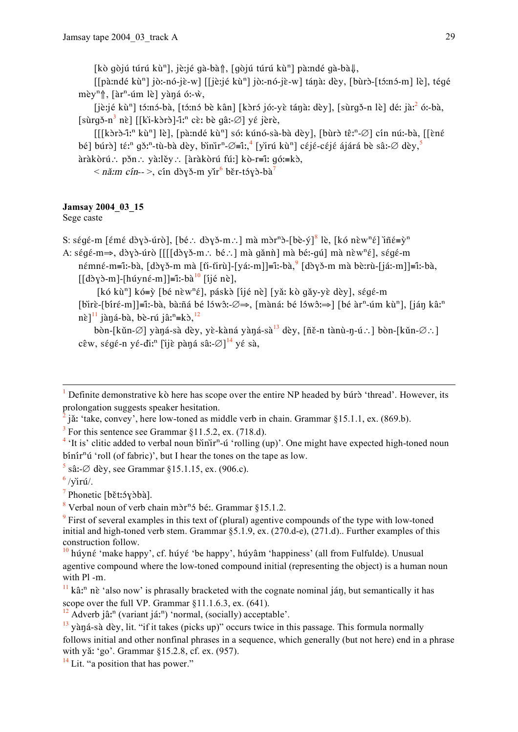[kò gòjú túrú kù<sup>n</sup>], jè:jé gà-bà<sub>l</sub>î, [gòjú túrú kù<sup>n</sup>] pà:ndé gà-bàl,

[[pàːndé kù<sup>n</sup>] jòː-nó-jè-w] [[jèːjé kù<sup>n</sup>] jòː-nó-jè-w] tánà: dèy, [bùrò-[tɔ́ːnɔ́-m] lè], tégé mèy<sup>n</sup>î, [àr<sup>n</sup>-úm lè] yàná ó:-ŵ,

[jè:jé kù<sup>n</sup>] tó:nó-bà, [tó:nó bè kân] [kòró jó:-yè tánà: dèy], [sùrqǒ-n lè] dé: jà:<sup>2</sup> ó:-bà.  $[s\hat{u}r\hat{q} - n^3 \hat{n}\hat{e}]$  [[ki-kərə]-i:<sup>n</sup> cè: bè qâ:- $\emptyset$ ] yé jèrè,

 $[[[k\delta r\delta -i^n k\tilde{u}^n]]\hat{e}]$ , [pà:ndé kù<sup>n</sup>] só: kúnó-sà-bà dèy], [bùrð tê:<sup>n</sup>- $\varnothing$ ] cín nú:-bà, [[èné bé] búrð] té:<sup>n</sup> gð:<sup>n</sup>-tù-bà dèy, bìnìr<sup>n</sup>- $\varnothing$ =î:,<sup>4</sup> [yìrú kù<sup>n</sup>] céjé-céjé ájárá bè sâ:- $\varnothing$  dèy,<sup>5</sup>  $\hat{a}$ ràkòrú : pǎn : yà:lěy : [àràkòrú fú:] kò-r=î: qó:=kò,

 $\langle$  nă:m cín-->, cín dòyǒ-m yǐr<sup>6</sup> běr-tóyò-bà<sup>7</sup>

## Jamsay 2004 03 15

Sege caste

S: ségé-m [émé dòyò-úrò], [bé.: dòyǒ-m.: ] mà mòr<sup>n</sup>ò-[bè-ý]<sup>8</sup> lè, [kó nèw<sup>n</sup>é] iñé=ỳ<sup>n</sup>

A: ségé-m $\Rightarrow$ , dòyò-úrò [[[[dòyǒ-m.: bé.:] mà gǎnh] mà bé:-qú] mà nèw<sup>n</sup>é], ségé-m

némné-m=î:-bà, [dòyǒ-m mà [ti-tìrù]-[yá:-m]]=î:-bà,  $\left[ \frac{1}{2}$ [dòyǒ-m mà bè:rù-[já:-m]]=î:-bà,  $\left[\frac{d\delta y}{m}-\frac{h\delta y}{m}\right]-\left[\frac{h\delta y}{m}\right]$  = i:-bà<sup>10</sup>  $\left[\frac{d\delta y}{m}\right]$ .

[kó kù<sup>n</sup>] kó=ỳ [bé nèw<sup>n</sup>é], páskà [íjé nè] [yǎ: kò qǎy-yè dèy], ségé-m

[bìrè-[bíré-m]]≡î:-bà, bà:ñá bé lɔ́wɔ̂:-Ø⇒, [màná: bé lɔ́wɔ̂:⇒] [bé àr<sup>n</sup>-úm kù<sup>n</sup>], [ján kâː<sup>n</sup>]  $n\tilde{\epsilon}$ ]<sup>11</sup> jàná-bà, bè-rú jâ:<sup>n</sup>=kò,<sup>12</sup>

bòn-[kǔn-Ø] yàná-sà dèy, yè-kàná yàná-sà<sup>13</sup> dèy, [ñě-n tànù-n-ú.:] bòn-[kǔn-Ø.:] cêw, ségé-n yé-di:<sup>n</sup> [ijè pàná sâ:- $\varnothing$ ]<sup>14</sup> yé sà,

jă: 'take, convey', here low-toned as middle verb in chain. Grammar §15.1.1, ex. (869.b).

 $3$  For this sentence see Grammar §11.5.2, ex. (718.d).

<sup>4</sup> 'It is' clitic added to verbal noun binir<sup>n</sup>-ú 'rolling (up)'. One might have expected high-toned noun binin<sup>n</sup>ú 'roll (of fabric)', but I hear the tones on the tape as low.

 $\frac{5}{3}$  sâ:- $\varnothing$  dèv, see Grammar §15.1.15, ex. (906.c).

 $\frac{6}{\text{viru}}$ 

 $\frac{7}{7}$  Phonetic [bět:5y\ba].

<sup>8</sup> Verbal noun of verb chain mòr<sup>n</sup> ó bé:. Grammar §15.1.2.

<sup>9</sup> First of several examples in this text of (plural) agentive compounds of the type with low-toned initial and high-toned verb stem. Grammar  $\S 5.1.9$ , ex. (270.d-e), (271.d). Further examples of this construction follow.

 $\frac{10}{10}$  húyné 'make happy', cf. húyé 'be happy', húyâm 'happiness' (all from Fulfulde). Unusual agentive compound where the low-toned compound initial (representing the object) is a human noun with Pl -m.

 $\frac{1}{2}$  Definite demonstrative kò here has scope over the entire NP headed by búrò 'thread'. However, its prolongation suggests speaker hesitation.

 $\frac{11}{11}$  kâ:<sup>n</sup> nè 'also now' is phrasally bracketed with the cognate nominal ján, but semantically it has scope over the full VP. Grammar §11.1.6.3, ex. (641).

 $^{12}$  Adverb jâ:<sup>n</sup> (variant já:<sup>n</sup>) 'normal, (socially) acceptable'.

 $\frac{13}{13}$  yàná-sà dèy, lit. "if it takes (picks up)" occurs twice in this passage. This formula normally follows initial and other nonfinal phrases in a sequence, which generally (but not here) end in a phrase with yǎ: 'go'. Grammar §15.2.8, cf. ex. (957).

 $14$  Lit "a position that has nower"